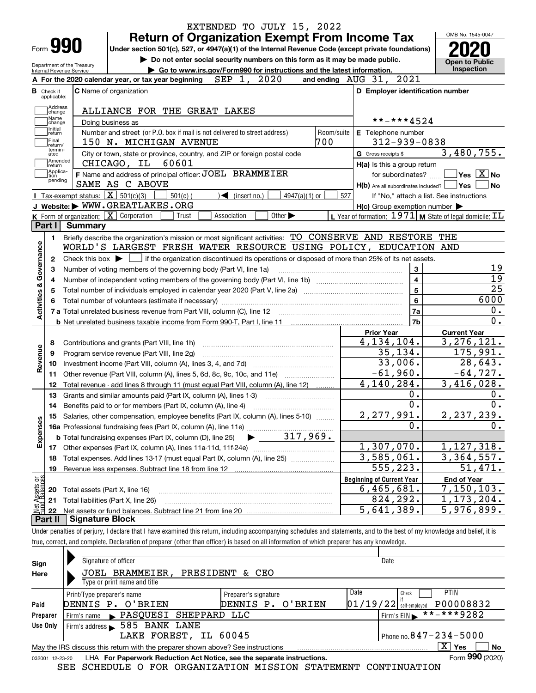|                           |                                                        | EXTENDED TO JULY 15, 2022                                                                                                                                                  |                                                             | OMB No. 1545-0047                      |
|---------------------------|--------------------------------------------------------|----------------------------------------------------------------------------------------------------------------------------------------------------------------------------|-------------------------------------------------------------|----------------------------------------|
|                           | Form 990                                               | <b>Return of Organization Exempt From Income Tax</b><br>Under section 501(c), 527, or 4947(a)(1) of the Internal Revenue Code (except private foundations)                 |                                                             |                                        |
|                           |                                                        | Do not enter social security numbers on this form as it may be made public.                                                                                                |                                                             |                                        |
|                           | Department of the Treasury<br>Internal Revenue Service | Go to www.irs.gov/Form990 for instructions and the latest information.                                                                                                     |                                                             | <b>Open to Public</b><br>Inspection    |
|                           |                                                        | SEP 1, 2020<br>A For the 2020 calendar year, or tax year beginning                                                                                                         | and ending AUG 31, 2021                                     |                                        |
|                           | <b>B</b> Check if<br>applicable:                       | <b>C</b> Name of organization                                                                                                                                              | D Employer identification number                            |                                        |
|                           | Address                                                | ALLIANCE FOR THE GREAT LAKES                                                                                                                                               |                                                             |                                        |
|                           | change<br>Name                                         | Doing business as                                                                                                                                                          | **-***4524                                                  |                                        |
|                           | change<br>Initial                                      | Number and street (or P.O. box if mail is not delivered to street address)                                                                                                 | Room/suite<br>E Telephone number                            |                                        |
|                           | return<br>Final                                        | 700<br>150 N. MICHIGAN AVENUE                                                                                                                                              | $312 - 939 - 0838$                                          |                                        |
|                           | return/<br>termin-<br>ated                             | City or town, state or province, country, and ZIP or foreign postal code                                                                                                   | G Gross receipts \$                                         | 3,480,755.                             |
|                           | Amended<br>return                                      | 60601<br>CHICAGO, IL                                                                                                                                                       | H(a) Is this a group return                                 |                                        |
|                           | Applica-<br>tion                                       | F Name and address of principal officer: JOEL BRAMMEIER                                                                                                                    | for subordinates?                                           | $\sqrt{}$ Yes $\sqrt{}$ X $\sqrt{}$ No |
|                           | pending                                                | SAME AS C ABOVE                                                                                                                                                            | H(b) Are all subordinates included?   Yes                   | No                                     |
|                           |                                                        | <b>Tax-exempt status:</b> $\boxed{\mathbf{X}}$ 501(c)(3)<br>$501(c)$ (<br>$\sqrt{\phantom{a}}$ (insert no.)<br>4947(a)(1) or                                               | 527<br>If "No," attach a list. See instructions             |                                        |
|                           |                                                        | J Website: WWW.GREATLAKES.ORG                                                                                                                                              | $H(c)$ Group exemption number $\blacktriangleright$         |                                        |
|                           |                                                        | K Form of organization: X Corporation<br>Association<br>Other $\blacktriangleright$<br>Trust                                                                               | L Year of formation: $1971$ M State of legal domicile: $IL$ |                                        |
|                           | Part I<br><b>Summary</b>                               |                                                                                                                                                                            |                                                             |                                        |
|                           | 1.                                                     | Briefly describe the organization's mission or most significant activities: TO CONSERVE AND RESTORE THE                                                                    |                                                             |                                        |
|                           |                                                        | WORLD'S LARGEST FRESH WATER RESOURCE USING POLICY, EDUCATION AND                                                                                                           |                                                             |                                        |
|                           | $\mathbf{2}$                                           | Check this box $\blacktriangleright$ $\Box$ if the organization discontinued its operations or disposed of more than 25% of its net assets.                                |                                                             |                                        |
| Governance                | з                                                      | Number of voting members of the governing body (Part VI, line 1a)                                                                                                          | 3                                                           | 19                                     |
|                           | 4                                                      |                                                                                                                                                                            | $\overline{\mathbf{4}}$                                     | $\overline{19}$                        |
|                           | 5                                                      |                                                                                                                                                                            | $\overline{\mathbf{5}}$                                     | $\overline{25}$                        |
|                           | 6                                                      |                                                                                                                                                                            | $\bf{6}$                                                    | 6000                                   |
| <b>Activities &amp;</b>   |                                                        |                                                                                                                                                                            | 7a                                                          | 0.                                     |
|                           |                                                        |                                                                                                                                                                            | 7b                                                          | $\overline{0}$ .                       |
|                           |                                                        |                                                                                                                                                                            | <b>Prior Year</b>                                           | <b>Current Year</b>                    |
|                           | 8                                                      | Contributions and grants (Part VIII, line 1h)                                                                                                                              | $\overline{4}$ , 134, 104.                                  | 3, 276, 121.                           |
| Revenue                   | 9                                                      | Program service revenue (Part VIII, line 2g)                                                                                                                               | 35,134.                                                     | 175,991.                               |
|                           | 10                                                     |                                                                                                                                                                            | 33,006.                                                     | 28,643.                                |
|                           | 11.                                                    | Other revenue (Part VIII, column (A), lines 5, 6d, 8c, 9c, 10c, and 11e)                                                                                                   | $-61,960.$                                                  | $-64,727.$                             |
|                           | 12                                                     | Total revenue - add lines 8 through 11 (must equal Part VIII, column (A), line 12)                                                                                         | 4,140,284.                                                  | 3,416,028.                             |
|                           | 13                                                     | Grants and similar amounts paid (Part IX, column (A), lines 1-3)                                                                                                           | 0.                                                          | 0.                                     |
|                           | 14                                                     | Benefits paid to or for members (Part IX, column (A), line 4)                                                                                                              | $\overline{0}$ .                                            | 0.                                     |
|                           | 15                                                     | Salaries, other compensation, employee benefits (Part IX, column (A), lines 5-10)                                                                                          | 2,277,991.                                                  | 2,237,239.                             |
| Expenses                  |                                                        |                                                                                                                                                                            | $\overline{0}$ .                                            | 0.                                     |
|                           |                                                        |                                                                                                                                                                            |                                                             |                                        |
|                           | 17                                                     |                                                                                                                                                                            | 1,307,070.                                                  | 1,127,318.                             |
|                           | 18                                                     | Total expenses. Add lines 13-17 (must equal Part IX, column (A), line 25)                                                                                                  | 3,585,061.                                                  | $\overline{3}$ , 364, 557.             |
|                           | 19                                                     |                                                                                                                                                                            | 555,223.                                                    | 51,471.                                |
| t Assets or<br>d.Balances |                                                        |                                                                                                                                                                            | <b>Beginning of Current Year</b>                            | <b>End of Year</b>                     |
|                           | 20                                                     | Total assets (Part X, line 16)                                                                                                                                             | 6,465,681.                                                  | 7,150,103.                             |
|                           | 21                                                     | Total liabilities (Part X, line 26)                                                                                                                                        | 824,292.                                                    | 1, 173, 204.                           |
| 혏                         | 22                                                     |                                                                                                                                                                            | 5,641,389.                                                  | 5,976,899.                             |
|                           | Part II                                                | <b>Signature Block</b>                                                                                                                                                     |                                                             |                                        |
|                           |                                                        | Under penalties of perjury, I declare that I have examined this return, including accompanying schedules and statements, and to the best of my knowledge and belief, it is |                                                             |                                        |

true, correct, and complete. Declaration of preparer (other than officer) is based on all information of which preparer has any knowledge.

|                 | Signature of officer                                                                                                |                                           |      | Date                                                          |  |  |  |  |  |
|-----------------|---------------------------------------------------------------------------------------------------------------------|-------------------------------------------|------|---------------------------------------------------------------|--|--|--|--|--|
| Sign<br>Here    | JOEL BRAMMEIER, PRESIDENT & CEO<br>Type or print name and title                                                     |                                           |      |                                                               |  |  |  |  |  |
| Paid            | Print/Type preparer's name<br>DENNIS P. O'BRIEN                                                                     | Preparer's signature<br>DENNIS P. O'BRIEN | Date | <b>PTIN</b><br>Check<br>P00008832<br>$01/19/22$ self-employed |  |  |  |  |  |
| Preparer        | Firm's name PASQUESI SHEPPARD LLC                                                                                   |                                           |      | $1$ Firm's EIN $* * - * * * 9282$                             |  |  |  |  |  |
| Use Only        | Firm's address > 585 BANK LANE                                                                                      |                                           |      |                                                               |  |  |  |  |  |
|                 | LAKE FOREST, IL 60045                                                                                               |                                           |      | Phone no. $847 - 234 - 5000$                                  |  |  |  |  |  |
|                 | $\mathbf{X}$<br><b>No</b><br>Yes<br>May the IRS discuss this return with the preparer shown above? See instructions |                                           |      |                                                               |  |  |  |  |  |
| 032001 12-23-20 | LHA For Paperwork Reduction Act Notice, see the separate instructions.                                              |                                           |      | Form 990 (2020)                                               |  |  |  |  |  |

SEE SCHEDULE O FOR ORGANIZATION MISSION STATEMENT CONTINUATION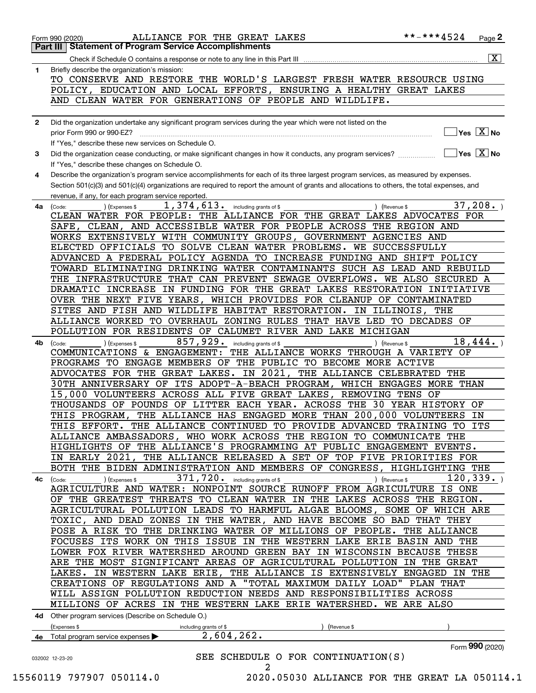| 1            |                                                                                                                                              |                 | $\overline{\mathbf{x}}$                 |
|--------------|----------------------------------------------------------------------------------------------------------------------------------------------|-----------------|-----------------------------------------|
|              | Briefly describe the organization's mission:<br>TO CONSERVE AND RESTORE THE WORLD'S LARGEST FRESH WATER RESOURCE USING                       |                 |                                         |
|              | POLICY, EDUCATION AND LOCAL EFFORTS, ENSURING A HEALTHY GREAT LAKES                                                                          |                 |                                         |
|              | AND CLEAN WATER FOR GENERATIONS OF PEOPLE AND WILDLIFE.                                                                                      |                 |                                         |
|              |                                                                                                                                              |                 |                                         |
| $\mathbf{2}$ | Did the organization undertake any significant program services during the year which were not listed on the                                 |                 |                                         |
|              | prior Form 990 or 990-EZ?                                                                                                                    |                 | $\sqrt{}$ Yes $\sqrt{X}$ No             |
|              | If "Yes," describe these new services on Schedule O.                                                                                         |                 |                                         |
| 3            | Did the organization cease conducting, or make significant changes in how it conducts, any program services?                                 |                 | $\overline{\mathsf{Yes} \mathbb{X}}$ No |
|              | If "Yes," describe these changes on Schedule O.                                                                                              |                 |                                         |
| 4            | Describe the organization's program service accomplishments for each of its three largest program services, as measured by expenses.         |                 |                                         |
|              | Section 501(c)(3) and 501(c)(4) organizations are required to report the amount of grants and allocations to others, the total expenses, and |                 |                                         |
|              | revenue, if any, for each program service reported.                                                                                          |                 |                                         |
| 4a           | 1, 374, 613. including grants of \$<br>) (Expenses \$<br>) (Revenue \$<br>(Code:                                                             |                 | 37,208.                                 |
|              | CLEAN WATER FOR PEOPLE: THE ALLIANCE FOR THE GREAT LAKES ADVOCATES FOR                                                                       |                 |                                         |
|              | SAFE, CLEAN, AND ACCESSIBLE WATER FOR PEOPLE ACROSS THE REGION AND                                                                           |                 |                                         |
|              | WORKS EXTENSIVELY WITH COMMUNITY GROUPS, GOVERNMENT AGENCIES AND                                                                             |                 |                                         |
|              | ELECTED OFFICIALS TO SOLVE CLEAN WATER PROBLEMS. WE SUCCESSFULLY                                                                             |                 |                                         |
|              | ADVANCED A FEDERAL POLICY AGENDA TO INCREASE FUNDING AND SHIFT POLICY                                                                        |                 |                                         |
|              | TOWARD ELIMINATING DRINKING WATER CONTAMINANTS SUCH AS LEAD AND REBUILD                                                                      |                 |                                         |
|              | THE INFRASTRUCTURE THAT CAN PREVENT SEWAGE OVERFLOWS. WE ALSO SECURED A                                                                      |                 |                                         |
|              | DRAMATIC INCREASE IN FUNDING FOR THE GREAT LAKES RESTORATION INITIATIVE                                                                      |                 |                                         |
|              | OVER THE NEXT FIVE YEARS, WHICH PROVIDES FOR CLEANUP OF CONTAMINATED                                                                         |                 |                                         |
|              | SITES AND FISH AND WILDLIFE HABITAT RESTORATION. IN ILLINOIS, THE                                                                            |                 |                                         |
|              | ALLIANCE WORKED TO OVERHAUL ZONING RULES THAT HAVE LED TO DECADES OF                                                                         |                 |                                         |
|              | POLLUTION FOR RESIDENTS OF CALUMET RIVER AND LAKE MICHIGAN                                                                                   |                 |                                         |
| 4b           | 857, 929. including grants of \$<br>) (Expenses \$<br>) (Revenue \$<br>(Code:                                                                |                 | 18,444.                                 |
|              | COMMUNICATIONS & ENGAGEMENT:<br>THE ALLIANCE WORKS THROUGH A VARIETY OF                                                                      |                 |                                         |
|              | PROGRAMS TO ENGAGE MEMBERS OF THE PUBLIC TO BECOME MORE ACTIVE                                                                               |                 |                                         |
|              | ADVOCATES FOR THE GREAT LAKES. IN 2021, THE ALLIANCE CELEBRATED THE                                                                          |                 |                                         |
|              | 30TH ANNIVERSARY OF ITS ADOPT-A-BEACH PROGRAM, WHICH ENGAGES MORE THAN                                                                       |                 |                                         |
|              | 15,000 VOLUNTEERS ACROSS ALL FIVE GREAT LAKES, REMOVING TENS OF                                                                              |                 |                                         |
|              | THOUSANDS OF POUNDS OF LITTER EACH YEAR. ACROSS THE 30 YEAR HISTORY OF                                                                       |                 |                                         |
|              | THE ALLIANCE HAS ENGAGED MORE THAN 200,000 VOLUNTEERS IN<br>THIS PROGRAM,                                                                    |                 |                                         |
|              | THIS EFFORT. THE ALLIANCE CONTINUED TO PROVIDE ADVANCED TRAINING TO ITS                                                                      |                 |                                         |
|              | ALLIANCE AMBASSADORS, WHO WORK ACROSS THE REGION TO COMMUNICATE THE                                                                          |                 |                                         |
|              | HIGHLIGHTS OF THE ALLIANCE'S PROGRAMMING AT PUBLIC ENGAGEMENT EVENTS.                                                                        |                 |                                         |
|              | IN EARLY 2021,<br>THE ALLIANCE RELEASED A SET OF TOP FIVE PRIORITIES FOR                                                                     |                 |                                         |
|              | BOTH THE BIDEN ADMINISTRATION AND MEMBERS OF CONGRESS, HIGHLIGHTING THE                                                                      |                 |                                         |
| 4c           | 371,720. including grants of \$<br>(Expenses \$<br>(Code:<br>(Revenue \$                                                                     | 120, 339.       |                                         |
|              | AGRICULTURE AND WATER: NONPOINT SOURCE RUNOFF FROM AGRICULTURE IS ONE                                                                        |                 |                                         |
|              | OF THE GREATEST THREATS TO CLEAN WATER IN THE LAKES ACROSS THE REGION.                                                                       |                 |                                         |
|              | AGRICULTURAL POLLUTION LEADS TO HARMFUL ALGAE BLOOMS, SOME OF WHICH ARE                                                                      |                 |                                         |
|              | TOXIC, AND DEAD ZONES IN THE WATER, AND HAVE BECOME SO BAD THAT THEY                                                                         |                 |                                         |
|              | POSE A RISK TO THE DRINKING WATER OF MILLIONS OF PEOPLE. THE ALLIANCE                                                                        |                 |                                         |
|              | FOCUSES ITS WORK ON THIS ISSUE IN THE WESTERN LAKE ERIE BASIN AND THE                                                                        |                 |                                         |
|              | LOWER FOX RIVER WATERSHED AROUND GREEN BAY IN WISCONSIN BECAUSE THESE                                                                        |                 |                                         |
|              | ARE THE MOST SIGNIFICANT AREAS OF AGRICULTURAL POLLUTION IN THE GREAT                                                                        |                 |                                         |
|              | THE ALLIANCE IS EXTENSIVELY ENGAGED IN THE<br>IN WESTERN LAKE ERIE,<br>LAKES.                                                                |                 |                                         |
|              | CREATIONS OF REGULATIONS AND A<br>"TOTAL MAXIMUM DAILY LOAD" PLAN THAT                                                                       |                 |                                         |
|              | WILL ASSIGN POLLUTION REDUCTION NEEDS AND RESPONSIBILITIES ACROSS                                                                            |                 |                                         |
|              | MILLIONS OF ACRES IN THE WESTERN LAKE ERIE WATERSHED. WE ARE ALSO                                                                            |                 |                                         |
|              | 4d Other program services (Describe on Schedule O.)                                                                                          |                 |                                         |
|              | (Expenses \$<br>including grants of \$<br>(Revenue \$                                                                                        |                 |                                         |
|              | 2,604,262.<br>Total program service expenses                                                                                                 |                 |                                         |
|              |                                                                                                                                              | Form 990 (2020) |                                         |
|              |                                                                                                                                              |                 |                                         |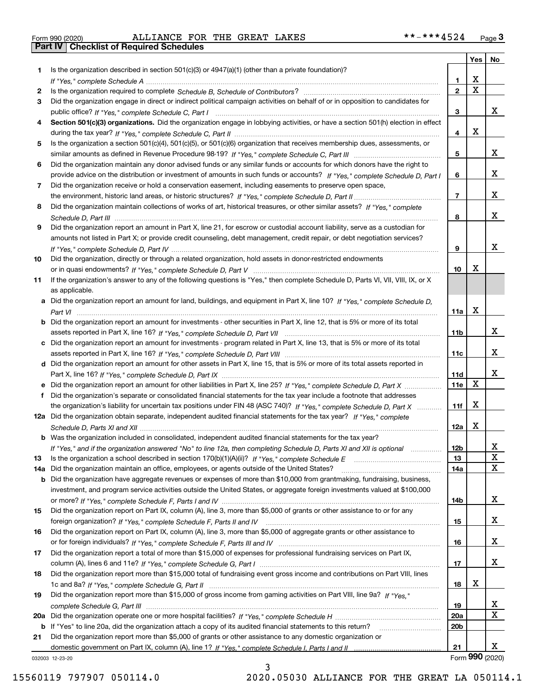| Form 990 (2020) |  |  |
|-----------------|--|--|

Form 990 (2020) Page **3Part IV Checklist of Required Schedules** ALLIANCE FOR THE GREAT LAKES \*\*-\*\*\*4524

|     |                                                                                                                                       |                 | Yes                     | No              |
|-----|---------------------------------------------------------------------------------------------------------------------------------------|-----------------|-------------------------|-----------------|
| 1.  | Is the organization described in section $501(c)(3)$ or $4947(a)(1)$ (other than a private foundation)?                               |                 |                         |                 |
|     |                                                                                                                                       | 1.              | X                       |                 |
| 2   |                                                                                                                                       | $\overline{2}$  | $\overline{\mathbf{x}}$ |                 |
| 3   | Did the organization engage in direct or indirect political campaign activities on behalf of or in opposition to candidates for       |                 |                         |                 |
|     |                                                                                                                                       | 3               |                         | x               |
| 4   | Section 501(c)(3) organizations. Did the organization engage in lobbying activities, or have a section 501(h) election in effect      |                 |                         |                 |
|     |                                                                                                                                       | 4               | X                       |                 |
| 5   | Is the organization a section 501(c)(4), 501(c)(5), or 501(c)(6) organization that receives membership dues, assessments, or          |                 |                         |                 |
|     |                                                                                                                                       | 5               |                         | х               |
| 6   | Did the organization maintain any donor advised funds or any similar funds or accounts for which donors have the right to             |                 |                         |                 |
|     | provide advice on the distribution or investment of amounts in such funds or accounts? If "Yes," complete Schedule D, Part I          | 6               |                         | x               |
| 7   | Did the organization receive or hold a conservation easement, including easements to preserve open space,                             |                 |                         | x               |
|     |                                                                                                                                       | $\overline{7}$  |                         |                 |
| 8   | Did the organization maintain collections of works of art, historical treasures, or other similar assets? If "Yes," complete          |                 |                         | x               |
|     |                                                                                                                                       | 8               |                         |                 |
| 9   | Did the organization report an amount in Part X, line 21, for escrow or custodial account liability, serve as a custodian for         |                 |                         |                 |
|     | amounts not listed in Part X; or provide credit counseling, debt management, credit repair, or debt negotiation services?             | 9               |                         | x               |
|     |                                                                                                                                       |                 |                         |                 |
| 10  | Did the organization, directly or through a related organization, hold assets in donor-restricted endowments                          | 10              | х                       |                 |
| 11  | If the organization's answer to any of the following questions is "Yes," then complete Schedule D, Parts VI, VII, VIII, IX, or X      |                 |                         |                 |
|     | as applicable.                                                                                                                        |                 |                         |                 |
|     | a Did the organization report an amount for land, buildings, and equipment in Part X, line 10? If "Yes," complete Schedule D,         |                 |                         |                 |
|     |                                                                                                                                       | 11a             | X                       |                 |
|     | <b>b</b> Did the organization report an amount for investments - other securities in Part X, line 12, that is 5% or more of its total |                 |                         |                 |
|     |                                                                                                                                       | 11 <sub>b</sub> |                         | x               |
|     | c Did the organization report an amount for investments - program related in Part X, line 13, that is 5% or more of its total         |                 |                         |                 |
|     |                                                                                                                                       | 11c             |                         | X.              |
|     | d Did the organization report an amount for other assets in Part X, line 15, that is 5% or more of its total assets reported in       |                 |                         |                 |
|     |                                                                                                                                       | 11d             |                         | x               |
|     |                                                                                                                                       | 11e             | X                       |                 |
| f   | Did the organization's separate or consolidated financial statements for the tax year include a footnote that addresses               |                 |                         |                 |
|     | the organization's liability for uncertain tax positions under FIN 48 (ASC 740)? If "Yes," complete Schedule D, Part X                | 11f             | Х                       |                 |
|     | 12a Did the organization obtain separate, independent audited financial statements for the tax year? If "Yes," complete               |                 |                         |                 |
|     |                                                                                                                                       | 12a             | x                       |                 |
|     | <b>b</b> Was the organization included in consolidated, independent audited financial statements for the tax year?                    |                 |                         |                 |
|     | If "Yes," and if the organization answered "No" to line 12a, then completing Schedule D, Parts XI and XII is optional                 | 12b             |                         | A               |
| 13  |                                                                                                                                       | 13              |                         | $\mathbf X$     |
| 14a | Did the organization maintain an office, employees, or agents outside of the United States?                                           | 14a             |                         | X               |
| b   | Did the organization have aggregate revenues or expenses of more than \$10,000 from grantmaking, fundraising, business,               |                 |                         |                 |
|     | investment, and program service activities outside the United States, or aggregate foreign investments valued at \$100,000            |                 |                         |                 |
|     |                                                                                                                                       | 14b             |                         | X.              |
| 15  | Did the organization report on Part IX, column (A), line 3, more than \$5,000 of grants or other assistance to or for any             |                 |                         |                 |
|     |                                                                                                                                       | 15              |                         | x               |
| 16  | Did the organization report on Part IX, column (A), line 3, more than \$5,000 of aggregate grants or other assistance to              |                 |                         |                 |
|     |                                                                                                                                       | 16              |                         | x               |
| 17  | Did the organization report a total of more than \$15,000 of expenses for professional fundraising services on Part IX,               |                 |                         | x               |
|     |                                                                                                                                       | 17              |                         |                 |
| 18  | Did the organization report more than \$15,000 total of fundraising event gross income and contributions on Part VIII, lines          | 18              | х                       |                 |
| 19  | Did the organization report more than \$15,000 of gross income from gaming activities on Part VIII, line 9a? If "Yes."                |                 |                         |                 |
|     |                                                                                                                                       | 19              |                         | X               |
|     |                                                                                                                                       | <b>20a</b>      |                         | Χ               |
|     | b If "Yes" to line 20a, did the organization attach a copy of its audited financial statements to this return?                        | 20 <sub>b</sub> |                         |                 |
| 21  | Did the organization report more than \$5,000 of grants or other assistance to any domestic organization or                           |                 |                         |                 |
|     |                                                                                                                                       | 21              |                         | X.              |
|     | 032003 12-23-20                                                                                                                       |                 |                         | Form 990 (2020) |

3

032003 12-23-20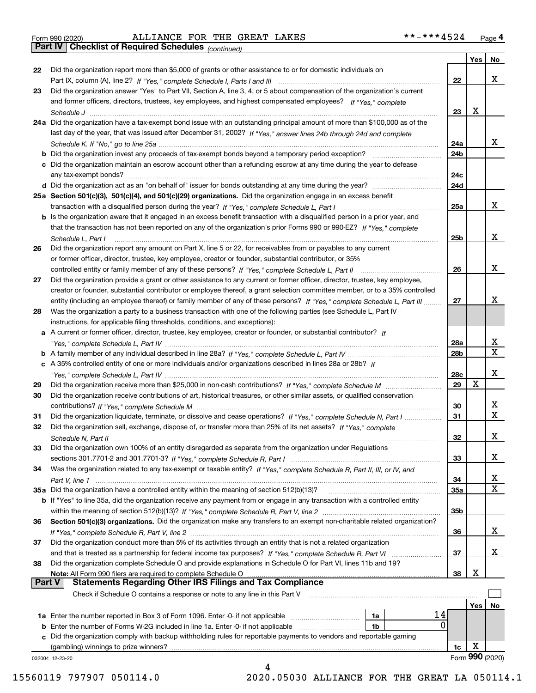Form 990 (2020) Page **4Part IV Checklist of Required Schedules** ALLIANCE FOR THE GREAT LAKES \*\*-\*\*\*4524

*(continued)*

|               |                                                                                                                              |            | Yes | No                      |
|---------------|------------------------------------------------------------------------------------------------------------------------------|------------|-----|-------------------------|
| 22            | Did the organization report more than \$5,000 of grants or other assistance to or for domestic individuals on                |            |     |                         |
|               |                                                                                                                              | 22         |     | x                       |
| 23            | Did the organization answer "Yes" to Part VII, Section A, line 3, 4, or 5 about compensation of the organization's current   |            |     |                         |
|               | and former officers, directors, trustees, key employees, and highest compensated employees? If "Yes," complete               |            |     |                         |
|               |                                                                                                                              | 23         | х   |                         |
|               | 24a Did the organization have a tax-exempt bond issue with an outstanding principal amount of more than \$100,000 as of the  |            |     |                         |
|               | last day of the year, that was issued after December 31, 2002? If "Yes," answer lines 24b through 24d and complete           |            |     |                         |
|               |                                                                                                                              | 24a        |     | X.                      |
|               |                                                                                                                              | 24b        |     |                         |
|               | c Did the organization maintain an escrow account other than a refunding escrow at any time during the year to defease       |            |     |                         |
|               |                                                                                                                              | 24c        |     |                         |
|               |                                                                                                                              | 24d        |     |                         |
|               | 25a Section 501(c)(3), 501(c)(4), and 501(c)(29) organizations. Did the organization engage in an excess benefit             |            |     |                         |
|               |                                                                                                                              | 25a        |     | x                       |
|               | b Is the organization aware that it engaged in an excess benefit transaction with a disqualified person in a prior year, and |            |     |                         |
|               | that the transaction has not been reported on any of the organization's prior Forms 990 or 990-EZ? If "Yes," complete        |            |     |                         |
|               |                                                                                                                              |            |     | x                       |
|               | Schedule L, Part I                                                                                                           | 25b        |     |                         |
| 26            | Did the organization report any amount on Part X, line 5 or 22, for receivables from or payables to any current              |            |     |                         |
|               | or former officer, director, trustee, key employee, creator or founder, substantial contributor, or 35%                      |            |     |                         |
|               |                                                                                                                              | 26         |     | x                       |
| 27            | Did the organization provide a grant or other assistance to any current or former officer, director, trustee, key employee,  |            |     |                         |
|               | creator or founder, substantial contributor or employee thereof, a grant selection committee member, or to a 35% controlled  |            |     |                         |
|               | entity (including an employee thereof) or family member of any of these persons? If "Yes," complete Schedule L, Part III     | 27         |     | х                       |
| 28            | Was the organization a party to a business transaction with one of the following parties (see Schedule L, Part IV            |            |     |                         |
|               | instructions, for applicable filing thresholds, conditions, and exceptions):                                                 |            |     |                         |
|               | a A current or former officer, director, trustee, key employee, creator or founder, or substantial contributor? If           |            |     |                         |
|               |                                                                                                                              | 28a        |     | x                       |
|               |                                                                                                                              | 28b        |     | $\overline{\mathbf{X}}$ |
|               | c A 35% controlled entity of one or more individuals and/or organizations described in lines 28a or 28b? If                  |            |     |                         |
|               |                                                                                                                              | 28c        |     | x                       |
| 29            |                                                                                                                              | 29         | X   |                         |
| 30            | Did the organization receive contributions of art, historical treasures, or other similar assets, or qualified conservation  |            |     |                         |
|               |                                                                                                                              | 30         |     | х                       |
| 31            | Did the organization liquidate, terminate, or dissolve and cease operations? If "Yes," complete Schedule N, Part I           | 31         |     | $\mathbf X$             |
| 32            | Did the organization sell, exchange, dispose of, or transfer more than 25% of its net assets? If "Yes," complete             |            |     |                         |
|               |                                                                                                                              | 32         |     | x                       |
| 33            | Did the organization own 100% of an entity disregarded as separate from the organization under Regulations                   |            |     |                         |
|               |                                                                                                                              | 33         |     | х                       |
| 34            | Was the organization related to any tax-exempt or taxable entity? If "Yes," complete Schedule R, Part II, III, or IV, and    |            |     |                         |
|               |                                                                                                                              | 34         |     | x                       |
|               |                                                                                                                              |            |     | X                       |
|               | 35a Did the organization have a controlled entity within the meaning of section 512(b)(13)?                                  | <b>35a</b> |     |                         |
|               | b If "Yes" to line 35a, did the organization receive any payment from or engage in any transaction with a controlled entity  |            |     |                         |
|               |                                                                                                                              | 35b        |     |                         |
| 36            | Section 501(c)(3) organizations. Did the organization make any transfers to an exempt non-charitable related organization?   |            |     |                         |
|               |                                                                                                                              | 36         |     | x                       |
| 37            | Did the organization conduct more than 5% of its activities through an entity that is not a related organization             |            |     |                         |
|               | and that is treated as a partnership for federal income tax purposes? If "Yes," complete Schedule R, Part VI                 | 37         |     | x                       |
| 38            | Did the organization complete Schedule O and provide explanations in Schedule O for Part VI, lines 11b and 19?               |            |     |                         |
|               | Note: All Form 990 filers are required to complete Schedule O                                                                | 38         | х   |                         |
| <b>Part V</b> | <b>Statements Regarding Other IRS Filings and Tax Compliance</b>                                                             |            |     |                         |
|               | Check if Schedule O contains a response or note to any line in this Part V                                                   |            |     |                         |
|               |                                                                                                                              |            | Yes | No                      |
|               | 14<br>1a Enter the number reported in Box 3 of Form 1096. Enter -0- if not applicable<br>1a                                  |            |     |                         |
|               | 0<br><b>b</b> Enter the number of Forms W-2G included in line 1a. Enter -0- if not applicable <i>manumumumum</i><br>1b       |            |     |                         |
|               | c Did the organization comply with backup withholding rules for reportable payments to vendors and reportable gaming         |            |     |                         |
|               | (gambling) winnings to prize winners?                                                                                        | 1c         | х   |                         |
|               | 032004 12-23-20                                                                                                              |            |     | Form 990 (2020)         |
|               | Δ                                                                                                                            |            |     |                         |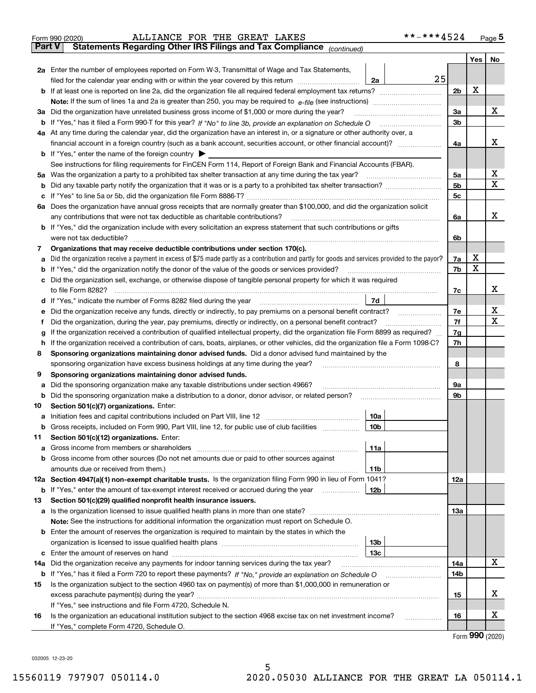|               | ALLIANCE FOR THE GREAT LAKES<br>Form 990 (2020)                                                                                                                                                                                                    | **-***4524 |     | $_{\text{Page}}$ 5          |
|---------------|----------------------------------------------------------------------------------------------------------------------------------------------------------------------------------------------------------------------------------------------------|------------|-----|-----------------------------|
| <b>Part V</b> | Statements Regarding Other IRS Filings and Tax Compliance (continued)                                                                                                                                                                              |            |     |                             |
|               |                                                                                                                                                                                                                                                    |            | Yes | No                          |
|               | 2a Enter the number of employees reported on Form W-3, Transmittal of Wage and Tax Statements,                                                                                                                                                     |            |     |                             |
|               | filed for the calendar year ending with or within the year covered by this return <i>manumumumum</i><br>2a                                                                                                                                         | 25         |     |                             |
|               |                                                                                                                                                                                                                                                    | 2b         | х   |                             |
|               |                                                                                                                                                                                                                                                    |            |     |                             |
|               | 3a Did the organization have unrelated business gross income of \$1,000 or more during the year?                                                                                                                                                   | 3a         |     | х                           |
|               |                                                                                                                                                                                                                                                    | 3b         |     |                             |
|               | 4a At any time during the calendar year, did the organization have an interest in, or a signature or other authority over, a                                                                                                                       |            |     |                             |
|               |                                                                                                                                                                                                                                                    | 4a         |     | х                           |
|               | <b>b</b> If "Yes," enter the name of the foreign country $\blacktriangleright$                                                                                                                                                                     |            |     |                             |
|               | See instructions for filing requirements for FinCEN Form 114, Report of Foreign Bank and Financial Accounts (FBAR).                                                                                                                                |            |     |                             |
| 5а            | Was the organization a party to a prohibited tax shelter transaction at any time during the tax year?                                                                                                                                              | 5a         |     | х                           |
| b             |                                                                                                                                                                                                                                                    | 5b         |     | Χ                           |
| c             |                                                                                                                                                                                                                                                    | 5c         |     |                             |
|               | 6a Does the organization have annual gross receipts that are normally greater than \$100,000, and did the organization solicit                                                                                                                     |            |     |                             |
|               | any contributions that were not tax deductible as charitable contributions? <b>manually contributions</b> (exclusive manually contributions)                                                                                                       | 6a         |     | х                           |
|               | <b>b</b> If "Yes," did the organization include with every solicitation an express statement that such contributions or gifts                                                                                                                      |            |     |                             |
|               |                                                                                                                                                                                                                                                    | 6b         |     |                             |
|               |                                                                                                                                                                                                                                                    |            |     |                             |
| 7             | Organizations that may receive deductible contributions under section 170(c).                                                                                                                                                                      | 7a         | х   |                             |
| а             | Did the organization receive a payment in excess of \$75 made partly as a contribution and partly for goods and services provided to the payor?<br>If "Yes," did the organization notify the donor of the value of the goods or services provided? | 7b         | X   |                             |
| b             |                                                                                                                                                                                                                                                    |            |     |                             |
| с             | Did the organization sell, exchange, or otherwise dispose of tangible personal property for which it was required                                                                                                                                  |            |     | х                           |
|               |                                                                                                                                                                                                                                                    | 7c         |     |                             |
|               | 7d  <br>d If "Yes," indicate the number of Forms 8282 filed during the year manufactured in the set of the set of the set of the set of the set of the set of the set of the set of the set of the set of the set of the set of the se             |            |     |                             |
| е             |                                                                                                                                                                                                                                                    | 7е         |     | х<br>X                      |
| f             | Did the organization, during the year, pay premiums, directly or indirectly, on a personal benefit contract?                                                                                                                                       | 7f         |     |                             |
| g             | If the organization received a contribution of qualified intellectual property, did the organization file Form 8899 as required?                                                                                                                   | 7g         |     |                             |
| h.            | If the organization received a contribution of cars, boats, airplanes, or other vehicles, did the organization file a Form 1098-C?                                                                                                                 | 7h         |     |                             |
| 8             | Sponsoring organizations maintaining donor advised funds. Did a donor advised fund maintained by the                                                                                                                                               |            |     |                             |
|               | sponsoring organization have excess business holdings at any time during the year?                                                                                                                                                                 | 8          |     |                             |
| 9             | Sponsoring organizations maintaining donor advised funds.                                                                                                                                                                                          |            |     |                             |
| а             | Did the sponsoring organization make any taxable distributions under section 4966?                                                                                                                                                                 | 9а         |     |                             |
| b             | Did the sponsoring organization make a distribution to a donor, donor advisor, or related person?                                                                                                                                                  | 9b         |     |                             |
| 10            | Section 501(c)(7) organizations. Enter:                                                                                                                                                                                                            |            |     |                             |
|               | 10a                                                                                                                                                                                                                                                |            |     |                             |
|               | 10b <br>Gross receipts, included on Form 990, Part VIII, line 12, for public use of club facilities                                                                                                                                                |            |     |                             |
| 11            | Section 501(c)(12) organizations. Enter:                                                                                                                                                                                                           |            |     |                             |
| a             | Gross income from members or shareholders<br>11a                                                                                                                                                                                                   |            |     |                             |
| b             | Gross income from other sources (Do not net amounts due or paid to other sources against                                                                                                                                                           |            |     |                             |
|               | 11b                                                                                                                                                                                                                                                |            |     |                             |
|               | 12a Section 4947(a)(1) non-exempt charitable trusts. Is the organization filing Form 990 in lieu of Form 1041?                                                                                                                                     | 12a        |     |                             |
|               | 12b<br><b>b</b> If "Yes," enter the amount of tax-exempt interest received or accrued during the year                                                                                                                                              |            |     |                             |
| 13            | Section 501(c)(29) qualified nonprofit health insurance issuers.                                                                                                                                                                                   |            |     |                             |
|               | a Is the organization licensed to issue qualified health plans in more than one state?                                                                                                                                                             | 13a        |     |                             |
|               | Note: See the instructions for additional information the organization must report on Schedule O.                                                                                                                                                  |            |     |                             |
| b             | Enter the amount of reserves the organization is required to maintain by the states in which the                                                                                                                                                   |            |     |                             |
|               | 13b                                                                                                                                                                                                                                                |            |     |                             |
| c             | 13с                                                                                                                                                                                                                                                |            |     |                             |
| 14a           | Did the organization receive any payments for indoor tanning services during the tax year?                                                                                                                                                         | 14a        |     | х                           |
|               |                                                                                                                                                                                                                                                    | 14b        |     |                             |
| 15            | Is the organization subject to the section 4960 tax on payment(s) of more than \$1,000,000 in remuneration or                                                                                                                                      |            |     |                             |
|               |                                                                                                                                                                                                                                                    | 15         |     | х                           |
|               | If "Yes," see instructions and file Form 4720, Schedule N.                                                                                                                                                                                         |            |     |                             |
| 16            | Is the organization an educational institution subject to the section 4968 excise tax on net investment income?                                                                                                                                    | 16         |     | х                           |
|               | If "Yes," complete Form 4720, Schedule O.                                                                                                                                                                                                          |            |     |                             |
|               |                                                                                                                                                                                                                                                    |            |     | $F_{\text{Orm}}$ 990 (2020) |

Form (2020) **990**

032005 12-23-20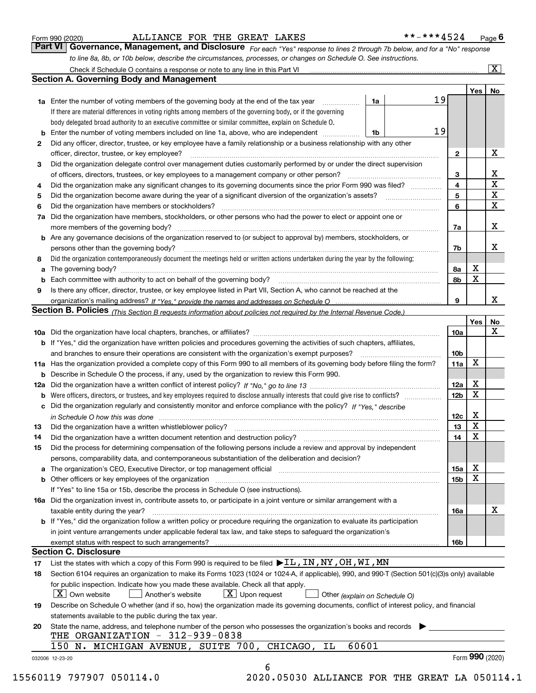|  | Form 990 (2020) |
|--|-----------------|
|  |                 |

*For each "Yes" response to lines 2 through 7b below, and for a "No" response to line 8a, 8b, or 10b below, describe the circumstances, processes, or changes on Schedule O. See instructions.* Form 990 (2020) **1990 (2020)** ALLIANCE FOR THE GREAT LAKES<br>**Part VI Governance, Management, and Disclosure** For each "Yes" response to lines 2 through 7b below, and for a "No" response

|    |                                                                                                                                                                            |    |  |              | Yes             | No                      |  |  |  |
|----|----------------------------------------------------------------------------------------------------------------------------------------------------------------------------|----|--|--------------|-----------------|-------------------------|--|--|--|
|    | <b>1a</b> Enter the number of voting members of the governing body at the end of the tax year                                                                              | 1a |  | 19           |                 |                         |  |  |  |
|    | If there are material differences in voting rights among members of the governing body, or if the governing                                                                |    |  |              |                 |                         |  |  |  |
|    | body delegated broad authority to an executive committee or similar committee, explain on Schedule O.                                                                      |    |  |              |                 |                         |  |  |  |
| b  | Enter the number of voting members included on line 1a, above, who are independent <i>manumum</i>                                                                          | 1b |  | 19           |                 |                         |  |  |  |
| 2  | Did any officer, director, trustee, or key employee have a family relationship or a business relationship with any other                                                   |    |  |              |                 |                         |  |  |  |
|    | officer, director, trustee, or key employee?                                                                                                                               |    |  | $\mathbf{2}$ |                 | X                       |  |  |  |
| 3  | Did the organization delegate control over management duties customarily performed by or under the direct supervision                                                      |    |  |              |                 |                         |  |  |  |
|    |                                                                                                                                                                            |    |  | 3            |                 | X                       |  |  |  |
| 4  | Did the organization make any significant changes to its governing documents since the prior Form 990 was filed?                                                           |    |  | 4            |                 | $\overline{\mathbf{x}}$ |  |  |  |
| 5  |                                                                                                                                                                            |    |  | 5            |                 | X                       |  |  |  |
| 6  | Did the organization have members or stockholders?                                                                                                                         |    |  | 6            |                 | X                       |  |  |  |
| 7a | Did the organization have members, stockholders, or other persons who had the power to elect or appoint one or                                                             |    |  |              |                 |                         |  |  |  |
|    |                                                                                                                                                                            |    |  | 7a           |                 | x                       |  |  |  |
|    | <b>b</b> Are any governance decisions of the organization reserved to (or subject to approval by) members, stockholders, or                                                |    |  |              |                 |                         |  |  |  |
|    | persons other than the governing body?                                                                                                                                     |    |  | 7b           |                 | х                       |  |  |  |
| 8  | Did the organization contemporaneously document the meetings held or written actions undertaken during the year by the following:                                          |    |  |              |                 |                         |  |  |  |
| a  |                                                                                                                                                                            |    |  | 8a           | X               |                         |  |  |  |
| b  |                                                                                                                                                                            |    |  | 8b           | X               |                         |  |  |  |
| 9  | Is there any officer, director, trustee, or key employee listed in Part VII, Section A, who cannot be reached at the                                                       |    |  |              |                 |                         |  |  |  |
|    |                                                                                                                                                                            |    |  | 9            |                 | x                       |  |  |  |
|    | <b>Section B. Policies</b> (This Section B requests information about policies not required by the Internal Revenue Code.)                                                 |    |  |              |                 |                         |  |  |  |
|    |                                                                                                                                                                            |    |  |              | Yes             | No                      |  |  |  |
|    |                                                                                                                                                                            |    |  | 10a          |                 | X                       |  |  |  |
|    | <b>b</b> If "Yes," did the organization have written policies and procedures governing the activities of such chapters, affiliates,                                        |    |  |              |                 |                         |  |  |  |
|    |                                                                                                                                                                            |    |  |              |                 |                         |  |  |  |
|    | 11a Has the organization provided a complete copy of this Form 990 to all members of its governing body before filing the form?                                            |    |  |              |                 |                         |  |  |  |
|    | <b>b</b> Describe in Schedule O the process, if any, used by the organization to review this Form 990.                                                                     |    |  | 11a          | X               |                         |  |  |  |
|    |                                                                                                                                                                            |    |  | 12a          | X               |                         |  |  |  |
| b  |                                                                                                                                                                            |    |  | 12b          | X               |                         |  |  |  |
|    | c Did the organization regularly and consistently monitor and enforce compliance with the policy? If "Yes." describe                                                       |    |  |              |                 |                         |  |  |  |
|    | in Schedule O how this was done manufactured and continuum control of the state of the state of the state of t                                                             |    |  | 12c          | X               |                         |  |  |  |
| 13 |                                                                                                                                                                            |    |  | 13           | X               |                         |  |  |  |
| 14 | Did the organization have a written document retention and destruction policy? manufactured and the organization have a written document retention and destruction policy? |    |  | 14           | X               |                         |  |  |  |
| 15 | Did the process for determining compensation of the following persons include a review and approval by independent                                                         |    |  |              |                 |                         |  |  |  |
|    | persons, comparability data, and contemporaneous substantiation of the deliberation and decision?                                                                          |    |  |              |                 |                         |  |  |  |
|    |                                                                                                                                                                            |    |  | <b>15a</b>   | X               |                         |  |  |  |
|    |                                                                                                                                                                            |    |  | 15b          | X               |                         |  |  |  |
|    | If "Yes" to line 15a or 15b, describe the process in Schedule O (see instructions).                                                                                        |    |  |              |                 |                         |  |  |  |
|    | 16a Did the organization invest in, contribute assets to, or participate in a joint venture or similar arrangement with a                                                  |    |  |              |                 |                         |  |  |  |
|    | taxable entity during the year?                                                                                                                                            |    |  |              |                 | X                       |  |  |  |
|    | b If "Yes," did the organization follow a written policy or procedure requiring the organization to evaluate its participation                                             |    |  | 16a          |                 |                         |  |  |  |
|    |                                                                                                                                                                            |    |  |              |                 |                         |  |  |  |
|    | in joint venture arrangements under applicable federal tax law, and take steps to safeguard the organization's                                                             |    |  |              |                 |                         |  |  |  |
|    | exempt status with respect to such arrangements?<br><b>Section C. Disclosure</b>                                                                                           |    |  | 16b          |                 |                         |  |  |  |
| 17 | List the states with which a copy of this Form 990 is required to be filed $\blacktriangleright$ IL, IN, NY, OH, WI, MN                                                    |    |  |              |                 |                         |  |  |  |
| 18 | Section 6104 requires an organization to make its Forms 1023 (1024 or 1024-A, if applicable), 990, and 990-T (Section 501(c)(3)s only) available                           |    |  |              |                 |                         |  |  |  |
|    |                                                                                                                                                                            |    |  |              |                 |                         |  |  |  |
|    | for public inspection. Indicate how you made these available. Check all that apply.                                                                                        |    |  |              |                 |                         |  |  |  |
|    | $\boxed{\text{X}}$ Upon request<br>$\mid$ $\rm X \mid$ Own website<br>Another's website<br>Other (explain on Schedule O)                                                   |    |  |              |                 |                         |  |  |  |
| 19 | Describe on Schedule O whether (and if so, how) the organization made its governing documents, conflict of interest policy, and financial                                  |    |  |              |                 |                         |  |  |  |
|    | statements available to the public during the tax year.                                                                                                                    |    |  |              |                 |                         |  |  |  |
| 20 | State the name, address, and telephone number of the person who possesses the organization's books and records                                                             |    |  |              |                 |                         |  |  |  |
|    | THE ORGANIZATION - 312-939-0838                                                                                                                                            |    |  |              |                 |                         |  |  |  |
|    | 60601<br>150 N. MICHIGAN AVENUE, SUITE 700, CHICAGO, IL                                                                                                                    |    |  |              |                 |                         |  |  |  |
|    | 032006 12-23-20                                                                                                                                                            |    |  |              | Form 990 (2020) |                         |  |  |  |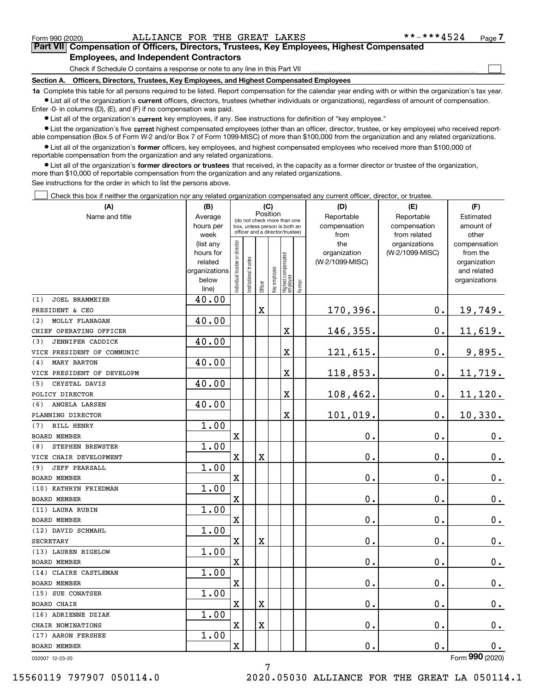$\mathcal{L}^{\text{max}}$ 

# **7Part VII Compensation of Officers, Directors, Trustees, Key Employees, Highest Compensated Employees, and Independent Contractors**

Check if Schedule O contains a response or note to any line in this Part VII

**Section A. Officers, Directors, Trustees, Key Employees, and Highest Compensated Employees**

**1a**  Complete this table for all persons required to be listed. Report compensation for the calendar year ending with or within the organization's tax year. **•** List all of the organization's current officers, directors, trustees (whether individuals or organizations), regardless of amount of compensation.

Enter -0- in columns (D), (E), and (F) if no compensation was paid.

 $\bullet$  List all of the organization's  $\,$ current key employees, if any. See instructions for definition of "key employee."

**•** List the organization's five current highest compensated employees (other than an officer, director, trustee, or key employee) who received reportable compensation (Box 5 of Form W-2 and/or Box 7 of Form 1099-MISC) of more than \$100,000 from the organization and any related organizations.

**•** List all of the organization's former officers, key employees, and highest compensated employees who received more than \$100,000 of reportable compensation from the organization and any related organizations.

**former directors or trustees**  ¥ List all of the organization's that received, in the capacity as a former director or trustee of the organization, more than \$10,000 of reportable compensation from the organization and any related organizations.

See instructions for the order in which to list the persons above.

Check this box if neither the organization nor any related organization compensated any current officer, director, or trustee.  $\mathcal{L}^{\text{max}}$ 

| Position<br>Name and title<br>Reportable<br>Average<br>Reportable<br>Estimated<br>(do not check more than one<br>hours per<br>compensation<br>compensation<br>amount of<br>box, unless person is both an<br>officer and a director/trustee)<br>week<br>from<br>from related<br>other<br>ndividual trustee or director<br>(list any<br>the<br>organizations<br>compensation<br>hours for<br>organization<br>(W-2/1099-MISC)<br>from the<br>Highest compensated<br> employee<br>Institutional trustee<br>(W-2/1099-MISC)<br>related<br>organization<br>Key employee<br>organizations<br>and related<br>below<br>organizations<br>Former<br>Officer<br>line)<br>40.00<br><b>JOEL BRAMMEIER</b><br>$\mathbf 0$ .<br>170,396.<br>$\mathbf X$<br>19,749.<br>40.00<br>MOLLY FLANAGAN<br>$\mathbf 0$ .<br>11,619.<br>146,355.<br>X<br>40.00<br>JENNIFER CADDICK<br>121,615.<br>9,895.<br>$\mathbf{0}$ .<br>X<br>40.00<br><b>MARY BARTON</b><br>$\mathbf 0$ .<br>X<br>118,853.<br>11,719.<br>40.00<br>CRYSTAL DAVIS<br>X<br>108,462.<br>$\mathbf 0$ .<br>11,120.<br>40.00<br>ANGELA LARSEN<br>101,019.<br>$\mathbf 0$ .<br>10,330.<br>X<br>1.00<br><b>BILL HENRY</b><br>$\mathbf 0$ .<br>$\mathbf 0$ .<br>X<br>$0_{.}$<br>1.00<br>STEPHEN BREWSTER<br>0.<br>$\mathbf 0$ .<br>X<br>$\overline{\textbf{X}}$<br>$0_{.}$<br>1.00<br><b>JEFF PEARSALL</b><br>0.<br>$\overline{\mathbf{X}}$<br>0.<br>$0_{.}$<br>1.00<br>$\overline{\text{X}}$<br>0.<br>$\mathbf 0$ .<br>0.<br>1.00<br>0.<br>X<br>0.<br>$\mathbf 0$ .<br>1.00<br>$\mathbf X$<br>$\rm X$<br>0.<br>$\mathbf 0$ .<br>$\mathbf 0$ .<br>1.00<br>$\mathbf 0$ .<br>X<br>0.<br>$\mathbf 0$ .<br>1.00<br>$\overline{\text{X}}$<br>$\mathbf 0$ .<br>$\mathbf 0$ .<br>$\mathbf 0$ .<br>1.00<br>0.<br>$\mathbf X$<br>$\mathbf X$<br>$\mathbf 0$ .<br>$0_{.}$<br>1.00<br>0.<br>$\mathbf{0}$ .<br>$\rm X$<br>$\rm X$<br>$\mathbf 0$ .<br>1.00<br>$\rm X$<br>0.<br>$\mathbf 0$ .<br>0. | (A)                        | (B) |  | (C) |  | (D) | (E) | (F) |
|-------------------------------------------------------------------------------------------------------------------------------------------------------------------------------------------------------------------------------------------------------------------------------------------------------------------------------------------------------------------------------------------------------------------------------------------------------------------------------------------------------------------------------------------------------------------------------------------------------------------------------------------------------------------------------------------------------------------------------------------------------------------------------------------------------------------------------------------------------------------------------------------------------------------------------------------------------------------------------------------------------------------------------------------------------------------------------------------------------------------------------------------------------------------------------------------------------------------------------------------------------------------------------------------------------------------------------------------------------------------------------------------------------------------------------------------------------------------------------------------------------------------------------------------------------------------------------------------------------------------------------------------------------------------------------------------------------------------------------------------------------------------------------------------------------------------------------------------------------------------------------------------------------------------------|----------------------------|-----|--|-----|--|-----|-----|-----|
|                                                                                                                                                                                                                                                                                                                                                                                                                                                                                                                                                                                                                                                                                                                                                                                                                                                                                                                                                                                                                                                                                                                                                                                                                                                                                                                                                                                                                                                                                                                                                                                                                                                                                                                                                                                                                                                                                                                         |                            |     |  |     |  |     |     |     |
|                                                                                                                                                                                                                                                                                                                                                                                                                                                                                                                                                                                                                                                                                                                                                                                                                                                                                                                                                                                                                                                                                                                                                                                                                                                                                                                                                                                                                                                                                                                                                                                                                                                                                                                                                                                                                                                                                                                         |                            |     |  |     |  |     |     |     |
|                                                                                                                                                                                                                                                                                                                                                                                                                                                                                                                                                                                                                                                                                                                                                                                                                                                                                                                                                                                                                                                                                                                                                                                                                                                                                                                                                                                                                                                                                                                                                                                                                                                                                                                                                                                                                                                                                                                         |                            |     |  |     |  |     |     |     |
|                                                                                                                                                                                                                                                                                                                                                                                                                                                                                                                                                                                                                                                                                                                                                                                                                                                                                                                                                                                                                                                                                                                                                                                                                                                                                                                                                                                                                                                                                                                                                                                                                                                                                                                                                                                                                                                                                                                         |                            |     |  |     |  |     |     |     |
|                                                                                                                                                                                                                                                                                                                                                                                                                                                                                                                                                                                                                                                                                                                                                                                                                                                                                                                                                                                                                                                                                                                                                                                                                                                                                                                                                                                                                                                                                                                                                                                                                                                                                                                                                                                                                                                                                                                         |                            |     |  |     |  |     |     |     |
|                                                                                                                                                                                                                                                                                                                                                                                                                                                                                                                                                                                                                                                                                                                                                                                                                                                                                                                                                                                                                                                                                                                                                                                                                                                                                                                                                                                                                                                                                                                                                                                                                                                                                                                                                                                                                                                                                                                         |                            |     |  |     |  |     |     |     |
|                                                                                                                                                                                                                                                                                                                                                                                                                                                                                                                                                                                                                                                                                                                                                                                                                                                                                                                                                                                                                                                                                                                                                                                                                                                                                                                                                                                                                                                                                                                                                                                                                                                                                                                                                                                                                                                                                                                         |                            |     |  |     |  |     |     |     |
|                                                                                                                                                                                                                                                                                                                                                                                                                                                                                                                                                                                                                                                                                                                                                                                                                                                                                                                                                                                                                                                                                                                                                                                                                                                                                                                                                                                                                                                                                                                                                                                                                                                                                                                                                                                                                                                                                                                         |                            |     |  |     |  |     |     |     |
|                                                                                                                                                                                                                                                                                                                                                                                                                                                                                                                                                                                                                                                                                                                                                                                                                                                                                                                                                                                                                                                                                                                                                                                                                                                                                                                                                                                                                                                                                                                                                                                                                                                                                                                                                                                                                                                                                                                         | (1)                        |     |  |     |  |     |     |     |
|                                                                                                                                                                                                                                                                                                                                                                                                                                                                                                                                                                                                                                                                                                                                                                                                                                                                                                                                                                                                                                                                                                                                                                                                                                                                                                                                                                                                                                                                                                                                                                                                                                                                                                                                                                                                                                                                                                                         | PRESIDENT & CEO            |     |  |     |  |     |     |     |
|                                                                                                                                                                                                                                                                                                                                                                                                                                                                                                                                                                                                                                                                                                                                                                                                                                                                                                                                                                                                                                                                                                                                                                                                                                                                                                                                                                                                                                                                                                                                                                                                                                                                                                                                                                                                                                                                                                                         | (2)                        |     |  |     |  |     |     |     |
|                                                                                                                                                                                                                                                                                                                                                                                                                                                                                                                                                                                                                                                                                                                                                                                                                                                                                                                                                                                                                                                                                                                                                                                                                                                                                                                                                                                                                                                                                                                                                                                                                                                                                                                                                                                                                                                                                                                         | CHIEF OPERATING OFFICER    |     |  |     |  |     |     |     |
|                                                                                                                                                                                                                                                                                                                                                                                                                                                                                                                                                                                                                                                                                                                                                                                                                                                                                                                                                                                                                                                                                                                                                                                                                                                                                                                                                                                                                                                                                                                                                                                                                                                                                                                                                                                                                                                                                                                         | (3)                        |     |  |     |  |     |     |     |
|                                                                                                                                                                                                                                                                                                                                                                                                                                                                                                                                                                                                                                                                                                                                                                                                                                                                                                                                                                                                                                                                                                                                                                                                                                                                                                                                                                                                                                                                                                                                                                                                                                                                                                                                                                                                                                                                                                                         | VICE PRESIDENT OF COMMUNIC |     |  |     |  |     |     |     |
|                                                                                                                                                                                                                                                                                                                                                                                                                                                                                                                                                                                                                                                                                                                                                                                                                                                                                                                                                                                                                                                                                                                                                                                                                                                                                                                                                                                                                                                                                                                                                                                                                                                                                                                                                                                                                                                                                                                         | (4)                        |     |  |     |  |     |     |     |
|                                                                                                                                                                                                                                                                                                                                                                                                                                                                                                                                                                                                                                                                                                                                                                                                                                                                                                                                                                                                                                                                                                                                                                                                                                                                                                                                                                                                                                                                                                                                                                                                                                                                                                                                                                                                                                                                                                                         | VICE PRESIDENT OF DEVELOPM |     |  |     |  |     |     |     |
|                                                                                                                                                                                                                                                                                                                                                                                                                                                                                                                                                                                                                                                                                                                                                                                                                                                                                                                                                                                                                                                                                                                                                                                                                                                                                                                                                                                                                                                                                                                                                                                                                                                                                                                                                                                                                                                                                                                         | (5)                        |     |  |     |  |     |     |     |
|                                                                                                                                                                                                                                                                                                                                                                                                                                                                                                                                                                                                                                                                                                                                                                                                                                                                                                                                                                                                                                                                                                                                                                                                                                                                                                                                                                                                                                                                                                                                                                                                                                                                                                                                                                                                                                                                                                                         | POLICY DIRECTOR            |     |  |     |  |     |     |     |
|                                                                                                                                                                                                                                                                                                                                                                                                                                                                                                                                                                                                                                                                                                                                                                                                                                                                                                                                                                                                                                                                                                                                                                                                                                                                                                                                                                                                                                                                                                                                                                                                                                                                                                                                                                                                                                                                                                                         | (6)                        |     |  |     |  |     |     |     |
|                                                                                                                                                                                                                                                                                                                                                                                                                                                                                                                                                                                                                                                                                                                                                                                                                                                                                                                                                                                                                                                                                                                                                                                                                                                                                                                                                                                                                                                                                                                                                                                                                                                                                                                                                                                                                                                                                                                         | PLANNING DIRECTOR          |     |  |     |  |     |     |     |
|                                                                                                                                                                                                                                                                                                                                                                                                                                                                                                                                                                                                                                                                                                                                                                                                                                                                                                                                                                                                                                                                                                                                                                                                                                                                                                                                                                                                                                                                                                                                                                                                                                                                                                                                                                                                                                                                                                                         | (7)                        |     |  |     |  |     |     |     |
|                                                                                                                                                                                                                                                                                                                                                                                                                                                                                                                                                                                                                                                                                                                                                                                                                                                                                                                                                                                                                                                                                                                                                                                                                                                                                                                                                                                                                                                                                                                                                                                                                                                                                                                                                                                                                                                                                                                         | <b>BOARD MEMBER</b>        |     |  |     |  |     |     |     |
|                                                                                                                                                                                                                                                                                                                                                                                                                                                                                                                                                                                                                                                                                                                                                                                                                                                                                                                                                                                                                                                                                                                                                                                                                                                                                                                                                                                                                                                                                                                                                                                                                                                                                                                                                                                                                                                                                                                         | (8)                        |     |  |     |  |     |     |     |
|                                                                                                                                                                                                                                                                                                                                                                                                                                                                                                                                                                                                                                                                                                                                                                                                                                                                                                                                                                                                                                                                                                                                                                                                                                                                                                                                                                                                                                                                                                                                                                                                                                                                                                                                                                                                                                                                                                                         | VICE CHAIR DEVELOPMENT     |     |  |     |  |     |     |     |
|                                                                                                                                                                                                                                                                                                                                                                                                                                                                                                                                                                                                                                                                                                                                                                                                                                                                                                                                                                                                                                                                                                                                                                                                                                                                                                                                                                                                                                                                                                                                                                                                                                                                                                                                                                                                                                                                                                                         | (9)                        |     |  |     |  |     |     |     |
|                                                                                                                                                                                                                                                                                                                                                                                                                                                                                                                                                                                                                                                                                                                                                                                                                                                                                                                                                                                                                                                                                                                                                                                                                                                                                                                                                                                                                                                                                                                                                                                                                                                                                                                                                                                                                                                                                                                         | <b>BOARD MEMBER</b>        |     |  |     |  |     |     |     |
|                                                                                                                                                                                                                                                                                                                                                                                                                                                                                                                                                                                                                                                                                                                                                                                                                                                                                                                                                                                                                                                                                                                                                                                                                                                                                                                                                                                                                                                                                                                                                                                                                                                                                                                                                                                                                                                                                                                         | (10) KATHRYN FRIEDMAN      |     |  |     |  |     |     |     |
|                                                                                                                                                                                                                                                                                                                                                                                                                                                                                                                                                                                                                                                                                                                                                                                                                                                                                                                                                                                                                                                                                                                                                                                                                                                                                                                                                                                                                                                                                                                                                                                                                                                                                                                                                                                                                                                                                                                         | <b>BOARD MEMBER</b>        |     |  |     |  |     |     |     |
|                                                                                                                                                                                                                                                                                                                                                                                                                                                                                                                                                                                                                                                                                                                                                                                                                                                                                                                                                                                                                                                                                                                                                                                                                                                                                                                                                                                                                                                                                                                                                                                                                                                                                                                                                                                                                                                                                                                         | (11) LAURA RUBIN           |     |  |     |  |     |     |     |
|                                                                                                                                                                                                                                                                                                                                                                                                                                                                                                                                                                                                                                                                                                                                                                                                                                                                                                                                                                                                                                                                                                                                                                                                                                                                                                                                                                                                                                                                                                                                                                                                                                                                                                                                                                                                                                                                                                                         | <b>BOARD MEMBER</b>        |     |  |     |  |     |     |     |
|                                                                                                                                                                                                                                                                                                                                                                                                                                                                                                                                                                                                                                                                                                                                                                                                                                                                                                                                                                                                                                                                                                                                                                                                                                                                                                                                                                                                                                                                                                                                                                                                                                                                                                                                                                                                                                                                                                                         | (12) DAVID SCHMAHL         |     |  |     |  |     |     |     |
|                                                                                                                                                                                                                                                                                                                                                                                                                                                                                                                                                                                                                                                                                                                                                                                                                                                                                                                                                                                                                                                                                                                                                                                                                                                                                                                                                                                                                                                                                                                                                                                                                                                                                                                                                                                                                                                                                                                         | <b>SECRETARY</b>           |     |  |     |  |     |     |     |
|                                                                                                                                                                                                                                                                                                                                                                                                                                                                                                                                                                                                                                                                                                                                                                                                                                                                                                                                                                                                                                                                                                                                                                                                                                                                                                                                                                                                                                                                                                                                                                                                                                                                                                                                                                                                                                                                                                                         | (13) LAUREN BIGELOW        |     |  |     |  |     |     |     |
|                                                                                                                                                                                                                                                                                                                                                                                                                                                                                                                                                                                                                                                                                                                                                                                                                                                                                                                                                                                                                                                                                                                                                                                                                                                                                                                                                                                                                                                                                                                                                                                                                                                                                                                                                                                                                                                                                                                         | BOARD MEMBER               |     |  |     |  |     |     |     |
|                                                                                                                                                                                                                                                                                                                                                                                                                                                                                                                                                                                                                                                                                                                                                                                                                                                                                                                                                                                                                                                                                                                                                                                                                                                                                                                                                                                                                                                                                                                                                                                                                                                                                                                                                                                                                                                                                                                         | (14) CLAIRE CASTLEMAN      |     |  |     |  |     |     |     |
|                                                                                                                                                                                                                                                                                                                                                                                                                                                                                                                                                                                                                                                                                                                                                                                                                                                                                                                                                                                                                                                                                                                                                                                                                                                                                                                                                                                                                                                                                                                                                                                                                                                                                                                                                                                                                                                                                                                         | <b>BOARD MEMBER</b>        |     |  |     |  |     |     |     |
|                                                                                                                                                                                                                                                                                                                                                                                                                                                                                                                                                                                                                                                                                                                                                                                                                                                                                                                                                                                                                                                                                                                                                                                                                                                                                                                                                                                                                                                                                                                                                                                                                                                                                                                                                                                                                                                                                                                         | (15) SUE CONATSER          |     |  |     |  |     |     |     |
|                                                                                                                                                                                                                                                                                                                                                                                                                                                                                                                                                                                                                                                                                                                                                                                                                                                                                                                                                                                                                                                                                                                                                                                                                                                                                                                                                                                                                                                                                                                                                                                                                                                                                                                                                                                                                                                                                                                         | <b>BOARD CHAIR</b>         |     |  |     |  |     |     |     |
|                                                                                                                                                                                                                                                                                                                                                                                                                                                                                                                                                                                                                                                                                                                                                                                                                                                                                                                                                                                                                                                                                                                                                                                                                                                                                                                                                                                                                                                                                                                                                                                                                                                                                                                                                                                                                                                                                                                         | (16) ADRIENNE DZIAK        |     |  |     |  |     |     |     |
|                                                                                                                                                                                                                                                                                                                                                                                                                                                                                                                                                                                                                                                                                                                                                                                                                                                                                                                                                                                                                                                                                                                                                                                                                                                                                                                                                                                                                                                                                                                                                                                                                                                                                                                                                                                                                                                                                                                         | CHAIR NOMINATIONS          |     |  |     |  |     |     |     |
|                                                                                                                                                                                                                                                                                                                                                                                                                                                                                                                                                                                                                                                                                                                                                                                                                                                                                                                                                                                                                                                                                                                                                                                                                                                                                                                                                                                                                                                                                                                                                                                                                                                                                                                                                                                                                                                                                                                         | (17) AARON FERSHEE         |     |  |     |  |     |     |     |
|                                                                                                                                                                                                                                                                                                                                                                                                                                                                                                                                                                                                                                                                                                                                                                                                                                                                                                                                                                                                                                                                                                                                                                                                                                                                                                                                                                                                                                                                                                                                                                                                                                                                                                                                                                                                                                                                                                                         | BOARD MEMBER               |     |  |     |  |     |     |     |

7

032007 12-23-20

Form (2020) **990**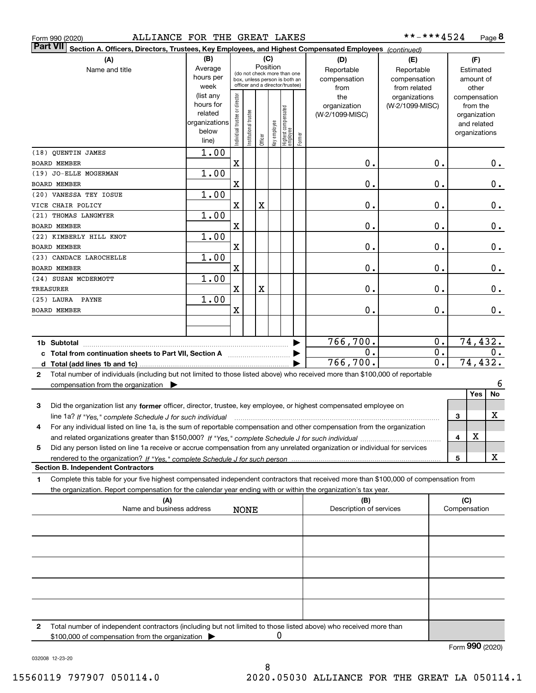|  | Form 990 (2020) |
|--|-----------------|
|  |                 |

| <b>Part VII</b><br>Section A. Officers, Directors, Trustees, Key Employees, and Highest Compensated Employees (continued)                    |                        |                                                              |                      |                         |              |                                   |              |                                |                  |                     |               |
|----------------------------------------------------------------------------------------------------------------------------------------------|------------------------|--------------------------------------------------------------|----------------------|-------------------------|--------------|-----------------------------------|--------------|--------------------------------|------------------|---------------------|---------------|
| (A)                                                                                                                                          | (B)                    |                                                              |                      |                         | (C)          |                                   |              | (D)                            | (E)              |                     | (F)           |
| Name and title                                                                                                                               | Average                |                                                              |                      | Position                |              |                                   |              | Reportable                     | Reportable       |                     | Estimated     |
|                                                                                                                                              | hours per              | (do not check more than one<br>box, unless person is both an |                      |                         |              |                                   | compensation | compensation                   |                  | amount of           |               |
|                                                                                                                                              | week                   |                                                              |                      |                         |              | officer and a director/trustee)   |              | from                           | from related     |                     | other         |
|                                                                                                                                              | (list any              |                                                              |                      |                         |              |                                   |              | the                            | organizations    |                     | compensation  |
|                                                                                                                                              | hours for              |                                                              |                      |                         |              |                                   |              | organization                   | (W-2/1099-MISC)  |                     | from the      |
|                                                                                                                                              | related                |                                                              |                      |                         |              |                                   |              | (W-2/1099-MISC)                |                  |                     | organization  |
|                                                                                                                                              | organizations<br>below |                                                              |                      |                         |              |                                   |              |                                |                  |                     | and related   |
|                                                                                                                                              | line)                  | ndividual trustee or director                                | nstitutional trustee | Officer                 | Key employee | Highest compensated<br>  employee | Former       |                                |                  |                     | organizations |
| (18) QUENTIN JAMES                                                                                                                           | 1.00                   |                                                              |                      |                         |              |                                   |              |                                |                  |                     |               |
| <b>BOARD MEMBER</b>                                                                                                                          |                        | X                                                            |                      |                         |              |                                   |              | 0.                             | 0.               |                     | $0_{.}$       |
| (19) JO-ELLE MOGERMAN                                                                                                                        | 1.00                   |                                                              |                      |                         |              |                                   |              |                                |                  |                     |               |
| <b>BOARD MEMBER</b>                                                                                                                          |                        | X                                                            |                      |                         |              |                                   |              | 0.                             | $\mathbf 0$ .    |                     | 0.            |
| (20) VANESSA TEY IOSUE                                                                                                                       | 1.00                   |                                                              |                      |                         |              |                                   |              |                                |                  |                     |               |
| VICE CHAIR POLICY                                                                                                                            |                        | X                                                            |                      | $\overline{\textbf{X}}$ |              |                                   |              | 0.                             | 0.               |                     | $0_{.}$       |
| (21) THOMAS LANGMYER                                                                                                                         | 1.00                   |                                                              |                      |                         |              |                                   |              |                                |                  |                     |               |
| <b>BOARD MEMBER</b>                                                                                                                          |                        | X                                                            |                      |                         |              |                                   |              | 0.                             | 0.               |                     | $0_{.}$       |
| (22) KIMBERLY HILL KNOT                                                                                                                      | 1.00                   |                                                              |                      |                         |              |                                   |              |                                |                  |                     |               |
| <b>BOARD MEMBER</b>                                                                                                                          |                        | X                                                            |                      |                         |              |                                   |              | 0.                             | 0.               |                     | $0_{.}$       |
| (23) CANDACE LAROCHELLE                                                                                                                      | 1.00                   |                                                              |                      |                         |              |                                   |              |                                |                  |                     |               |
| <b>BOARD MEMBER</b>                                                                                                                          | 1.00                   | X                                                            |                      |                         |              |                                   |              | 0.                             | 0.               |                     | 0.            |
| (24) SUSAN MCDERMOTT<br>TREASURER                                                                                                            |                        | X                                                            |                      | $\overline{\textbf{X}}$ |              |                                   |              | 0.                             | 0.               |                     | $\mathbf 0$ . |
| (25) LAURA PAYNE                                                                                                                             | 1.00                   |                                                              |                      |                         |              |                                   |              |                                |                  |                     |               |
| <b>BOARD MEMBER</b>                                                                                                                          |                        | X                                                            |                      |                         |              |                                   |              | 0.                             | $\mathbf 0$ .    |                     | 0.            |
|                                                                                                                                              |                        |                                                              |                      |                         |              |                                   |              |                                |                  |                     |               |
|                                                                                                                                              |                        |                                                              |                      |                         |              |                                   |              |                                |                  |                     |               |
| 1b Subtotal                                                                                                                                  |                        |                                                              |                      |                         |              |                                   |              | 766,700.                       | 0.               |                     | 74, 432.      |
|                                                                                                                                              |                        |                                                              |                      |                         |              |                                   |              | 0.                             | 0.               |                     | 0.            |
|                                                                                                                                              |                        |                                                              |                      |                         |              |                                   |              | 766, 700.                      | $\overline{0}$ . |                     | 74, 432.      |
| Total number of individuals (including but not limited to those listed above) who received more than \$100,000 of reportable<br>$\mathbf{2}$ |                        |                                                              |                      |                         |              |                                   |              |                                |                  |                     |               |
| compensation from the organization $\blacktriangleright$                                                                                     |                        |                                                              |                      |                         |              |                                   |              |                                |                  |                     | 6             |
|                                                                                                                                              |                        |                                                              |                      |                         |              |                                   |              |                                |                  |                     | No<br>Yes     |
| Did the organization list any former officer, director, trustee, key employee, or highest compensated employee on<br>3                       |                        |                                                              |                      |                         |              |                                   |              |                                |                  |                     |               |
| line 1a? If "Yes," complete Schedule J for such individual                                                                                   |                        |                                                              |                      |                         |              |                                   |              |                                |                  | 3                   | х             |
| For any individual listed on line 1a, is the sum of reportable compensation and other compensation from the organization<br>4                |                        |                                                              |                      |                         |              |                                   |              |                                |                  |                     |               |
|                                                                                                                                              |                        |                                                              |                      |                         |              |                                   |              |                                |                  | 4                   | X             |
| Did any person listed on line 1a receive or accrue compensation from any unrelated organization or individual for services<br>5              |                        |                                                              |                      |                         |              |                                   |              |                                |                  |                     |               |
|                                                                                                                                              |                        |                                                              |                      |                         |              |                                   |              |                                |                  | 5                   | x             |
| <b>Section B. Independent Contractors</b>                                                                                                    |                        |                                                              |                      |                         |              |                                   |              |                                |                  |                     |               |
| Complete this table for your five highest compensated independent contractors that received more than \$100,000 of compensation from<br>1    |                        |                                                              |                      |                         |              |                                   |              |                                |                  |                     |               |
| the organization. Report compensation for the calendar year ending with or within the organization's tax year.                               |                        |                                                              |                      |                         |              |                                   |              |                                |                  |                     |               |
| (A)<br>Name and business address                                                                                                             |                        |                                                              |                      |                         |              |                                   |              | (B)<br>Description of services |                  | (C)<br>Compensation |               |
|                                                                                                                                              |                        |                                                              | <b>NONE</b>          |                         |              |                                   |              |                                |                  |                     |               |
|                                                                                                                                              |                        |                                                              |                      |                         |              |                                   |              |                                |                  |                     |               |
|                                                                                                                                              |                        |                                                              |                      |                         |              |                                   |              |                                |                  |                     |               |
|                                                                                                                                              |                        |                                                              |                      |                         |              |                                   |              |                                |                  |                     |               |
|                                                                                                                                              |                        |                                                              |                      |                         |              |                                   |              |                                |                  |                     |               |
|                                                                                                                                              |                        |                                                              |                      |                         |              |                                   |              |                                |                  |                     |               |
|                                                                                                                                              |                        |                                                              |                      |                         |              |                                   |              |                                |                  |                     |               |
|                                                                                                                                              |                        |                                                              |                      |                         |              |                                   |              |                                |                  |                     |               |
|                                                                                                                                              |                        |                                                              |                      |                         |              |                                   |              |                                |                  |                     |               |

**2**Total number of independent contractors (including but not limited to those listed above) who received more than \$100,000 of compensation from the organization 0

Form (2020) **990**

032008 12-23-20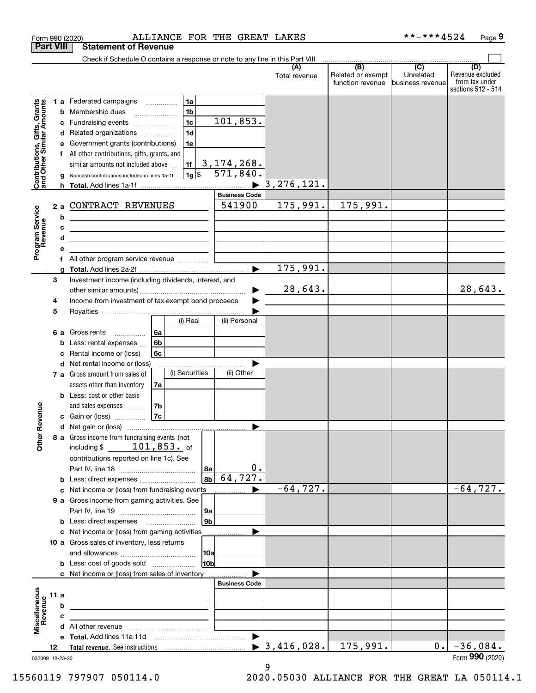|                                                           | <b>Part VIII</b>                       | <b>Statement of Revenue</b>                                                                                                                                                                                                                                                                                                                                                                                                                                                                                                                                                           |                          |                                              |                                                   |                                                                 |
|-----------------------------------------------------------|----------------------------------------|---------------------------------------------------------------------------------------------------------------------------------------------------------------------------------------------------------------------------------------------------------------------------------------------------------------------------------------------------------------------------------------------------------------------------------------------------------------------------------------------------------------------------------------------------------------------------------------|--------------------------|----------------------------------------------|---------------------------------------------------|-----------------------------------------------------------------|
|                                                           |                                        | Check if Schedule O contains a response or note to any line in this Part VIII                                                                                                                                                                                                                                                                                                                                                                                                                                                                                                         |                          |                                              |                                                   |                                                                 |
|                                                           |                                        |                                                                                                                                                                                                                                                                                                                                                                                                                                                                                                                                                                                       | (A)<br>Total revenue     | (B)<br>Related or exempt<br>function revenue | $\overline{(C)}$<br>Unrelated<br>business revenue | (D)<br>Revenue excluded<br>from tax under<br>sections 512 - 514 |
| Contributions, Gifts, Grants<br>and Other Similar Amounts | b<br>с<br>d<br>е<br>f<br>h.<br>2a<br>b | 1a<br>1 a Federated campaigns<br>.<br>1 <sub>b</sub><br>Membership dues<br>101,853.<br>1 <sub>c</sub><br>Fundraising events<br>1 <sub>d</sub><br>Related organizations<br>1e<br>Government grants (contributions)<br>All other contributions, gifts, grants, and<br><u>3,174,268.</u><br>similar amounts not included above<br>1f<br>571,840.<br> 1g <br>Noncash contributions included in lines 1a-1f<br><b>Business Code</b><br>541900<br>CONTRACT REVENUES<br><u> 1989 - Johann Barn, mars ann an t-Amhain Aonaich an t-Aonaich an t-Aonaich ann an t-Aonaich ann an t-Aonaich</u> | 3, 276, 121.<br>175,991. | 175,991.                                     |                                                   |                                                                 |
| Program Service<br>Revenue                                | c<br>d<br>е                            | <u> 1989 - Johann Barn, mars and de Brasilian (b. 1989)</u><br><u> 1989 - Johann Barn, amerikansk politiker (d. 1989)</u>                                                                                                                                                                                                                                                                                                                                                                                                                                                             |                          |                                              |                                                   |                                                                 |
|                                                           | f                                      | All other program service revenue                                                                                                                                                                                                                                                                                                                                                                                                                                                                                                                                                     |                          |                                              |                                                   |                                                                 |
|                                                           | q                                      | $\blacktriangleright$                                                                                                                                                                                                                                                                                                                                                                                                                                                                                                                                                                 | 175,991.                 |                                              |                                                   |                                                                 |
|                                                           | 3<br>4                                 | Investment income (including dividends, interest, and<br>Income from investment of tax-exempt bond proceeds                                                                                                                                                                                                                                                                                                                                                                                                                                                                           | 28,643.                  |                                              |                                                   | 28,643.                                                         |
|                                                           | 5                                      |                                                                                                                                                                                                                                                                                                                                                                                                                                                                                                                                                                                       |                          |                                              |                                                   |                                                                 |
|                                                           | 6а<br>b<br>c                           | (i) Real<br>(ii) Personal<br>Gross rents<br>l 6a<br>.<br>6 <sub>b</sub><br>Less: rental expenses<br>6c<br>Rental income or (loss)                                                                                                                                                                                                                                                                                                                                                                                                                                                     |                          |                                              |                                                   |                                                                 |
|                                                           | d                                      | Net rental income or (loss)<br>(i) Securities<br>(ii) Other<br>7 a Gross amount from sales of                                                                                                                                                                                                                                                                                                                                                                                                                                                                                         |                          |                                              |                                                   |                                                                 |
|                                                           |                                        | assets other than inventory<br>7a<br><b>b</b> Less: cost or other basis<br>7b<br>and sales expenses                                                                                                                                                                                                                                                                                                                                                                                                                                                                                   |                          |                                              |                                                   |                                                                 |
| Revenue                                                   |                                        | 7c<br>c Gain or (loss)                                                                                                                                                                                                                                                                                                                                                                                                                                                                                                                                                                |                          |                                              |                                                   |                                                                 |
| <b>Other</b>                                              |                                        | ▶<br>8 a Gross income from fundraising events (not<br>$101,853.$ of<br>including $$$<br>contributions reported on line 1c). See<br>0.<br>8a                                                                                                                                                                                                                                                                                                                                                                                                                                           |                          |                                              |                                                   |                                                                 |
|                                                           |                                        | 64, 727.<br>8 <sub>b</sub><br><b>b</b> Less: direct expenses <i>manually contained</i>                                                                                                                                                                                                                                                                                                                                                                                                                                                                                                |                          |                                              |                                                   |                                                                 |
|                                                           |                                        | c Net income or (loss) from fundraising events                                                                                                                                                                                                                                                                                                                                                                                                                                                                                                                                        | $-64, 727.$              |                                              |                                                   | $-64,727.$                                                      |
|                                                           |                                        | 9 a Gross income from gaming activities. See<br> 9a                                                                                                                                                                                                                                                                                                                                                                                                                                                                                                                                   |                          |                                              |                                                   |                                                                 |
|                                                           |                                        | 9 <sub>b</sub><br><b>b</b> Less: direct expenses <b>manually</b><br>c Net income or (loss) from gaming activities                                                                                                                                                                                                                                                                                                                                                                                                                                                                     |                          |                                              |                                                   |                                                                 |
|                                                           |                                        | .<br>10 a Gross sales of inventory, less returns<br> 10a                                                                                                                                                                                                                                                                                                                                                                                                                                                                                                                              |                          |                                              |                                                   |                                                                 |
|                                                           |                                        | 10bl<br><b>b</b> Less: cost of goods sold                                                                                                                                                                                                                                                                                                                                                                                                                                                                                                                                             |                          |                                              |                                                   |                                                                 |
|                                                           |                                        | c Net income or (loss) from sales of inventory                                                                                                                                                                                                                                                                                                                                                                                                                                                                                                                                        |                          |                                              |                                                   |                                                                 |
|                                                           |                                        | <b>Business Code</b>                                                                                                                                                                                                                                                                                                                                                                                                                                                                                                                                                                  |                          |                                              |                                                   |                                                                 |
| Miscellaneous                                             | 11 a                                   | the control of the control of the control of the control of the control of                                                                                                                                                                                                                                                                                                                                                                                                                                                                                                            |                          |                                              |                                                   |                                                                 |
| Revenue                                                   | b                                      |                                                                                                                                                                                                                                                                                                                                                                                                                                                                                                                                                                                       |                          |                                              |                                                   |                                                                 |
|                                                           | c                                      | the control of the control of the control of the control of the control of                                                                                                                                                                                                                                                                                                                                                                                                                                                                                                            |                          |                                              |                                                   |                                                                 |
|                                                           |                                        |                                                                                                                                                                                                                                                                                                                                                                                                                                                                                                                                                                                       |                          |                                              |                                                   |                                                                 |
|                                                           | 12                                     |                                                                                                                                                                                                                                                                                                                                                                                                                                                                                                                                                                                       | 3,416,028.               | 175,991.                                     | 0.1                                               | $-36,084.$                                                      |
|                                                           | 032009 12-23-20                        |                                                                                                                                                                                                                                                                                                                                                                                                                                                                                                                                                                                       |                          |                                              |                                                   | Form 990 (2020)                                                 |

9

Form 990 (2020) Page ALLIANCE FOR THE GREAT LAKES \*\*-\*\*\*4524

**9**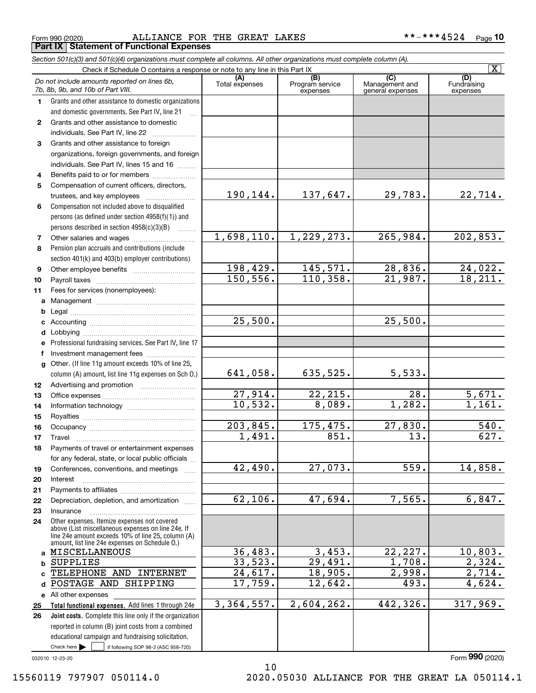Form 990 (2020) Page ALLIANCE FOR THE GREAT LAKES \*\*-\*\*\*4524 **Part IX Statement of Functional Expenses**

|              | Section 501(c)(3) and 501(c)(4) organizations must complete all columns. All other organizations must complete column (A).                                                                                 |                       |                                    |                                                      |                                |
|--------------|------------------------------------------------------------------------------------------------------------------------------------------------------------------------------------------------------------|-----------------------|------------------------------------|------------------------------------------------------|--------------------------------|
|              | Check if Schedule O contains a response or note to any line in this Part IX                                                                                                                                |                       |                                    |                                                      | $\overline{\mathbf{x}}$        |
|              | Do not include amounts reported on lines 6b,<br>7b, 8b, 9b, and 10b of Part VIII.                                                                                                                          | (A)<br>Total expenses | (B)<br>Program service<br>expenses | $\overline{C}$<br>Management and<br>general expenses | (D)<br>Fundraising<br>expenses |
| 1.           | Grants and other assistance to domestic organizations                                                                                                                                                      |                       |                                    |                                                      |                                |
|              | and domestic governments. See Part IV, line 21                                                                                                                                                             |                       |                                    |                                                      |                                |
| $\mathbf{2}$ | Grants and other assistance to domestic                                                                                                                                                                    |                       |                                    |                                                      |                                |
|              | individuals. See Part IV, line 22                                                                                                                                                                          |                       |                                    |                                                      |                                |
| 3            | Grants and other assistance to foreign                                                                                                                                                                     |                       |                                    |                                                      |                                |
|              | organizations, foreign governments, and foreign                                                                                                                                                            |                       |                                    |                                                      |                                |
|              | individuals. See Part IV, lines 15 and 16                                                                                                                                                                  |                       |                                    |                                                      |                                |
| 4            | Benefits paid to or for members                                                                                                                                                                            |                       |                                    |                                                      |                                |
| 5            | Compensation of current officers, directors,                                                                                                                                                               |                       |                                    |                                                      |                                |
|              |                                                                                                                                                                                                            | 190,144.              | 137,647.                           | 29,783.                                              | 22,714.                        |
| 6            | Compensation not included above to disqualified                                                                                                                                                            |                       |                                    |                                                      |                                |
|              | persons (as defined under section 4958(f)(1)) and                                                                                                                                                          |                       |                                    |                                                      |                                |
|              | persons described in section $4958(c)(3)(B)$                                                                                                                                                               |                       |                                    |                                                      |                                |
| 7            |                                                                                                                                                                                                            | 1,698,110.            | 1,229,273.                         | 265,984.                                             | 202,853.                       |
| 8            | Pension plan accruals and contributions (include                                                                                                                                                           |                       |                                    |                                                      |                                |
|              | section 401(k) and 403(b) employer contributions)                                                                                                                                                          |                       |                                    |                                                      |                                |
| 9            |                                                                                                                                                                                                            | 198,429.              | 145,571.                           | 28,836.                                              | 24,022.                        |
| 10           |                                                                                                                                                                                                            | 150, 556.             | 110,358.                           | 21,987.                                              | 18,211.                        |
| 11           | Fees for services (nonemployees):                                                                                                                                                                          |                       |                                    |                                                      |                                |
|              |                                                                                                                                                                                                            |                       |                                    |                                                      |                                |
| b            |                                                                                                                                                                                                            |                       |                                    |                                                      |                                |
|              |                                                                                                                                                                                                            | 25,500.               |                                    | 25,500.                                              |                                |
| d            |                                                                                                                                                                                                            |                       |                                    |                                                      |                                |
| е            | Professional fundraising services. See Part IV, line 17                                                                                                                                                    |                       |                                    |                                                      |                                |
| f            | Investment management fees                                                                                                                                                                                 |                       |                                    |                                                      |                                |
|              | g Other. (If line 11g amount exceeds 10% of line 25,<br>column (A) amount, list line 11g expenses on Sch O.)                                                                                               | 641,058.              | 635,525.                           | 5,533.                                               |                                |
| 12           |                                                                                                                                                                                                            |                       |                                    |                                                      |                                |
| 13           |                                                                                                                                                                                                            | 27,914.               | 22,215.                            | 28.                                                  | 5,671.                         |
| 14           |                                                                                                                                                                                                            | 10,532.               | 8,089.                             | 1,282.                                               | 1,161.                         |
| 15           |                                                                                                                                                                                                            |                       |                                    |                                                      |                                |
| 16           |                                                                                                                                                                                                            | 203,845.              | 175,475.                           | 27,830.                                              | 540.                           |
| 17           |                                                                                                                                                                                                            | 1,491.                | 851.                               | 13.                                                  | 627.                           |
| 18           | Payments of travel or entertainment expenses                                                                                                                                                               |                       |                                    |                                                      |                                |
|              | for any federal, state, or local public officials                                                                                                                                                          |                       |                                    |                                                      |                                |
| 19           | Conferences, conventions, and meetings                                                                                                                                                                     | 42,490.               | 27,073.                            | 559.                                                 | 14,858.                        |
| 20           | Interest                                                                                                                                                                                                   |                       |                                    |                                                      |                                |
| 21           |                                                                                                                                                                                                            |                       |                                    |                                                      |                                |
| 22           | Depreciation, depletion, and amortization                                                                                                                                                                  | 62,106.               | 47,694.                            | 7,565.                                               | 6,847.                         |
| 23           | Insurance                                                                                                                                                                                                  |                       |                                    |                                                      |                                |
| 24           | Other expenses. Itemize expenses not covered<br>above (List miscellaneous expenses on line 24e. If<br>line 24e amount exceeds 10% of line 25, column (A)<br>amount, list line 24e expenses on Schedule O.) |                       |                                    |                                                      |                                |
|              | a MISCELLANEOUS                                                                                                                                                                                            | 36,483.               | 3,453.                             | 22, 227.                                             | 10,803.                        |
| b            | <b>SUPPLIES</b>                                                                                                                                                                                            | 33,523.               | 29,491.                            | $\overline{1,708}$ .                                 | 2,324.                         |
| C.           | TELEPHONE AND INTERNET                                                                                                                                                                                     | 24,617.               | 18,905.                            | 2,998.                                               | 2,714.                         |
| d            | POSTAGE AND SHIPPING                                                                                                                                                                                       | 17,759.               | 12,642.                            | 493.                                                 | 4,624.                         |
|              | e All other expenses                                                                                                                                                                                       |                       |                                    |                                                      |                                |
| 25           | Total functional expenses. Add lines 1 through 24e                                                                                                                                                         | 3,364,557.            | 2,604,262.                         | 442,326.                                             | 317,969.                       |
| 26           | Joint costs. Complete this line only if the organization                                                                                                                                                   |                       |                                    |                                                      |                                |
|              | reported in column (B) joint costs from a combined                                                                                                                                                         |                       |                                    |                                                      |                                |
|              | educational campaign and fundraising solicitation.                                                                                                                                                         |                       |                                    |                                                      |                                |
|              | Check here $\blacktriangleright$<br>if following SOP 98-2 (ASC 958-720)                                                                                                                                    |                       |                                    |                                                      |                                |

10

032010 12-23-20

Form (2020) **990**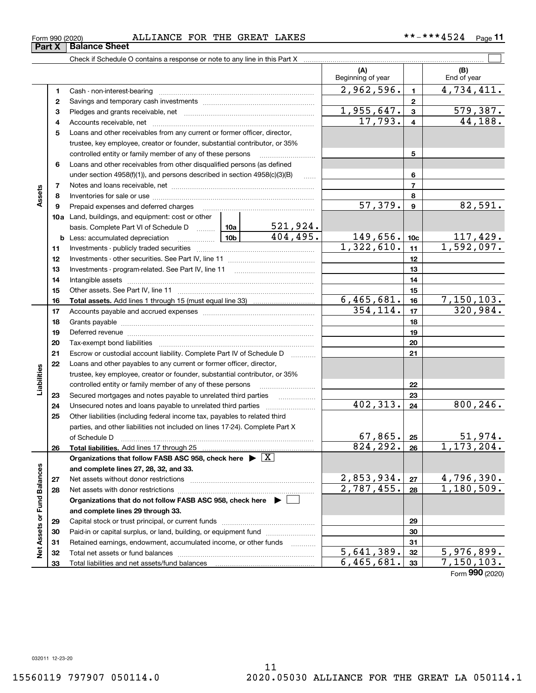| ৼ                    | 9  | Prepaid expenses and deferred charges                                                 |                 |                 | 57,379.                  | 9               | 82,591.                       |
|----------------------|----|---------------------------------------------------------------------------------------|-----------------|-----------------|--------------------------|-----------------|-------------------------------|
|                      |    | 10a Land, buildings, and equipment: cost or other                                     |                 |                 |                          |                 |                               |
|                      |    | basis. Complete Part VI of Schedule D                                                 | 10a             | <u>521,924.</u> |                          |                 |                               |
|                      |    | <b>b</b> Less: accumulated depreciation                                               | 10 <sub>b</sub> | 404, 495.       | 149,656.                 | 10 <sub>c</sub> | $\frac{117,429}{1,592,097}$ . |
|                      | 11 |                                                                                       |                 | 1,322,610.      | 11                       |                 |                               |
|                      | 12 |                                                                                       |                 |                 |                          | 12              |                               |
|                      | 13 |                                                                                       |                 |                 |                          | 13              |                               |
|                      | 14 |                                                                                       |                 |                 |                          | 14              |                               |
|                      | 15 |                                                                                       |                 |                 |                          | 15              |                               |
|                      | 16 |                                                                                       |                 |                 | 6,465,681.               | 16              | 7, 150, 103.                  |
|                      | 17 |                                                                                       |                 |                 | 354, 114.                | 17              | 320,984.                      |
|                      | 18 |                                                                                       |                 |                 |                          | 18              |                               |
|                      | 19 |                                                                                       |                 |                 | 19                       |                 |                               |
|                      | 20 |                                                                                       |                 |                 | 20                       |                 |                               |
|                      | 21 | Escrow or custodial account liability. Complete Part IV of Schedule D                 |                 |                 |                          | 21              |                               |
|                      | 22 | Loans and other payables to any current or former officer, director,                  |                 |                 |                          |                 |                               |
| Liabilities          |    | trustee, key employee, creator or founder, substantial contributor, or 35%            |                 |                 |                          |                 |                               |
|                      |    | controlled entity or family member of any of these persons                            |                 |                 | 22                       |                 |                               |
|                      | 23 | Secured mortgages and notes payable to unrelated third parties                        |                 | 23              |                          |                 |                               |
|                      | 24 |                                                                                       |                 | 402,313.        | 24                       | 800, 246.       |                               |
|                      | 25 | Other liabilities (including federal income tax, payables to related third            |                 |                 |                          |                 |                               |
|                      |    | parties, and other liabilities not included on lines 17-24). Complete Part X          |                 |                 |                          |                 |                               |
|                      |    | of Schedule D                                                                         |                 |                 | 67,865.                  | 25              | $\frac{51,974.}{1,173,204.}$  |
|                      | 26 |                                                                                       | 824, 292.       | 26              |                          |                 |                               |
|                      |    | Organizations that follow FASB ASC 958, check here $\triangleright \lfloor X \rfloor$ |                 |                 |                          |                 |                               |
| <b>Fund Balances</b> |    | and complete lines 27, 28, 32, and 33.                                                |                 |                 |                          |                 |                               |
|                      | 27 |                                                                                       |                 |                 | 2,853,934.               | 27              | 4,796,390.                    |
|                      | 28 |                                                                                       |                 |                 | 2,787,455.               | 28              | $\overline{1,180}$ , 509.     |
|                      |    | Organizations that do not follow FASB ASC 958, check here $\blacktriangleright \Box$  |                 |                 |                          |                 |                               |
|                      |    | and complete lines 29 through 33.                                                     |                 |                 |                          |                 |                               |
|                      | 29 |                                                                                       |                 | 29              |                          |                 |                               |
|                      | 30 | Paid-in or capital surplus, or land, building, or equipment fund                      |                 |                 | 30                       |                 |                               |
| Net Assets or        | 31 | Retained earnings, endowment, accumulated income, or other funds                      |                 |                 | 31                       |                 |                               |
|                      | 32 | Total net assets or fund balances                                                     | 5,641,389.      | 32              | $\overline{5,976,899}$ . |                 |                               |
|                      | 33 |                                                                                       |                 |                 | 6,465,681.               | 33              | 7, 150, 103.                  |
|                      |    |                                                                                       |                 |                 |                          |                 | Form 990 (2020)               |

11

Form 990 (2020) Page ALLIANCE FOR THE GREAT LAKES \*\*-\*\*\*4524

**1**Cash - non-interest-bearing ~~~~~~~~~~~~~~~~~~~~~~~~~

Savings and temporary cash investments ~~~~~~~~~~~~~~~~~~

under section 4958(f)(1)), and persons described in section 4958(c)(3)(B) Notes and loans receivable, net ~~~~~~~~~~~~~~~~~~~~~~~ Inventories for sale or use ~~~~~~~~~~~~~~~~~~~~~~~~~~

Check if Schedule O contains a response or note to any line in this Part X

**3** Pledges and grants receivable, net  $\ldots$  **multimes contained and grants receivable**, net **multimes contained and grants receivable**, net **multimes contained and grants receivable 4**Accounts receivable, net ~~~~~~~~~~~~~~~~~~~~~~~~~~ **5**Loans and other receivables from any current or former officer, director,

trustee, key employee, creator or founder, substantial contributor, or 35% controlled entity or family member of any of these persons ~~~~~~~~~

**6**Loans and other receivables from other disqualified persons (as defined

**11**

 $\mathcal{L}^{\text{max}}$ 

**(A) (B)**

Beginning of year | | End of year

 $2,962,596.$   $1 \mid 4,734,411.$ 

 $17,793. | 4 | 44,188.$  $1,955,647.$   $3 \mid 579,387.$ 

**5**

**678**

**2**

**789**

**Assets**

**Part X** | Balance Sheet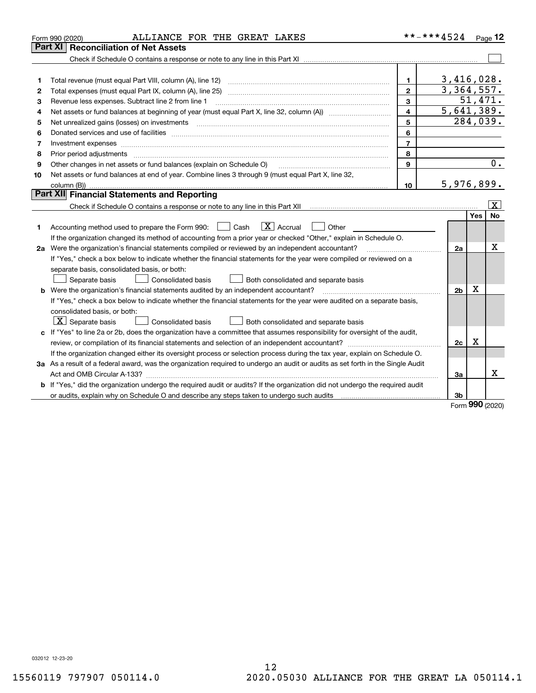|    | ALLIANCE FOR THE GREAT LAKES<br>Form 990 (2020)                                                                                                                                                                                |                         | **-***4524     |          | $P_{aqe}$ 12            |
|----|--------------------------------------------------------------------------------------------------------------------------------------------------------------------------------------------------------------------------------|-------------------------|----------------|----------|-------------------------|
|    | <b>Reconciliation of Net Assets</b><br>Part XI                                                                                                                                                                                 |                         |                |          |                         |
|    |                                                                                                                                                                                                                                |                         |                |          |                         |
|    |                                                                                                                                                                                                                                |                         |                |          |                         |
| 1  | Total revenue (must equal Part VIII, column (A), line 12)                                                                                                                                                                      | 1.                      | 3,416,028.     |          |                         |
| 2  |                                                                                                                                                                                                                                | $\overline{2}$          | 3,364,557.     |          |                         |
| 3  | Revenue less expenses. Subtract line 2 from line 1                                                                                                                                                                             | $\mathbf{3}$            |                | 51,471.  |                         |
| 4  |                                                                                                                                                                                                                                | $\overline{\mathbf{4}}$ | 5,641,389.     |          |                         |
| 5  | Net unrealized gains (losses) on investments                                                                                                                                                                                   | 5                       |                | 284,039. |                         |
| 6  | Donated services and use of facilities [111] matter contracts and the service of facilities [11] matter contracts and use of facilities [11] matter contracts and the service of facilities [11] matter contracts and the serv | 6                       |                |          |                         |
| 7  | Investment expenses www.communication.com/www.communication.com/www.communication.com/www.com                                                                                                                                  | $\overline{7}$          |                |          |                         |
| 8  | Prior period adjustments                                                                                                                                                                                                       | 8                       |                |          |                         |
| 9  | Other changes in net assets or fund balances (explain on Schedule O)                                                                                                                                                           | 9                       |                |          | 0.                      |
| 10 | Net assets or fund balances at end of year. Combine lines 3 through 9 (must equal Part X, line 32,                                                                                                                             |                         |                |          |                         |
|    |                                                                                                                                                                                                                                | 10                      | 5,976,899.     |          |                         |
|    | Part XII Financial Statements and Reporting                                                                                                                                                                                    |                         |                |          |                         |
|    |                                                                                                                                                                                                                                |                         |                |          | $\overline{\mathbf{X}}$ |
|    |                                                                                                                                                                                                                                |                         |                | Yes      | <b>No</b>               |
| 1. | $\boxed{\mathbf{X}}$ Accrual<br>Accounting method used to prepare the Form 990: <u>June</u> Cash<br>Other                                                                                                                      |                         |                |          |                         |
|    | If the organization changed its method of accounting from a prior year or checked "Other," explain in Schedule O.                                                                                                              |                         |                |          |                         |
|    | 2a Were the organization's financial statements compiled or reviewed by an independent accountant?                                                                                                                             |                         | 2a             |          | x                       |
|    | If "Yes," check a box below to indicate whether the financial statements for the year were compiled or reviewed on a                                                                                                           |                         |                |          |                         |
|    | separate basis, consolidated basis, or both:                                                                                                                                                                                   |                         |                |          |                         |
|    | Separate basis<br>Consolidated basis<br>Both consolidated and separate basis                                                                                                                                                   |                         |                |          |                         |
|    | <b>b</b> Were the organization's financial statements audited by an independent accountant?                                                                                                                                    |                         | 2 <sub>b</sub> | X        |                         |
|    | If "Yes," check a box below to indicate whether the financial statements for the year were audited on a separate basis,                                                                                                        |                         |                |          |                         |
|    | consolidated basis, or both:                                                                                                                                                                                                   |                         |                |          |                         |
|    | $\vert$ X $\vert$ Separate basis<br>Consolidated basis<br>Both consolidated and separate basis                                                                                                                                 |                         |                |          |                         |
|    | c If "Yes" to line 2a or 2b, does the organization have a committee that assumes responsibility for oversight of the audit,                                                                                                    |                         |                |          |                         |
|    | review, or compilation of its financial statements and selection of an independent accountant?                                                                                                                                 |                         | 2c             | x        |                         |
|    | If the organization changed either its oversight process or selection process during the tax year, explain on Schedule O.                                                                                                      |                         |                |          |                         |
|    | 3a As a result of a federal award, was the organization required to undergo an audit or audits as set forth in the Single Audit                                                                                                |                         |                |          |                         |
|    |                                                                                                                                                                                                                                |                         | За             |          | x                       |
|    | b If "Yes," did the organization undergo the required audit or audits? If the organization did not undergo the required audit                                                                                                  |                         |                |          |                         |
|    |                                                                                                                                                                                                                                |                         | 3b             | nnn      |                         |

Form (2020) **990**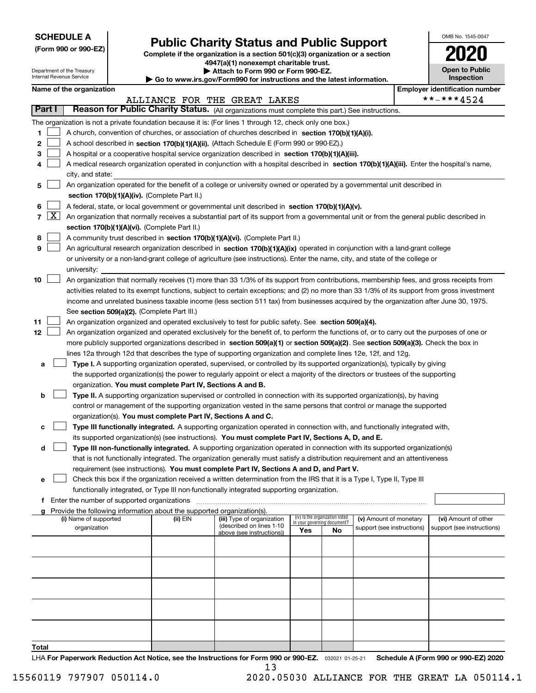| <b>SCHEDULE A</b> |
|-------------------|
|-------------------|

Department of the Treasury Internal Revenue Service

**(Form 990 or 990-EZ)**

# **Public Charity Status and Public Support**

**Complete if the organization is a section 501(c)(3) organization or a section 4947(a)(1) nonexempt charitable trust.**

|  | Attach to Form 990 or Form 990-EZ. |  |
|--|------------------------------------|--|
|  |                                    |  |

**| Go to www.irs.gov/Form990 for instructions and the latest information.**

| OMB No. 1545-0047                   |
|-------------------------------------|
|                                     |
| <b>Open to Public</b><br>Inspection |

|                                                      |                     | Name of the organization                                                                                                                     | <b>Employer identification number</b> |                              |                             |                                 |                            |  |                            |  |  |  |  |  |
|------------------------------------------------------|---------------------|----------------------------------------------------------------------------------------------------------------------------------------------|---------------------------------------|------------------------------|-----------------------------|---------------------------------|----------------------------|--|----------------------------|--|--|--|--|--|
|                                                      |                     |                                                                                                                                              |                                       | ALLIANCE FOR THE GREAT LAKES |                             |                                 |                            |  | **-***4524                 |  |  |  |  |  |
|                                                      | Part I              | Reason for Public Charity Status. (All organizations must complete this part.) See instructions.                                             |                                       |                              |                             |                                 |                            |  |                            |  |  |  |  |  |
|                                                      |                     | The organization is not a private foundation because it is: (For lines 1 through 12, check only one box.)                                    |                                       |                              |                             |                                 |                            |  |                            |  |  |  |  |  |
| 1                                                    |                     | A church, convention of churches, or association of churches described in section $170(b)(1)(A)(i)$ .                                        |                                       |                              |                             |                                 |                            |  |                            |  |  |  |  |  |
| 2                                                    |                     | A school described in section 170(b)(1)(A)(ii). (Attach Schedule E (Form 990 or 990-EZ).)                                                    |                                       |                              |                             |                                 |                            |  |                            |  |  |  |  |  |
| 3                                                    |                     | A hospital or a cooperative hospital service organization described in section $170(b)(1)(A)(iii)$ .                                         |                                       |                              |                             |                                 |                            |  |                            |  |  |  |  |  |
|                                                      |                     | A medical research organization operated in conjunction with a hospital described in section 170(b)(1)(A)(iii). Enter the hospital's name,   |                                       |                              |                             |                                 |                            |  |                            |  |  |  |  |  |
|                                                      |                     | city, and state:                                                                                                                             |                                       |                              |                             |                                 |                            |  |                            |  |  |  |  |  |
| 5                                                    |                     | An organization operated for the benefit of a college or university owned or operated by a governmental unit described in                    |                                       |                              |                             |                                 |                            |  |                            |  |  |  |  |  |
|                                                      |                     | section 170(b)(1)(A)(iv). (Complete Part II.)                                                                                                |                                       |                              |                             |                                 |                            |  |                            |  |  |  |  |  |
| 6                                                    |                     | A federal, state, or local government or governmental unit described in section 170(b)(1)(A)(v).                                             |                                       |                              |                             |                                 |                            |  |                            |  |  |  |  |  |
| $\overline{7}$                                       | $\lfloor x \rfloor$ | An organization that normally receives a substantial part of its support from a governmental unit or from the general public described in    |                                       |                              |                             |                                 |                            |  |                            |  |  |  |  |  |
|                                                      |                     | section 170(b)(1)(A)(vi). (Complete Part II.)                                                                                                |                                       |                              |                             |                                 |                            |  |                            |  |  |  |  |  |
| 8                                                    |                     | A community trust described in section 170(b)(1)(A)(vi). (Complete Part II.)                                                                 |                                       |                              |                             |                                 |                            |  |                            |  |  |  |  |  |
| 9                                                    |                     | An agricultural research organization described in section 170(b)(1)(A)(ix) operated in conjunction with a land-grant college                |                                       |                              |                             |                                 |                            |  |                            |  |  |  |  |  |
|                                                      |                     | or university or a non-land-grant college of agriculture (see instructions). Enter the name, city, and state of the college or               |                                       |                              |                             |                                 |                            |  |                            |  |  |  |  |  |
|                                                      |                     | university:                                                                                                                                  |                                       |                              |                             |                                 |                            |  |                            |  |  |  |  |  |
| 10                                                   |                     | An organization that normally receives (1) more than 33 1/3% of its support from contributions, membership fees, and gross receipts from     |                                       |                              |                             |                                 |                            |  |                            |  |  |  |  |  |
|                                                      |                     | activities related to its exempt functions, subject to certain exceptions; and (2) no more than 33 1/3% of its support from gross investment |                                       |                              |                             |                                 |                            |  |                            |  |  |  |  |  |
|                                                      |                     | income and unrelated business taxable income (less section 511 tax) from businesses acquired by the organization after June 30, 1975.        |                                       |                              |                             |                                 |                            |  |                            |  |  |  |  |  |
|                                                      |                     | See section 509(a)(2). (Complete Part III.)                                                                                                  |                                       |                              |                             |                                 |                            |  |                            |  |  |  |  |  |
| 11                                                   |                     | An organization organized and operated exclusively to test for public safety. See section 509(a)(4).                                         |                                       |                              |                             |                                 |                            |  |                            |  |  |  |  |  |
| 12                                                   |                     | An organization organized and operated exclusively for the benefit of, to perform the functions of, or to carry out the purposes of one or   |                                       |                              |                             |                                 |                            |  |                            |  |  |  |  |  |
|                                                      |                     | more publicly supported organizations described in section 509(a)(1) or section 509(a)(2). See section 509(a)(3). Check the box in           |                                       |                              |                             |                                 |                            |  |                            |  |  |  |  |  |
|                                                      |                     | lines 12a through 12d that describes the type of supporting organization and complete lines 12e, 12f, and 12g.                               |                                       |                              |                             |                                 |                            |  |                            |  |  |  |  |  |
| a                                                    |                     | Type I. A supporting organization operated, supervised, or controlled by its supported organization(s), typically by giving                  |                                       |                              |                             |                                 |                            |  |                            |  |  |  |  |  |
|                                                      |                     | the supported organization(s) the power to regularly appoint or elect a majority of the directors or trustees of the supporting              |                                       |                              |                             |                                 |                            |  |                            |  |  |  |  |  |
|                                                      |                     | organization. You must complete Part IV, Sections A and B.                                                                                   |                                       |                              |                             |                                 |                            |  |                            |  |  |  |  |  |
| b                                                    |                     | Type II. A supporting organization supervised or controlled in connection with its supported organization(s), by having                      |                                       |                              |                             |                                 |                            |  |                            |  |  |  |  |  |
|                                                      |                     | control or management of the supporting organization vested in the same persons that control or manage the supported                         |                                       |                              |                             |                                 |                            |  |                            |  |  |  |  |  |
|                                                      |                     | organization(s). You must complete Part IV, Sections A and C.                                                                                |                                       |                              |                             |                                 |                            |  |                            |  |  |  |  |  |
| c                                                    |                     | Type III functionally integrated. A supporting organization operated in connection with, and functionally integrated with,                   |                                       |                              |                             |                                 |                            |  |                            |  |  |  |  |  |
|                                                      |                     | its supported organization(s) (see instructions). You must complete Part IV, Sections A, D, and E.                                           |                                       |                              |                             |                                 |                            |  |                            |  |  |  |  |  |
| d                                                    |                     | Type III non-functionally integrated. A supporting organization operated in connection with its supported organization(s)                    |                                       |                              |                             |                                 |                            |  |                            |  |  |  |  |  |
|                                                      |                     | that is not functionally integrated. The organization generally must satisfy a distribution requirement and an attentiveness                 |                                       |                              |                             |                                 |                            |  |                            |  |  |  |  |  |
|                                                      |                     | requirement (see instructions). You must complete Part IV, Sections A and D, and Part V.                                                     |                                       |                              |                             |                                 |                            |  |                            |  |  |  |  |  |
|                                                      |                     | Check this box if the organization received a written determination from the IRS that it is a Type I, Type II, Type III                      |                                       |                              |                             |                                 |                            |  |                            |  |  |  |  |  |
|                                                      |                     | functionally integrated, or Type III non-functionally integrated supporting organization.                                                    |                                       |                              |                             |                                 |                            |  |                            |  |  |  |  |  |
| <b>f</b> Enter the number of supported organizations |                     |                                                                                                                                              |                                       |                              |                             |                                 |                            |  |                            |  |  |  |  |  |
|                                                      |                     | Provide the following information about the supported organization(s).<br>(i) Name of supported                                              | (ii) EIN                              | (iii) Type of organization   |                             | (iv) Is the organization listed | (v) Amount of monetary     |  | (vi) Amount of other       |  |  |  |  |  |
|                                                      |                     | organization                                                                                                                                 |                                       | (described on lines 1-10     | in your governing document? |                                 | support (see instructions) |  | support (see instructions) |  |  |  |  |  |
| Yes<br>No<br>above (see instructions))               |                     |                                                                                                                                              |                                       |                              |                             |                                 |                            |  |                            |  |  |  |  |  |
|                                                      |                     |                                                                                                                                              |                                       |                              |                             |                                 |                            |  |                            |  |  |  |  |  |
|                                                      |                     |                                                                                                                                              |                                       |                              |                             |                                 |                            |  |                            |  |  |  |  |  |
|                                                      |                     |                                                                                                                                              |                                       |                              |                             |                                 |                            |  |                            |  |  |  |  |  |
|                                                      |                     |                                                                                                                                              |                                       |                              |                             |                                 |                            |  |                            |  |  |  |  |  |
|                                                      |                     |                                                                                                                                              |                                       |                              |                             |                                 |                            |  |                            |  |  |  |  |  |
|                                                      |                     |                                                                                                                                              |                                       |                              |                             |                                 |                            |  |                            |  |  |  |  |  |
|                                                      |                     |                                                                                                                                              |                                       |                              |                             |                                 |                            |  |                            |  |  |  |  |  |
|                                                      |                     |                                                                                                                                              |                                       |                              |                             |                                 |                            |  |                            |  |  |  |  |  |
|                                                      |                     |                                                                                                                                              |                                       |                              |                             |                                 |                            |  |                            |  |  |  |  |  |
| Total                                                |                     |                                                                                                                                              |                                       |                              |                             |                                 |                            |  |                            |  |  |  |  |  |

LHA For Paperwork Reduction Act Notice, see the Instructions for Form 990 or 990-EZ. <sub>032021</sub> o1-25-21 Schedule A (Form 990 or 990-EZ) 2020 13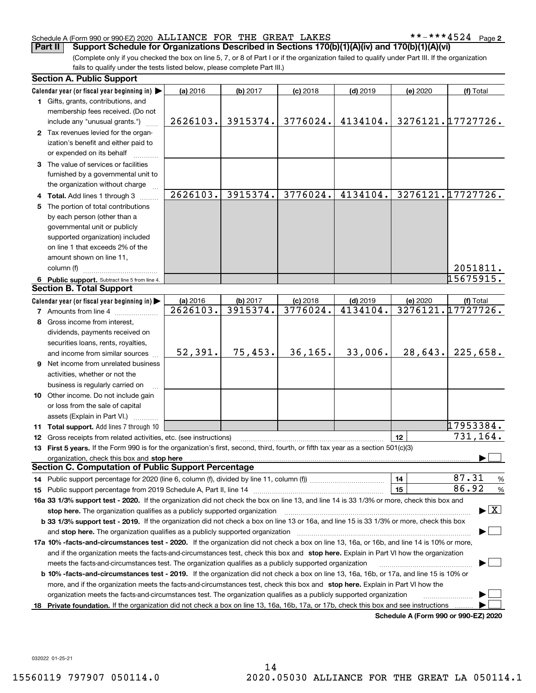#### Schedule A (Form 990 or 990-EZ) 2020 Page ALLIANCE FOR THE GREAT LAKES \*\*-\*\*\*4524

**2**

(Complete only if you checked the box on line 5, 7, or 8 of Part I or if the organization failed to qualify under Part III. If the organization fails to qualify under the tests listed below, please complete Part III.) **Part II** Support Schedule for Organizations Described in Sections 170(b)(1)(A)(iv) and 170(b)(1)(A)(vi)

|    | <b>Section A. Public Support</b>                                                                                                                                                                                               |                                    |                      |                        |                        |          |                                          |
|----|--------------------------------------------------------------------------------------------------------------------------------------------------------------------------------------------------------------------------------|------------------------------------|----------------------|------------------------|------------------------|----------|------------------------------------------|
|    | Calendar year (or fiscal year beginning in)                                                                                                                                                                                    | (a) 2016                           | (b) 2017             | $(c)$ 2018             | $(d)$ 2019             | (e) 2020 | (f) Total                                |
|    | 1 Gifts, grants, contributions, and                                                                                                                                                                                            |                                    |                      |                        |                        |          |                                          |
|    | membership fees received. (Do not                                                                                                                                                                                              |                                    |                      |                        |                        |          |                                          |
|    | include any "unusual grants.")                                                                                                                                                                                                 | 2626103.                           | 3915374.             | 3776024.               | 4134104.               |          | 3276121.17727726.                        |
|    | 2 Tax revenues levied for the organ-                                                                                                                                                                                           |                                    |                      |                        |                        |          |                                          |
|    | ization's benefit and either paid to                                                                                                                                                                                           |                                    |                      |                        |                        |          |                                          |
|    | or expended on its behalf                                                                                                                                                                                                      |                                    |                      |                        |                        |          |                                          |
|    | 3 The value of services or facilities                                                                                                                                                                                          |                                    |                      |                        |                        |          |                                          |
|    | furnished by a governmental unit to                                                                                                                                                                                            |                                    |                      |                        |                        |          |                                          |
|    | the organization without charge                                                                                                                                                                                                |                                    |                      |                        |                        |          |                                          |
|    | 4 Total. Add lines 1 through 3                                                                                                                                                                                                 | 2626103.                           | 3915374.             | 3776024.               | 4134104.               |          | 3276121.17727726.                        |
|    | 5 The portion of total contributions                                                                                                                                                                                           |                                    |                      |                        |                        |          |                                          |
|    | by each person (other than a                                                                                                                                                                                                   |                                    |                      |                        |                        |          |                                          |
|    | governmental unit or publicly                                                                                                                                                                                                  |                                    |                      |                        |                        |          |                                          |
|    | supported organization) included                                                                                                                                                                                               |                                    |                      |                        |                        |          |                                          |
|    | on line 1 that exceeds 2% of the                                                                                                                                                                                               |                                    |                      |                        |                        |          |                                          |
|    | amount shown on line 11,                                                                                                                                                                                                       |                                    |                      |                        |                        |          |                                          |
|    | column (f)                                                                                                                                                                                                                     |                                    |                      |                        |                        |          | 2051811.                                 |
|    |                                                                                                                                                                                                                                |                                    |                      |                        |                        |          | 15675915.                                |
|    | 6 Public support. Subtract line 5 from line 4.<br><b>Section B. Total Support</b>                                                                                                                                              |                                    |                      |                        |                        |          |                                          |
|    |                                                                                                                                                                                                                                |                                    |                      |                        |                        |          |                                          |
|    | Calendar year (or fiscal year beginning in)                                                                                                                                                                                    | (a) 2016<br>$\overline{2626103}$ . | (b) 2017<br>3915374. | $(c)$ 2018<br>3776024. | $(d)$ 2019<br>4134104. | (e) 2020 | (f) Total<br>3276121.17727726.           |
|    | <b>7</b> Amounts from line 4                                                                                                                                                                                                   |                                    |                      |                        |                        |          |                                          |
|    | 8 Gross income from interest,                                                                                                                                                                                                  |                                    |                      |                        |                        |          |                                          |
|    | dividends, payments received on                                                                                                                                                                                                |                                    |                      |                        |                        |          |                                          |
|    | securities loans, rents, royalties,                                                                                                                                                                                            |                                    |                      |                        |                        |          |                                          |
|    | and income from similar sources                                                                                                                                                                                                | 52,391.                            | 75,453.              | 36, 165.               | 33,006.                | 28,643.  | 225,658.                                 |
|    | <b>9</b> Net income from unrelated business                                                                                                                                                                                    |                                    |                      |                        |                        |          |                                          |
|    | activities, whether or not the                                                                                                                                                                                                 |                                    |                      |                        |                        |          |                                          |
|    | business is regularly carried on                                                                                                                                                                                               |                                    |                      |                        |                        |          |                                          |
|    | 10 Other income. Do not include gain                                                                                                                                                                                           |                                    |                      |                        |                        |          |                                          |
|    | or loss from the sale of capital                                                                                                                                                                                               |                                    |                      |                        |                        |          |                                          |
|    | assets (Explain in Part VI.)                                                                                                                                                                                                   |                                    |                      |                        |                        |          |                                          |
|    | 11 Total support. Add lines 7 through 10                                                                                                                                                                                       |                                    |                      |                        |                        |          | 17953384.                                |
|    | 12 Gross receipts from related activities, etc. (see instructions)                                                                                                                                                             |                                    |                      |                        |                        | 12       | 731,164.                                 |
|    | 13 First 5 years. If the Form 990 is for the organization's first, second, third, fourth, or fifth tax year as a section 501(c)(3)                                                                                             |                                    |                      |                        |                        |          |                                          |
|    | organization, check this box and stop here manufactured and according to the state of the state of the state of the state of the state of the state of the state of the state of the state of the state of the state of the st |                                    |                      |                        |                        |          |                                          |
|    | <b>Section C. Computation of Public Support Percentage</b>                                                                                                                                                                     |                                    |                      |                        |                        |          |                                          |
|    |                                                                                                                                                                                                                                |                                    |                      |                        |                        | 14       | 87.31<br>%                               |
|    |                                                                                                                                                                                                                                |                                    |                      |                        |                        | 15       | 86.92<br>$\%$                            |
|    | 16a 33 1/3% support test - 2020. If the organization did not check the box on line 13, and line 14 is 33 1/3% or more, check this box and                                                                                      |                                    |                      |                        |                        |          |                                          |
|    | stop here. The organization qualifies as a publicly supported organization                                                                                                                                                     |                                    |                      |                        |                        |          | $\blacktriangleright$ $\boxed{\text{X}}$ |
|    | b 33 1/3% support test - 2019. If the organization did not check a box on line 13 or 16a, and line 15 is 33 1/3% or more, check this box                                                                                       |                                    |                      |                        |                        |          |                                          |
|    | and stop here. The organization qualifies as a publicly supported organization                                                                                                                                                 |                                    |                      |                        |                        |          |                                          |
|    | 17a 10% -facts-and-circumstances test - 2020. If the organization did not check a box on line 13, 16a, or 16b, and line 14 is 10% or more,                                                                                     |                                    |                      |                        |                        |          |                                          |
|    | and if the organization meets the facts-and-circumstances test, check this box and stop here. Explain in Part VI how the organization                                                                                          |                                    |                      |                        |                        |          |                                          |
|    | meets the facts-and-circumstances test. The organization qualifies as a publicly supported organization                                                                                                                        |                                    |                      |                        |                        |          |                                          |
|    | <b>b 10% -facts-and-circumstances test - 2019.</b> If the organization did not check a box on line 13, 16a, 16b, or 17a, and line 15 is 10% or                                                                                 |                                    |                      |                        |                        |          |                                          |
|    | more, and if the organization meets the facts-and-circumstances test, check this box and stop here. Explain in Part VI how the                                                                                                 |                                    |                      |                        |                        |          |                                          |
|    |                                                                                                                                                                                                                                |                                    |                      |                        |                        |          |                                          |
|    | organization meets the facts-and-circumstances test. The organization qualifies as a publicly supported organization                                                                                                           |                                    |                      |                        |                        |          |                                          |
| 18 | Private foundation. If the organization did not check a box on line 13, 16a, 16b, 17a, or 17b, check this box and see instructions                                                                                             |                                    |                      |                        |                        |          | Schedule A (Form 990 or 990-F7) 2020     |

**Schedule A (Form 990 or 990-EZ) 2020**

032022 01-25-21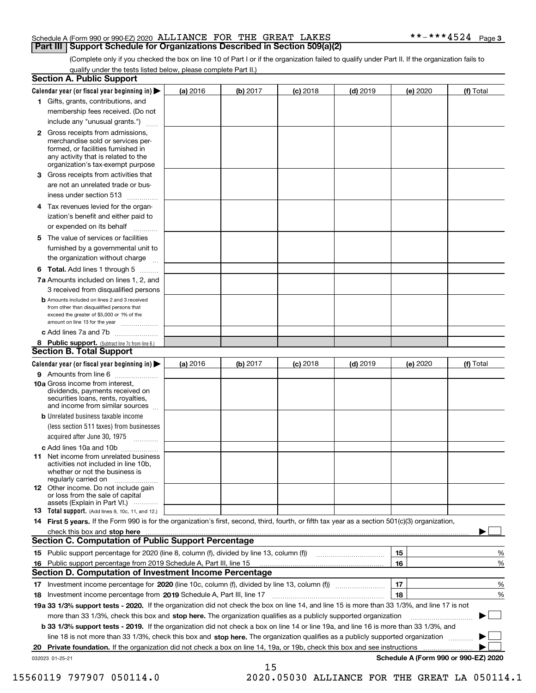#### Schedule A (Form 990 or 990-EZ) 2020 Page ALLIANCE FOR THE GREAT LAKES \*\*-\*\*\*4524 **Part III Support Schedule for Organizations Described in Section 509(a)(2)**

(Complete only if you checked the box on line 10 of Part I or if the organization failed to qualify under Part II. If the organization fails to qualify under the tests listed below, please complete Part II.)

|    | <b>Section A. Public Support</b>                                                                                                                                                         |          |          |            |            |          |                                      |
|----|------------------------------------------------------------------------------------------------------------------------------------------------------------------------------------------|----------|----------|------------|------------|----------|--------------------------------------|
|    | Calendar year (or fiscal year beginning in) $\blacktriangleright$                                                                                                                        | (a) 2016 | (b) 2017 | $(c)$ 2018 | $(d)$ 2019 | (e) 2020 | (f) Total                            |
|    | 1 Gifts, grants, contributions, and                                                                                                                                                      |          |          |            |            |          |                                      |
|    | membership fees received. (Do not                                                                                                                                                        |          |          |            |            |          |                                      |
|    | include any "unusual grants.")                                                                                                                                                           |          |          |            |            |          |                                      |
|    | 2 Gross receipts from admissions,<br>merchandise sold or services per-<br>formed, or facilities furnished in<br>any activity that is related to the<br>organization's tax-exempt purpose |          |          |            |            |          |                                      |
|    | 3 Gross receipts from activities that<br>are not an unrelated trade or bus-                                                                                                              |          |          |            |            |          |                                      |
|    | iness under section 513                                                                                                                                                                  |          |          |            |            |          |                                      |
|    | 4 Tax revenues levied for the organ-                                                                                                                                                     |          |          |            |            |          |                                      |
|    | ization's benefit and either paid to<br>or expended on its behalf<br>.                                                                                                                   |          |          |            |            |          |                                      |
|    | 5 The value of services or facilities                                                                                                                                                    |          |          |            |            |          |                                      |
|    | furnished by a governmental unit to                                                                                                                                                      |          |          |            |            |          |                                      |
|    | the organization without charge                                                                                                                                                          |          |          |            |            |          |                                      |
|    | <b>6 Total.</b> Add lines 1 through 5                                                                                                                                                    |          |          |            |            |          |                                      |
|    | 7a Amounts included on lines 1, 2, and<br>3 received from disqualified persons                                                                                                           |          |          |            |            |          |                                      |
|    | <b>b</b> Amounts included on lines 2 and 3 received<br>from other than disqualified persons that<br>exceed the greater of \$5,000 or 1% of the<br>amount on line 13 for the year         |          |          |            |            |          |                                      |
|    | c Add lines 7a and 7b                                                                                                                                                                    |          |          |            |            |          |                                      |
|    | 8 Public support. (Subtract line 7c from line 6.)                                                                                                                                        |          |          |            |            |          |                                      |
|    | <b>Section B. Total Support</b>                                                                                                                                                          |          |          |            |            |          |                                      |
|    | Calendar year (or fiscal year beginning in) $\blacktriangleright$                                                                                                                        | (a) 2016 | (b) 2017 | $(c)$ 2018 | $(d)$ 2019 | (e) 2020 | (f) Total                            |
|    | 9 Amounts from line 6                                                                                                                                                                    |          |          |            |            |          |                                      |
|    | 10a Gross income from interest,<br>dividends, payments received on<br>securities loans, rents, royalties,<br>and income from similar sources                                             |          |          |            |            |          |                                      |
|    | <b>b</b> Unrelated business taxable income<br>(less section 511 taxes) from businesses                                                                                                   |          |          |            |            |          |                                      |
|    | acquired after June 30, 1975                                                                                                                                                             |          |          |            |            |          |                                      |
|    | c Add lines 10a and 10b<br>11 Net income from unrelated business<br>activities not included in line 10b,<br>whether or not the business is<br>regularly carried on                       |          |          |            |            |          |                                      |
|    | 12 Other income. Do not include gain<br>or loss from the sale of capital<br>assets (Explain in Part VI.)                                                                                 |          |          |            |            |          |                                      |
|    | <b>13</b> Total support. (Add lines 9, 10c, 11, and 12.)                                                                                                                                 |          |          |            |            |          |                                      |
|    | 14 First 5 years. If the Form 990 is for the organization's first, second, third, fourth, or fifth tax year as a section 501(c)(3) organization,                                         |          |          |            |            |          |                                      |
|    | check this box and stop here measurements are constructed as the state of the state of the state of the state o                                                                          |          |          |            |            |          |                                      |
|    | Section C. Computation of Public Support Percentage                                                                                                                                      |          |          |            |            |          |                                      |
|    | 15 Public support percentage for 2020 (line 8, column (f), divided by line 13, column (f))                                                                                               |          |          |            |            | 15       | %                                    |
|    | 16 Public support percentage from 2019 Schedule A, Part III, line 15                                                                                                                     |          |          |            |            | 16       | %                                    |
|    | <b>Section D. Computation of Investment Income Percentage</b>                                                                                                                            |          |          |            |            |          |                                      |
|    | 17 Investment income percentage for 2020 (line 10c, column (f), divided by line 13, column (f))                                                                                          |          |          |            |            | 17       | %                                    |
|    | <b>18</b> Investment income percentage from <b>2019</b> Schedule A, Part III, line 17                                                                                                    |          |          |            |            | 18       | %                                    |
|    | 19a 33 1/3% support tests - 2020. If the organization did not check the box on line 14, and line 15 is more than 33 1/3%, and line 17 is not                                             |          |          |            |            |          |                                      |
|    | more than 33 1/3%, check this box and stop here. The organization qualifies as a publicly supported organization                                                                         |          |          |            |            |          | ▶                                    |
|    | b 33 1/3% support tests - 2019. If the organization did not check a box on line 14 or line 19a, and line 16 is more than 33 1/3%, and                                                    |          |          |            |            |          |                                      |
|    | line 18 is not more than 33 1/3%, check this box and stop here. The organization qualifies as a publicly supported organization                                                          |          |          |            |            |          |                                      |
| 20 | <b>Private foundation.</b> If the organization did not check a box on line 14, 19a, or 19b, check this box and see instructions                                                          |          |          |            |            |          |                                      |
|    | 032023 01-25-21                                                                                                                                                                          |          | 15       |            |            |          | Schedule A (Form 990 or 990-EZ) 2020 |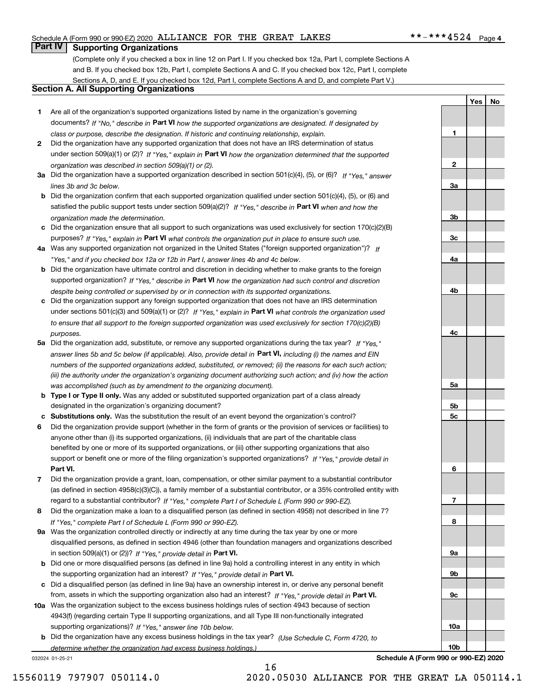#### Schedule A (Form 990 or 990-EZ) 2020 Page ALLIANCE FOR THE GREAT LAKES \*\*-\*\*\*4524

### **Part IV Supporting Organizations**

(Complete only if you checked a box in line 12 on Part I. If you checked box 12a, Part I, complete Sections A and B. If you checked box 12b, Part I, complete Sections A and C. If you checked box 12c, Part I, complete Sections A, D, and E. If you checked box 12d, Part I, complete Sections A and D, and complete Part V.)

#### **Section A. All Supporting Organizations**

- **1** Are all of the organization's supported organizations listed by name in the organization's governing documents? If "No," describe in **Part VI** how the supported organizations are designated. If designated by *class or purpose, describe the designation. If historic and continuing relationship, explain.*
- **2** Did the organization have any supported organization that does not have an IRS determination of status under section 509(a)(1) or (2)? If "Yes," explain in Part VI how the organization determined that the supported *organization was described in section 509(a)(1) or (2).*
- **3a** Did the organization have a supported organization described in section 501(c)(4), (5), or (6)? If "Yes," answer *lines 3b and 3c below.*
- **b** Did the organization confirm that each supported organization qualified under section 501(c)(4), (5), or (6) and satisfied the public support tests under section 509(a)(2)? If "Yes," describe in **Part VI** when and how the *organization made the determination.*
- **c**Did the organization ensure that all support to such organizations was used exclusively for section 170(c)(2)(B) purposes? If "Yes," explain in **Part VI** what controls the organization put in place to ensure such use.
- **4a***If* Was any supported organization not organized in the United States ("foreign supported organization")? *"Yes," and if you checked box 12a or 12b in Part I, answer lines 4b and 4c below.*
- **b** Did the organization have ultimate control and discretion in deciding whether to make grants to the foreign supported organization? If "Yes," describe in **Part VI** how the organization had such control and discretion *despite being controlled or supervised by or in connection with its supported organizations.*
- **c** Did the organization support any foreign supported organization that does not have an IRS determination under sections 501(c)(3) and 509(a)(1) or (2)? If "Yes," explain in **Part VI** what controls the organization used *to ensure that all support to the foreign supported organization was used exclusively for section 170(c)(2)(B) purposes.*
- **5a** Did the organization add, substitute, or remove any supported organizations during the tax year? If "Yes," answer lines 5b and 5c below (if applicable). Also, provide detail in **Part VI,** including (i) the names and EIN *numbers of the supported organizations added, substituted, or removed; (ii) the reasons for each such action; (iii) the authority under the organization's organizing document authorizing such action; and (iv) how the action was accomplished (such as by amendment to the organizing document).*
- **b** Type I or Type II only. Was any added or substituted supported organization part of a class already designated in the organization's organizing document?
- **cSubstitutions only.**  Was the substitution the result of an event beyond the organization's control?
- **6** Did the organization provide support (whether in the form of grants or the provision of services or facilities) to **Part VI.** *If "Yes," provide detail in* support or benefit one or more of the filing organization's supported organizations? anyone other than (i) its supported organizations, (ii) individuals that are part of the charitable class benefited by one or more of its supported organizations, or (iii) other supporting organizations that also
- **7**Did the organization provide a grant, loan, compensation, or other similar payment to a substantial contributor *If "Yes," complete Part I of Schedule L (Form 990 or 990-EZ).* regard to a substantial contributor? (as defined in section 4958(c)(3)(C)), a family member of a substantial contributor, or a 35% controlled entity with
- **8** Did the organization make a loan to a disqualified person (as defined in section 4958) not described in line 7? *If "Yes," complete Part I of Schedule L (Form 990 or 990-EZ).*
- **9a** Was the organization controlled directly or indirectly at any time during the tax year by one or more in section 509(a)(1) or (2))? If "Yes," *provide detail in* <code>Part VI.</code> disqualified persons, as defined in section 4946 (other than foundation managers and organizations described
- **b** Did one or more disqualified persons (as defined in line 9a) hold a controlling interest in any entity in which the supporting organization had an interest? If "Yes," provide detail in P**art VI**.
- **c**Did a disqualified person (as defined in line 9a) have an ownership interest in, or derive any personal benefit from, assets in which the supporting organization also had an interest? If "Yes," provide detail in P**art VI.**
- **10a** Was the organization subject to the excess business holdings rules of section 4943 because of section supporting organizations)? If "Yes," answer line 10b below. 4943(f) (regarding certain Type II supporting organizations, and all Type III non-functionally integrated
- **b** Did the organization have any excess business holdings in the tax year? (Use Schedule C, Form 4720, to *determine whether the organization had excess business holdings.)*

032024 01-25-21

**3a3b3c4a4b4c5a 5b5c6789a 9b9c**

**1**

**2**

**YesNo**

**Schedule A (Form 990 or 990-EZ) 2020**

**10a**

**10b**

16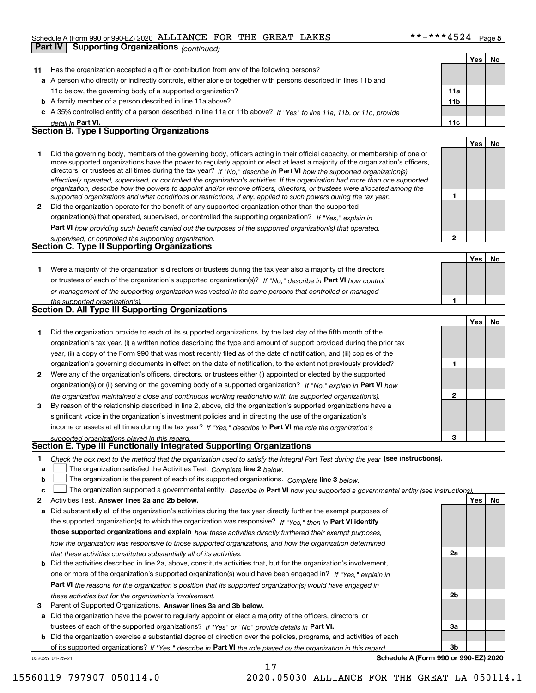#### Schedule A (Form 990 or 990-EZ) 2020 Page ALLIANCE FOR THE GREAT LAKES \*\*-\*\*\*4524

|              | Scriedule A (Form 990 or 990-EZ) 2020 <b>ADDITAINCD</b> I ON IND ONDAI<br>Part IV                                                                                                                                                                                                                                                                                                                                                                                                                                                                                                                                                                    | ≖J4∓            |     | raye ə |
|--------------|------------------------------------------------------------------------------------------------------------------------------------------------------------------------------------------------------------------------------------------------------------------------------------------------------------------------------------------------------------------------------------------------------------------------------------------------------------------------------------------------------------------------------------------------------------------------------------------------------------------------------------------------------|-----------------|-----|--------|
|              | <b>Supporting Organizations (continued)</b>                                                                                                                                                                                                                                                                                                                                                                                                                                                                                                                                                                                                          |                 |     |        |
|              |                                                                                                                                                                                                                                                                                                                                                                                                                                                                                                                                                                                                                                                      |                 | Yes | No     |
| 11           | Has the organization accepted a gift or contribution from any of the following persons?                                                                                                                                                                                                                                                                                                                                                                                                                                                                                                                                                              |                 |     |        |
|              | a A person who directly or indirectly controls, either alone or together with persons described in lines 11b and                                                                                                                                                                                                                                                                                                                                                                                                                                                                                                                                     |                 |     |        |
|              | 11c below, the governing body of a supported organization?                                                                                                                                                                                                                                                                                                                                                                                                                                                                                                                                                                                           | 11a             |     |        |
|              | <b>b</b> A family member of a person described in line 11a above?                                                                                                                                                                                                                                                                                                                                                                                                                                                                                                                                                                                    | 11 <sub>b</sub> |     |        |
|              | c A 35% controlled entity of a person described in line 11a or 11b above? If "Yes" to line 11a, 11b, or 11c, provide                                                                                                                                                                                                                                                                                                                                                                                                                                                                                                                                 |                 |     |        |
|              | detail in Part VI.                                                                                                                                                                                                                                                                                                                                                                                                                                                                                                                                                                                                                                   | 11c             |     |        |
|              | <b>Section B. Type I Supporting Organizations</b>                                                                                                                                                                                                                                                                                                                                                                                                                                                                                                                                                                                                    |                 |     |        |
|              |                                                                                                                                                                                                                                                                                                                                                                                                                                                                                                                                                                                                                                                      |                 | Yes | No     |
| 1.           | Did the governing body, members of the governing body, officers acting in their official capacity, or membership of one or<br>more supported organizations have the power to regularly appoint or elect at least a majority of the organization's officers,<br>directors, or trustees at all times during the tax year? If "No," describe in Part VI how the supported organization(s)<br>effectively operated, supervised, or controlled the organization's activities. If the organization had more than one supported<br>organization, describe how the powers to appoint and/or remove officers, directors, or trustees were allocated among the |                 |     |        |
|              | supported organizations and what conditions or restrictions, if any, applied to such powers during the tax year.                                                                                                                                                                                                                                                                                                                                                                                                                                                                                                                                     | 1               |     |        |
| $\mathbf{2}$ | Did the organization operate for the benefit of any supported organization other than the supported                                                                                                                                                                                                                                                                                                                                                                                                                                                                                                                                                  |                 |     |        |
|              | organization(s) that operated, supervised, or controlled the supporting organization? If "Yes," explain in                                                                                                                                                                                                                                                                                                                                                                                                                                                                                                                                           |                 |     |        |
|              | Part VI how providing such benefit carried out the purposes of the supported organization(s) that operated,                                                                                                                                                                                                                                                                                                                                                                                                                                                                                                                                          |                 |     |        |
|              | supervised, or controlled the supporting organization.                                                                                                                                                                                                                                                                                                                                                                                                                                                                                                                                                                                               | 2               |     |        |
|              | <b>Section C. Type II Supporting Organizations</b>                                                                                                                                                                                                                                                                                                                                                                                                                                                                                                                                                                                                   |                 |     |        |
|              |                                                                                                                                                                                                                                                                                                                                                                                                                                                                                                                                                                                                                                                      |                 | Yes | No     |
| 1.           | Were a majority of the organization's directors or trustees during the tax year also a majority of the directors                                                                                                                                                                                                                                                                                                                                                                                                                                                                                                                                     |                 |     |        |
|              | or trustees of each of the organization's supported organization(s)? If "No," describe in Part VI how control                                                                                                                                                                                                                                                                                                                                                                                                                                                                                                                                        |                 |     |        |
|              | or management of the supporting organization was vested in the same persons that controlled or managed                                                                                                                                                                                                                                                                                                                                                                                                                                                                                                                                               |                 |     |        |
|              | the supported organization(s).                                                                                                                                                                                                                                                                                                                                                                                                                                                                                                                                                                                                                       | 1               |     |        |
|              | Section D. All Type III Supporting Organizations                                                                                                                                                                                                                                                                                                                                                                                                                                                                                                                                                                                                     |                 |     |        |
|              |                                                                                                                                                                                                                                                                                                                                                                                                                                                                                                                                                                                                                                                      |                 | Yes | No     |
| 1.           | Did the organization provide to each of its supported organizations, by the last day of the fifth month of the                                                                                                                                                                                                                                                                                                                                                                                                                                                                                                                                       |                 |     |        |
|              | organization's tax year, (i) a written notice describing the type and amount of support provided during the prior tax                                                                                                                                                                                                                                                                                                                                                                                                                                                                                                                                |                 |     |        |
|              | year, (ii) a copy of the Form 990 that was most recently filed as of the date of notification, and (iii) copies of the                                                                                                                                                                                                                                                                                                                                                                                                                                                                                                                               |                 |     |        |
|              | organization's governing documents in effect on the date of notification, to the extent not previously provided?                                                                                                                                                                                                                                                                                                                                                                                                                                                                                                                                     | 1               |     |        |
| 2            | Were any of the organization's officers, directors, or trustees either (i) appointed or elected by the supported                                                                                                                                                                                                                                                                                                                                                                                                                                                                                                                                     |                 |     |        |
|              | organization(s) or (ii) serving on the governing body of a supported organization? If "No," explain in Part VI how                                                                                                                                                                                                                                                                                                                                                                                                                                                                                                                                   |                 |     |        |
|              | the organization maintained a close and continuous working relationship with the supported organization(s).                                                                                                                                                                                                                                                                                                                                                                                                                                                                                                                                          | 2               |     |        |
| 3            | By reason of the relationship described in line 2, above, did the organization's supported organizations have a                                                                                                                                                                                                                                                                                                                                                                                                                                                                                                                                      |                 |     |        |
|              | significant voice in the organization's investment policies and in directing the use of the organization's                                                                                                                                                                                                                                                                                                                                                                                                                                                                                                                                           |                 |     |        |
|              | income or assets at all times during the tax year? If "Yes," describe in Part VI the role the organization's                                                                                                                                                                                                                                                                                                                                                                                                                                                                                                                                         |                 |     |        |
|              | supported organizations played in this regard.                                                                                                                                                                                                                                                                                                                                                                                                                                                                                                                                                                                                       | 3               |     |        |
|              | Section E. Type III Functionally Integrated Supporting Organizations                                                                                                                                                                                                                                                                                                                                                                                                                                                                                                                                                                                 |                 |     |        |
| 1            | Check the box next to the method that the organization used to satisfy the Integral Part Test during the year (see instructions).                                                                                                                                                                                                                                                                                                                                                                                                                                                                                                                    |                 |     |        |
| a            | The organization satisfied the Activities Test. Complete line 2 below.                                                                                                                                                                                                                                                                                                                                                                                                                                                                                                                                                                               |                 |     |        |
| b            | The organization is the parent of each of its supported organizations. Complete line 3 below.                                                                                                                                                                                                                                                                                                                                                                                                                                                                                                                                                        |                 |     |        |
| c            | The organization supported a governmental entity. Describe in Part VI how you supported a governmental entity (see instructions)                                                                                                                                                                                                                                                                                                                                                                                                                                                                                                                     |                 |     |        |
| 2            | Activities Test. Answer lines 2a and 2b below.                                                                                                                                                                                                                                                                                                                                                                                                                                                                                                                                                                                                       |                 | Yes | No     |
| a            | Did substantially all of the organization's activities during the tax year directly further the exempt purposes of                                                                                                                                                                                                                                                                                                                                                                                                                                                                                                                                   |                 |     |        |
|              | the supported organization(s) to which the organization was responsive? If "Yes," then in Part VI identify                                                                                                                                                                                                                                                                                                                                                                                                                                                                                                                                           |                 |     |        |

|  |  | those supported organizations and explain how these activities directly furthered their exempt purposes,                     |  |  |
|--|--|------------------------------------------------------------------------------------------------------------------------------|--|--|
|  |  | how the organization was responsive to those supported organizations, and how the organization determined                    |  |  |
|  |  | that these activities constituted substantially all of its activities.                                                       |  |  |
|  |  | <b>b</b> Did the activities described in line 2a, above, constitute activities that, but for the organization's involvement, |  |  |

- **Part VI**  *the reasons for the organization's position that its supported organization(s) would have engaged in* one or more of the organization's supported organization(s) would have been engaged in? If "Yes," e*xplain in these activities but for the organization's involvement.*
- **3** Parent of Supported Organizations. Answer lines 3a and 3b below.

**a** Did the organization have the power to regularly appoint or elect a majority of the officers, directors, or trustees of each of the supported organizations? If "Yes" or "No" provide details in P**art VI.** 

**b** Did the organization exercise a substantial degree of direction over the policies, programs, and activities of each of its supported organizations? If "Yes," describe in Part VI the role played by the organization in this regard.

17

032025 01-25-21

**Schedule A (Form 990 or 990-EZ) 2020**

**2a**

**2b**

**3a**

**3b**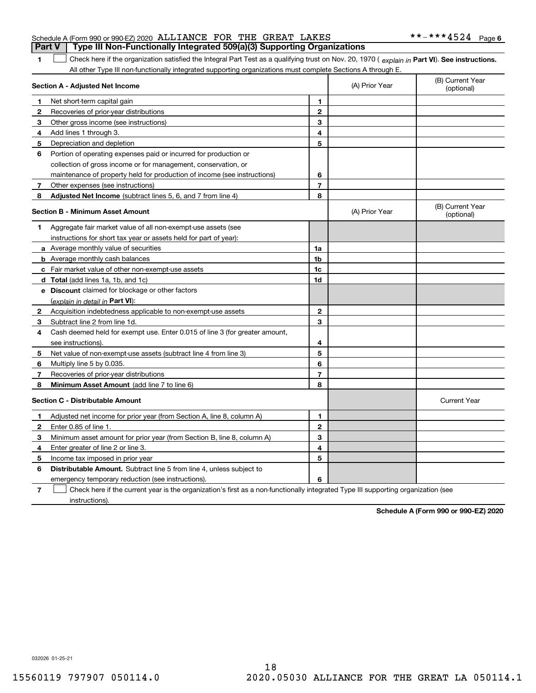|  | Schedule A (Form 990 or 990-EZ) 2020 ALLIANCE FOR THE GREAT LAKES                |  |  | **-***4524 Page 6 |  |
|--|----------------------------------------------------------------------------------|--|--|-------------------|--|
|  | Part V   Type III Non-Functionally Integrated 509(a)(3) Supporting Organizations |  |  |                   |  |

1 Check here if the organization satisfied the Integral Part Test as a qualifying trust on Nov. 20, 1970 (explain in Part VI). See instructions. All other Type III non-functionally integrated supporting organizations must complete Sections A through E.

|              | Section A - Adjusted Net Income                                                                                                   |                | (A) Prior Year | (B) Current Year<br>(optional) |
|--------------|-----------------------------------------------------------------------------------------------------------------------------------|----------------|----------------|--------------------------------|
| 1            | Net short-term capital gain                                                                                                       | 1              |                |                                |
| 2            | Recoveries of prior-year distributions                                                                                            | $\mathbf{2}$   |                |                                |
| 3            | Other gross income (see instructions)                                                                                             | 3              |                |                                |
| 4            | Add lines 1 through 3.                                                                                                            | 4              |                |                                |
| 5            | Depreciation and depletion                                                                                                        | 5              |                |                                |
| 6            | Portion of operating expenses paid or incurred for production or                                                                  |                |                |                                |
|              | collection of gross income or for management, conservation, or                                                                    |                |                |                                |
|              | maintenance of property held for production of income (see instructions)                                                          | 6              |                |                                |
| 7            | Other expenses (see instructions)                                                                                                 | $\overline{7}$ |                |                                |
| 8            | Adjusted Net Income (subtract lines 5, 6, and 7 from line 4)                                                                      | 8              |                |                                |
|              | <b>Section B - Minimum Asset Amount</b>                                                                                           |                | (A) Prior Year | (B) Current Year<br>(optional) |
| 1            | Aggregate fair market value of all non-exempt-use assets (see                                                                     |                |                |                                |
|              | instructions for short tax year or assets held for part of year):                                                                 |                |                |                                |
|              | <b>a</b> Average monthly value of securities                                                                                      | 1a             |                |                                |
|              | <b>b</b> Average monthly cash balances                                                                                            | 1 <sub>b</sub> |                |                                |
|              | c Fair market value of other non-exempt-use assets                                                                                | 1c             |                |                                |
|              | d Total (add lines 1a, 1b, and 1c)                                                                                                | 1d             |                |                                |
|              | e Discount claimed for blockage or other factors                                                                                  |                |                |                                |
|              | (explain in detail in Part VI):                                                                                                   |                |                |                                |
| $\mathbf{2}$ | Acquisition indebtedness applicable to non-exempt-use assets                                                                      | $\mathbf{2}$   |                |                                |
| 3            | Subtract line 2 from line 1d.                                                                                                     | 3              |                |                                |
| 4            | Cash deemed held for exempt use. Enter 0.015 of line 3 (for greater amount,                                                       |                |                |                                |
|              | see instructions).                                                                                                                | 4              |                |                                |
| 5            | Net value of non-exempt-use assets (subtract line 4 from line 3)                                                                  | 5              |                |                                |
| 6            | Multiply line 5 by 0.035.                                                                                                         | 6              |                |                                |
| 7            | Recoveries of prior-year distributions                                                                                            | $\overline{7}$ |                |                                |
| 8            | Minimum Asset Amount (add line 7 to line 6)                                                                                       | 8              |                |                                |
|              | <b>Section C - Distributable Amount</b>                                                                                           |                |                | <b>Current Year</b>            |
| 1            | Adjusted net income for prior year (from Section A, line 8, column A)                                                             | 1              |                |                                |
| 2            | Enter 0.85 of line 1.                                                                                                             | $\mathbf{2}$   |                |                                |
| 3            | Minimum asset amount for prior year (from Section B, line 8, column A)                                                            | 3              |                |                                |
| 4            | Enter greater of line 2 or line 3.                                                                                                | 4              |                |                                |
| 5            | Income tax imposed in prior year                                                                                                  | 5              |                |                                |
| 6            | <b>Distributable Amount.</b> Subtract line 5 from line 4, unless subject to                                                       |                |                |                                |
|              | emergency temporary reduction (see instructions).                                                                                 | 6              |                |                                |
| 7            | Check here if the current year is the organization's first as a non-functionally integrated Type III supporting organization (see |                |                |                                |

instructions).

**1**

**Schedule A (Form 990 or 990-EZ) 2020**

032026 01-25-21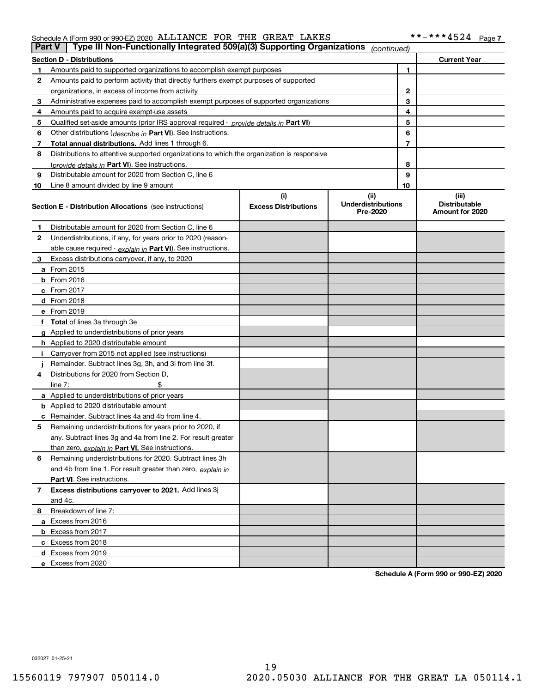#### Schedule A (Form 990 or 990-EZ) 2020 Page ALLIANCE FOR THE GREAT LAKES \*\*-\*\*\*4524

| <b>Part V</b> | Type III Non-Functionally Integrated 509(a)(3) Supporting Organizations                    |                                    | (continued)                                   |    |                                                  |
|---------------|--------------------------------------------------------------------------------------------|------------------------------------|-----------------------------------------------|----|--------------------------------------------------|
|               | <b>Section D - Distributions</b>                                                           |                                    |                                               |    | <b>Current Year</b>                              |
| 1             | Amounts paid to supported organizations to accomplish exempt purposes                      |                                    |                                               | 1  |                                                  |
| 2             | Amounts paid to perform activity that directly furthers exempt purposes of supported       |                                    |                                               |    |                                                  |
|               | organizations, in excess of income from activity                                           |                                    | $\mathbf{2}$                                  |    |                                                  |
| 3             | Administrative expenses paid to accomplish exempt purposes of supported organizations      |                                    |                                               | 3  |                                                  |
| 4             | Amounts paid to acquire exempt-use assets                                                  |                                    |                                               | 4  |                                                  |
| 5             | Qualified set-aside amounts (prior IRS approval required - provide details in Part VI)     |                                    |                                               | 5  |                                                  |
| 6             | Other distributions ( <i>describe in</i> Part VI). See instructions.                       |                                    |                                               | 6  |                                                  |
| 7             | Total annual distributions. Add lines 1 through 6.                                         |                                    |                                               | 7  |                                                  |
| 8             | Distributions to attentive supported organizations to which the organization is responsive |                                    |                                               |    |                                                  |
|               | (provide details in Part VI). See instructions.                                            |                                    |                                               | 8  |                                                  |
| 9             | Distributable amount for 2020 from Section C, line 6                                       |                                    |                                               | 9  |                                                  |
| 10            | Line 8 amount divided by line 9 amount                                                     |                                    |                                               | 10 |                                                  |
|               | <b>Section E - Distribution Allocations</b> (see instructions)                             | (i)<br><b>Excess Distributions</b> | (ii)<br><b>Underdistributions</b><br>Pre-2020 |    | (iii)<br><b>Distributable</b><br>Amount for 2020 |
| 1             | Distributable amount for 2020 from Section C, line 6                                       |                                    |                                               |    |                                                  |
| 2             | Underdistributions, if any, for years prior to 2020 (reason-                               |                                    |                                               |    |                                                  |
|               | able cause required - explain in Part VI). See instructions.                               |                                    |                                               |    |                                                  |
| 3             | Excess distributions carryover, if any, to 2020                                            |                                    |                                               |    |                                                  |
|               | a From 2015                                                                                |                                    |                                               |    |                                                  |
|               | <b>b</b> From 2016                                                                         |                                    |                                               |    |                                                  |
|               | $c$ From 2017                                                                              |                                    |                                               |    |                                                  |
|               | d From 2018                                                                                |                                    |                                               |    |                                                  |
|               | e From 2019                                                                                |                                    |                                               |    |                                                  |
|               | f Total of lines 3a through 3e                                                             |                                    |                                               |    |                                                  |
|               | g Applied to underdistributions of prior years                                             |                                    |                                               |    |                                                  |
|               | <b>h</b> Applied to 2020 distributable amount                                              |                                    |                                               |    |                                                  |
|               | Carryover from 2015 not applied (see instructions)                                         |                                    |                                               |    |                                                  |
|               | Remainder. Subtract lines 3g, 3h, and 3i from line 3f.                                     |                                    |                                               |    |                                                  |
| 4             | Distributions for 2020 from Section D,                                                     |                                    |                                               |    |                                                  |
|               | line $7:$                                                                                  |                                    |                                               |    |                                                  |
|               | a Applied to underdistributions of prior years                                             |                                    |                                               |    |                                                  |
|               | <b>b</b> Applied to 2020 distributable amount                                              |                                    |                                               |    |                                                  |
|               | c Remainder. Subtract lines 4a and 4b from line 4.                                         |                                    |                                               |    |                                                  |
| 5.            | Remaining underdistributions for years prior to 2020, if                                   |                                    |                                               |    |                                                  |
|               | any. Subtract lines 3g and 4a from line 2. For result greater                              |                                    |                                               |    |                                                  |
|               | than zero, explain in Part VI. See instructions.                                           |                                    |                                               |    |                                                  |
| 6             | Remaining underdistributions for 2020. Subtract lines 3h                                   |                                    |                                               |    |                                                  |
|               | and 4b from line 1. For result greater than zero, explain in                               |                                    |                                               |    |                                                  |
|               | Part VI. See instructions.                                                                 |                                    |                                               |    |                                                  |
| 7             | Excess distributions carryover to 2021. Add lines 3j                                       |                                    |                                               |    |                                                  |
|               | and 4c.                                                                                    |                                    |                                               |    |                                                  |
| 8             | Breakdown of line 7:                                                                       |                                    |                                               |    |                                                  |
|               | a Excess from 2016                                                                         |                                    |                                               |    |                                                  |
|               | <b>b</b> Excess from 2017                                                                  |                                    |                                               |    |                                                  |
|               | c Excess from 2018                                                                         |                                    |                                               |    |                                                  |
|               | d Excess from 2019                                                                         |                                    |                                               |    |                                                  |
|               | e Excess from 2020                                                                         |                                    |                                               |    |                                                  |

**Schedule A (Form 990 or 990-EZ) 2020**

032027 01-25-21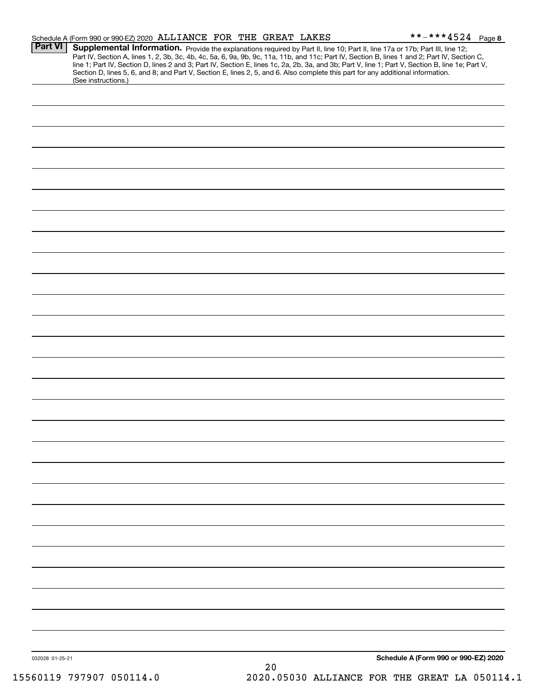|                 | Schedule A (Form 990 or 990-EZ) 2020 ALLIANCE FOR THE GREAT LAKES |  |      | **-***4524 Page 8                                                                                                                                                                                                                                                                                                                                                                                                                                                                                                                                                    |  |
|-----------------|-------------------------------------------------------------------|--|------|----------------------------------------------------------------------------------------------------------------------------------------------------------------------------------------------------------------------------------------------------------------------------------------------------------------------------------------------------------------------------------------------------------------------------------------------------------------------------------------------------------------------------------------------------------------------|--|
| <b>Part VI</b>  |                                                                   |  |      | Supplemental Information. Provide the explanations required by Part II, line 10; Part II, line 17a or 17b; Part III, line 12;<br>Part IV, Section A, lines 1, 2, 3b, 3c, 4b, 4c, 5a, 6, 9a, 9b, 9c, 11a, 11b, and 11c; Part IV, Section B, lines 1 and 2; Part IV, Section C,<br>line 1; Part IV, Section D, lines 2 and 3; Part IV, Section E, lines 1c, 2a, 2b, 3a, and 3b; Part V, line 1; Part V, Section B, line 1e; Part V,<br>Section D, lines 5, 6, and 8; and Part V, Section E, lines 2, 5, and 6. Also complete this part for any additional information. |  |
|                 | (See instructions.)                                               |  |      |                                                                                                                                                                                                                                                                                                                                                                                                                                                                                                                                                                      |  |
|                 |                                                                   |  |      |                                                                                                                                                                                                                                                                                                                                                                                                                                                                                                                                                                      |  |
|                 |                                                                   |  |      |                                                                                                                                                                                                                                                                                                                                                                                                                                                                                                                                                                      |  |
|                 |                                                                   |  |      |                                                                                                                                                                                                                                                                                                                                                                                                                                                                                                                                                                      |  |
|                 |                                                                   |  |      |                                                                                                                                                                                                                                                                                                                                                                                                                                                                                                                                                                      |  |
|                 |                                                                   |  |      |                                                                                                                                                                                                                                                                                                                                                                                                                                                                                                                                                                      |  |
|                 |                                                                   |  |      |                                                                                                                                                                                                                                                                                                                                                                                                                                                                                                                                                                      |  |
|                 |                                                                   |  |      |                                                                                                                                                                                                                                                                                                                                                                                                                                                                                                                                                                      |  |
|                 |                                                                   |  |      |                                                                                                                                                                                                                                                                                                                                                                                                                                                                                                                                                                      |  |
|                 |                                                                   |  |      |                                                                                                                                                                                                                                                                                                                                                                                                                                                                                                                                                                      |  |
|                 |                                                                   |  |      |                                                                                                                                                                                                                                                                                                                                                                                                                                                                                                                                                                      |  |
|                 |                                                                   |  |      |                                                                                                                                                                                                                                                                                                                                                                                                                                                                                                                                                                      |  |
|                 |                                                                   |  |      |                                                                                                                                                                                                                                                                                                                                                                                                                                                                                                                                                                      |  |
|                 |                                                                   |  |      |                                                                                                                                                                                                                                                                                                                                                                                                                                                                                                                                                                      |  |
|                 |                                                                   |  |      |                                                                                                                                                                                                                                                                                                                                                                                                                                                                                                                                                                      |  |
|                 |                                                                   |  |      |                                                                                                                                                                                                                                                                                                                                                                                                                                                                                                                                                                      |  |
|                 |                                                                   |  |      |                                                                                                                                                                                                                                                                                                                                                                                                                                                                                                                                                                      |  |
|                 |                                                                   |  |      |                                                                                                                                                                                                                                                                                                                                                                                                                                                                                                                                                                      |  |
|                 |                                                                   |  |      |                                                                                                                                                                                                                                                                                                                                                                                                                                                                                                                                                                      |  |
|                 |                                                                   |  |      |                                                                                                                                                                                                                                                                                                                                                                                                                                                                                                                                                                      |  |
|                 |                                                                   |  |      |                                                                                                                                                                                                                                                                                                                                                                                                                                                                                                                                                                      |  |
|                 |                                                                   |  |      |                                                                                                                                                                                                                                                                                                                                                                                                                                                                                                                                                                      |  |
|                 |                                                                   |  |      |                                                                                                                                                                                                                                                                                                                                                                                                                                                                                                                                                                      |  |
|                 |                                                                   |  |      |                                                                                                                                                                                                                                                                                                                                                                                                                                                                                                                                                                      |  |
|                 |                                                                   |  |      |                                                                                                                                                                                                                                                                                                                                                                                                                                                                                                                                                                      |  |
|                 |                                                                   |  |      |                                                                                                                                                                                                                                                                                                                                                                                                                                                                                                                                                                      |  |
|                 |                                                                   |  |      |                                                                                                                                                                                                                                                                                                                                                                                                                                                                                                                                                                      |  |
|                 |                                                                   |  |      |                                                                                                                                                                                                                                                                                                                                                                                                                                                                                                                                                                      |  |
|                 |                                                                   |  |      |                                                                                                                                                                                                                                                                                                                                                                                                                                                                                                                                                                      |  |
|                 |                                                                   |  |      |                                                                                                                                                                                                                                                                                                                                                                                                                                                                                                                                                                      |  |
|                 |                                                                   |  |      |                                                                                                                                                                                                                                                                                                                                                                                                                                                                                                                                                                      |  |
|                 |                                                                   |  |      |                                                                                                                                                                                                                                                                                                                                                                                                                                                                                                                                                                      |  |
|                 |                                                                   |  |      |                                                                                                                                                                                                                                                                                                                                                                                                                                                                                                                                                                      |  |
| 032028 01-25-21 |                                                                   |  |      | Schedule A (Form 990 or 990-EZ) 2020                                                                                                                                                                                                                                                                                                                                                                                                                                                                                                                                 |  |
|                 |                                                                   |  | $20$ |                                                                                                                                                                                                                                                                                                                                                                                                                                                                                                                                                                      |  |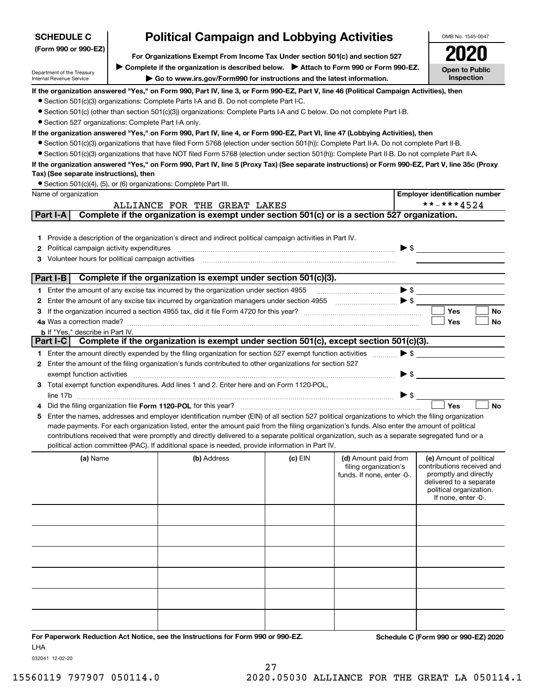| <b>SCHEDULE C</b>                                                                                     |  | <b>Political Campaign and Lobbying Activities</b>                                                                                                |         |                            |                          | OMB No. 1545-0047                                |
|-------------------------------------------------------------------------------------------------------|--|--------------------------------------------------------------------------------------------------------------------------------------------------|---------|----------------------------|--------------------------|--------------------------------------------------|
| (Form 990 or 990-EZ)<br>For Organizations Exempt From Income Tax Under section 501(c) and section 527 |  |                                                                                                                                                  |         |                            |                          |                                                  |
|                                                                                                       |  | ► Complete if the organization is described below. ► Attach to Form 990 or Form 990-EZ.                                                          |         |                            |                          |                                                  |
| Department of the Treasury<br>Internal Revenue Service                                                |  | Go to www.irs.gov/Form990 for instructions and the latest information.                                                                           |         |                            |                          | <b>Open to Public</b><br>Inspection              |
|                                                                                                       |  | If the organization answered "Yes," on Form 990, Part IV, line 3, or Form 990-EZ, Part V, line 46 (Political Campaign Activities), then          |         |                            |                          |                                                  |
|                                                                                                       |  | • Section 501(c)(3) organizations: Complete Parts I-A and B. Do not complete Part I-C.                                                           |         |                            |                          |                                                  |
|                                                                                                       |  | • Section 501(c) (other than section 501(c)(3)) organizations: Complete Parts I-A and C below. Do not complete Part I-B.                         |         |                            |                          |                                                  |
| • Section 527 organizations: Complete Part I-A only.                                                  |  |                                                                                                                                                  |         |                            |                          |                                                  |
|                                                                                                       |  | If the organization answered "Yes," on Form 990, Part IV, line 4, or Form 990-EZ, Part VI, line 47 (Lobbying Activities), then                   |         |                            |                          |                                                  |
|                                                                                                       |  | • Section 501(c)(3) organizations that have filed Form 5768 (election under section 501(h)): Complete Part II-A. Do not complete Part II-B.      |         |                            |                          |                                                  |
|                                                                                                       |  | • Section 501(c)(3) organizations that have NOT filed Form 5768 (election under section 501(h)): Complete Part II-B. Do not complete Part II-A.  |         |                            |                          |                                                  |
| Tax) (See separate instructions), then                                                                |  | If the organization answered "Yes," on Form 990, Part IV, line 5 (Proxy Tax) (See separate instructions) or Form 990-EZ, Part V, line 35c (Proxy |         |                            |                          |                                                  |
|                                                                                                       |  | • Section 501(c)(4), (5), or (6) organizations: Complete Part III.                                                                               |         |                            |                          |                                                  |
| Name of organization                                                                                  |  |                                                                                                                                                  |         |                            |                          | <b>Employer identification number</b>            |
|                                                                                                       |  | ALLIANCE FOR THE GREAT LAKES                                                                                                                     |         |                            |                          | **-***4524                                       |
| Part I-A                                                                                              |  | Complete if the organization is exempt under section 501(c) or is a section 527 organization.                                                    |         |                            |                          |                                                  |
|                                                                                                       |  |                                                                                                                                                  |         |                            |                          |                                                  |
| 1.                                                                                                    |  | Provide a description of the organization's direct and indirect political campaign activities in Part IV.                                        |         |                            |                          |                                                  |
| Political campaign activity expenditures<br>2                                                         |  |                                                                                                                                                  |         |                            |                          |                                                  |
| Volunteer hours for political campaign activities<br>з                                                |  |                                                                                                                                                  |         |                            |                          |                                                  |
| Part I-B                                                                                              |  | Complete if the organization is exempt under section 501(c)(3).                                                                                  |         |                            |                          |                                                  |
|                                                                                                       |  | 1 Enter the amount of any excise tax incurred by the organization under section 4955                                                             |         |                            |                          | $\blacktriangleright$ \$                         |
| 2                                                                                                     |  | Enter the amount of any excise tax incurred by organization managers under section 4955                                                          |         |                            |                          |                                                  |
| з                                                                                                     |  |                                                                                                                                                  |         |                            |                          | <b>Yes</b><br><b>No</b>                          |
|                                                                                                       |  |                                                                                                                                                  |         |                            |                          | Yes<br>No                                        |
| <b>b</b> If "Yes," describe in Part IV.                                                               |  |                                                                                                                                                  |         |                            |                          |                                                  |
| Part I-C                                                                                              |  | Complete if the organization is exempt under section 501(c), except section 501(c)(3).                                                           |         |                            |                          |                                                  |
|                                                                                                       |  | 1 Enter the amount directly expended by the filing organization for section 527 exempt function activities                                       |         |                            |                          | $\blacktriangleright$ \$                         |
| 2                                                                                                     |  | Enter the amount of the filing organization's funds contributed to other organizations for section 527                                           |         |                            |                          |                                                  |
| exempt function activities                                                                            |  |                                                                                                                                                  |         |                            | $\blacktriangleright$ \$ |                                                  |
|                                                                                                       |  | 3 Total exempt function expenditures. Add lines 1 and 2. Enter here and on Form 1120-POL,                                                        |         |                            |                          |                                                  |
|                                                                                                       |  |                                                                                                                                                  |         |                            | $\triangleright$ \$      | Yes<br><b>No</b>                                 |
| 5                                                                                                     |  | Enter the names, addresses and employer identification number (EIN) of all section 527 political organizations to which the filing organization  |         |                            |                          |                                                  |
|                                                                                                       |  | made payments. For each organization listed, enter the amount paid from the filing organization's funds. Also enter the amount of political      |         |                            |                          |                                                  |
|                                                                                                       |  | contributions received that were promptly and directly delivered to a separate political organization, such as a separate segregated fund or a   |         |                            |                          |                                                  |
|                                                                                                       |  | political action committee (PAC). If additional space is needed, provide information in Part IV.                                                 |         |                            |                          |                                                  |
| (a) Name                                                                                              |  | (b) Address                                                                                                                                      | (c) EIN | (d) Amount paid from       |                          | (e) Amount of political                          |
|                                                                                                       |  |                                                                                                                                                  |         | filing organization's      |                          | contributions received and                       |
|                                                                                                       |  |                                                                                                                                                  |         | funds. If none, enter -0-. |                          | promptly and directly<br>delivered to a separate |
|                                                                                                       |  |                                                                                                                                                  |         |                            |                          | political organization.                          |
|                                                                                                       |  |                                                                                                                                                  |         |                            |                          | If none, enter -0-.                              |
|                                                                                                       |  |                                                                                                                                                  |         |                            |                          |                                                  |
|                                                                                                       |  |                                                                                                                                                  |         |                            |                          |                                                  |
|                                                                                                       |  |                                                                                                                                                  |         |                            |                          |                                                  |
|                                                                                                       |  |                                                                                                                                                  |         |                            |                          |                                                  |
|                                                                                                       |  |                                                                                                                                                  |         |                            |                          |                                                  |
|                                                                                                       |  |                                                                                                                                                  |         |                            |                          |                                                  |
|                                                                                                       |  |                                                                                                                                                  |         |                            |                          |                                                  |
|                                                                                                       |  |                                                                                                                                                  |         |                            |                          |                                                  |
|                                                                                                       |  |                                                                                                                                                  |         |                            |                          |                                                  |
|                                                                                                       |  |                                                                                                                                                  |         |                            |                          |                                                  |
|                                                                                                       |  |                                                                                                                                                  |         |                            |                          |                                                  |
| <b>LHA</b>                                                                                            |  | For Paperwork Reduction Act Notice, see the Instructions for Form 990 or 990-EZ.                                                                 |         |                            |                          | Schedule C (Form 990 or 990-EZ) 2020             |

032041 12-02-20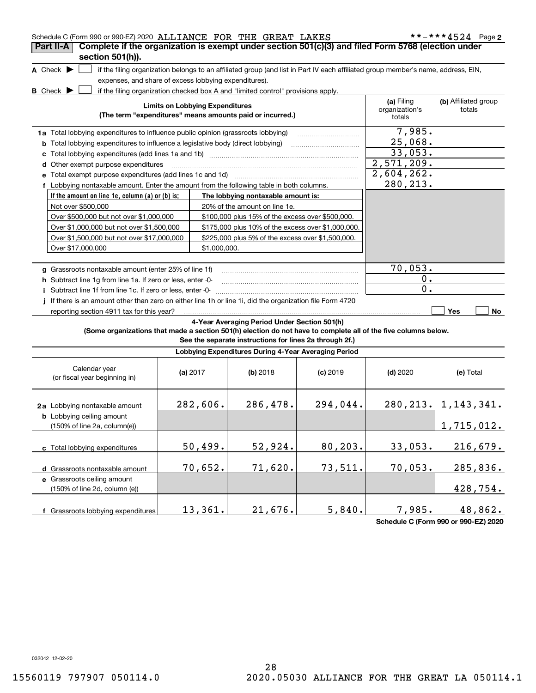| Schedule C (Form 990 or 990-EZ) 2020 ALLIANCE FOR THE GREAT LAKES                                               |                                        |              |                                                                                                                                   |            |                                        | **-***4524 Page 2              |
|-----------------------------------------------------------------------------------------------------------------|----------------------------------------|--------------|-----------------------------------------------------------------------------------------------------------------------------------|------------|----------------------------------------|--------------------------------|
| Complete if the organization is exempt under section 501(c)(3) and filed Form 5768 (election under<br>Part II-A |                                        |              |                                                                                                                                   |            |                                        |                                |
| section 501(h)).                                                                                                |                                        |              |                                                                                                                                   |            |                                        |                                |
| A Check $\blacktriangleright$                                                                                   |                                        |              | if the filing organization belongs to an affiliated group (and list in Part IV each affiliated group member's name, address, EIN, |            |                                        |                                |
| expenses, and share of excess lobbying expenditures).                                                           |                                        |              |                                                                                                                                   |            |                                        |                                |
| <b>B</b> Check $\blacktriangleright$                                                                            |                                        |              | if the filing organization checked box A and "limited control" provisions apply.                                                  |            |                                        |                                |
|                                                                                                                 | <b>Limits on Lobbying Expenditures</b> |              | (The term "expenditures" means amounts paid or incurred.)                                                                         |            | (a) Filing<br>organization's<br>totals | (b) Affiliated group<br>totals |
| 1a Total lobbying expenditures to influence public opinion (grassroots lobbying)                                |                                        |              |                                                                                                                                   |            | 7,985.                                 |                                |
| <b>b</b> Total lobbying expenditures to influence a legislative body (direct lobbying)                          |                                        |              |                                                                                                                                   |            | 25,068.                                |                                |
|                                                                                                                 |                                        |              |                                                                                                                                   |            | 33,053.                                |                                |
| d Other exempt purpose expenditures                                                                             |                                        |              |                                                                                                                                   |            | 2,571,209.                             |                                |
| e Total exempt purpose expenditures (add lines 1c and 1d)                                                       |                                        |              |                                                                                                                                   |            | 2,604,262.                             |                                |
| f Lobbying nontaxable amount. Enter the amount from the following table in both columns.                        |                                        |              |                                                                                                                                   |            | 280,213.                               |                                |
| If the amount on line 1e, column (a) or (b) is:                                                                 |                                        |              | The lobbying nontaxable amount is:                                                                                                |            |                                        |                                |
| Not over \$500,000                                                                                              |                                        |              | 20% of the amount on line 1e.                                                                                                     |            |                                        |                                |
| Over \$500,000 but not over \$1,000,000                                                                         |                                        |              | \$100,000 plus 15% of the excess over \$500,000.                                                                                  |            |                                        |                                |
| Over \$1,000,000 but not over \$1,500,000                                                                       |                                        |              | \$175,000 plus 10% of the excess over \$1,000,000.                                                                                |            |                                        |                                |
| Over \$1,500,000 but not over \$17,000,000                                                                      |                                        |              | \$225,000 plus 5% of the excess over \$1,500,000.                                                                                 |            |                                        |                                |
| Over \$17,000,000                                                                                               |                                        | \$1,000,000. |                                                                                                                                   |            |                                        |                                |
|                                                                                                                 |                                        |              |                                                                                                                                   |            |                                        |                                |
| g Grassroots nontaxable amount (enter 25% of line 1f)                                                           |                                        |              |                                                                                                                                   |            | 70,053.                                |                                |
| h Subtract line 1g from line 1a. If zero or less, enter -0-                                                     |                                        |              |                                                                                                                                   |            | 0.                                     |                                |
| i Subtract line 1f from line 1c. If zero or less, enter -0-                                                     |                                        |              |                                                                                                                                   |            | $\mathbf 0$ .                          |                                |
| If there is an amount other than zero on either line 1h or line 1i, did the organization file Form 4720         |                                        |              |                                                                                                                                   |            |                                        |                                |
| reporting section 4911 tax for this year?                                                                       |                                        |              |                                                                                                                                   |            |                                        | <b>Yes</b><br>No               |
| (Some organizations that made a section 501(h) election do not have to complete all of the five columns below.  |                                        |              | 4-Year Averaging Period Under Section 501(h)<br>See the separate instructions for lines 2a through 2f.)                           |            |                                        |                                |
|                                                                                                                 |                                        |              | Lobbying Expenditures During 4-Year Averaging Period                                                                              |            |                                        |                                |
| Calendar year<br>(or fiscal year beginning in)                                                                  | (a) 2017                               |              | (b) 2018                                                                                                                          | $(c)$ 2019 | $(d)$ 2020                             | (e) Total                      |
| 2a Lobbying nontaxable amount                                                                                   | 282,606.                               |              | 286,478.                                                                                                                          | 294,044.   |                                        | $280, 213.$ 1, 143, 341.       |
| <b>b</b> Lobbying ceiling amount<br>$(150\% \text{ of line } 2a, \text{ column}(e))$                            |                                        |              |                                                                                                                                   |            |                                        | 1,715,012.                     |
| c Total lobbying expenditures                                                                                   | 50,499.                                |              | 52,924.                                                                                                                           | 80,203.    | 33,053.                                | 216,679.                       |
| d Grassroots nontaxable amount                                                                                  | 70,652.                                |              | 71,620.                                                                                                                           | 73,511.    | 70,053.                                | 285,836.                       |
| e Grassroots ceiling amount                                                                                     |                                        |              |                                                                                                                                   |            |                                        |                                |
| (150% of line 2d, column (e))                                                                                   |                                        |              |                                                                                                                                   |            |                                        | 428,754.                       |
| f Grassroots lobbying expenditures                                                                              | 13,361.                                |              | 21,676.                                                                                                                           | 5,840.     | 7,985.                                 | 48,862.                        |

**Schedule C (Form 990 or 990-EZ) 2020**

032042 12-02-20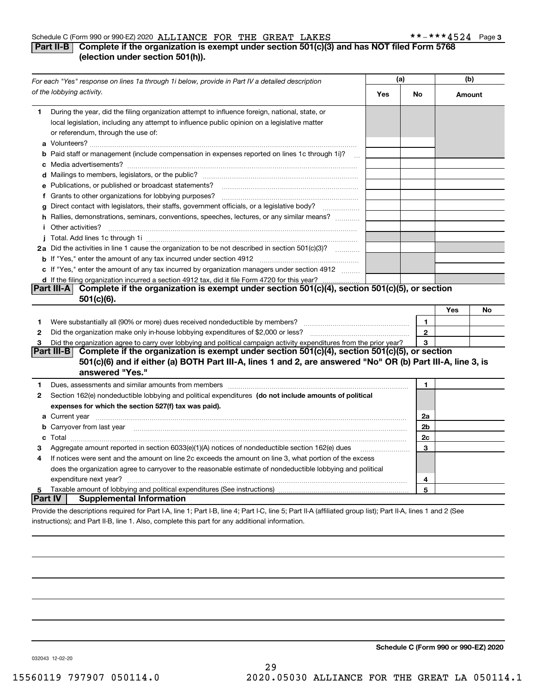#### Schedule C (Form 990 or 990-EZ) 2020 Page ALLIANCE FOR THE GREAT LAKES \*\*-\*\*\*4524

#### **3**

#### **Part II-B** Complete if the organization is exempt under section 501(c)(3) and has NOT filed Form 5768 **(election under section 501(h)).**

|   | For each "Yes" response on lines 1a through 1i below, provide in Part IV a detailed description                                                                                                                                           | (a) |                | (b)    |    |
|---|-------------------------------------------------------------------------------------------------------------------------------------------------------------------------------------------------------------------------------------------|-----|----------------|--------|----|
|   | of the lobbying activity.                                                                                                                                                                                                                 | Yes | No             | Amount |    |
| 1 | During the year, did the filing organization attempt to influence foreign, national, state, or<br>local legislation, including any attempt to influence public opinion on a legislative matter<br>or referendum, through the use of:      |     |                |        |    |
|   | <b>b</b> Paid staff or management (include compensation in expenses reported on lines 1c through 1i)?<br>$\sim$                                                                                                                           |     |                |        |    |
|   |                                                                                                                                                                                                                                           |     |                |        |    |
|   | e Publications, or published or broadcast statements?                                                                                                                                                                                     |     |                |        |    |
|   |                                                                                                                                                                                                                                           |     |                |        |    |
|   | g Direct contact with legislators, their staffs, government officials, or a legislative body?                                                                                                                                             |     |                |        |    |
|   | h Rallies, demonstrations, seminars, conventions, speeches, lectures, or any similar means?<br><i>i</i> Other activities?                                                                                                                 |     |                |        |    |
|   |                                                                                                                                                                                                                                           |     |                |        |    |
|   | 2a Did the activities in line 1 cause the organization to be not described in section 501(c)(3)?                                                                                                                                          |     |                |        |    |
|   |                                                                                                                                                                                                                                           |     |                |        |    |
|   | c If "Yes," enter the amount of any tax incurred by organization managers under section 4912                                                                                                                                              |     |                |        |    |
|   | d If the filing organization incurred a section 4912 tax, did it file Form 4720 for this year?                                                                                                                                            |     |                |        |    |
|   | Part III-A Complete if the organization is exempt under section 501(c)(4), section 501(c)(5), or section<br>501(c)(6).                                                                                                                    |     |                |        |    |
|   |                                                                                                                                                                                                                                           |     |                | Yes    | No |
| 1 |                                                                                                                                                                                                                                           |     | $\mathbf{1}$   |        |    |
| 2 |                                                                                                                                                                                                                                           |     | $\mathbf{2}$   |        |    |
| 3 | Did the organization agree to carry over lobbying and political campaign activity expenditures from the prior year?                                                                                                                       |     | 3              |        |    |
|   | Part III-B Complete if the organization is exempt under section 501(c)(4), section 501(c)(5), or section<br>501(c)(6) and if either (a) BOTH Part III-A, lines 1 and 2, are answered "No" OR (b) Part III-A, line 3, is                   |     |                |        |    |
|   | answered "Yes."                                                                                                                                                                                                                           |     |                |        |    |
| 1 | Dues, assessments and similar amounts from members [11] matter continuum matter assessments and similar amounts from members [11] matter continuum matter assessments and similar amounts from members [11] matter and the sta            |     | 1.             |        |    |
| 2 | Section 162(e) nondeductible lobbying and political expenditures (do not include amounts of political                                                                                                                                     |     |                |        |    |
|   | expenses for which the section 527(f) tax was paid).                                                                                                                                                                                      |     |                |        |    |
|   | <b>a</b> Current year <b>contract to the contract of the contract of the contract of contract of contract of contract of contract of contract of contract of contract of contract of contract of contract of contract of contract of </b> |     | 2a             |        |    |
|   | <b>b</b> Carryover from last year manufactured and contained a state of the contract of the contained and contained a state of the contained and contained a state of the contained and contained a state of the contained and cont       |     | 2 <sub>b</sub> |        |    |
|   |                                                                                                                                                                                                                                           |     | 2c             |        |    |
| з | Aggregate amount reported in section 6033(e)(1)(A) notices of nondeductible section 162(e) dues                                                                                                                                           |     | 3              |        |    |
| 4 | If notices were sent and the amount on line 2c exceeds the amount on line 3, what portion of the excess                                                                                                                                   |     |                |        |    |
|   | does the organization agree to carryover to the reasonable estimate of nondeductible lobbying and political                                                                                                                               |     |                |        |    |
|   |                                                                                                                                                                                                                                           |     | 4              |        |    |
| 5 | <b>Part IV</b><br><b>Supplemental Information</b>                                                                                                                                                                                         |     | 5              |        |    |
|   | Provide the descriptions required for Part I-A, line 1; Part I-B, line 4; Part I-C, line 5; Part II-A (affiliated group list); Part II-A, lines 1 and 2 (See                                                                              |     |                |        |    |

instructions); and Part II-B, line 1. Also, complete this part for any additional information.

**Schedule C (Form 990 or 990-EZ) 2020**

032043 12-02-20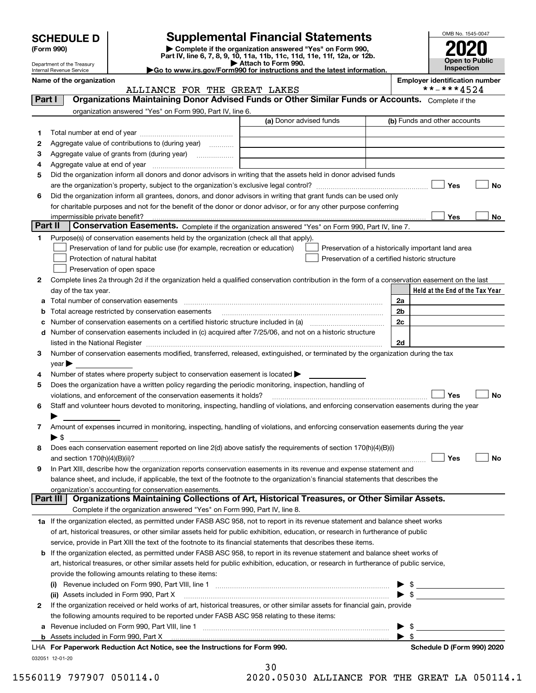| <b>SCHEDULE D</b> |  |
|-------------------|--|
|-------------------|--|

| (Form 990) |  |
|------------|--|
|------------|--|

## **Supplemental Financial Statements**

**(Form 990)** (**Form 990,**<br>Part IV, line 6, 7, 8, 9, 10, 11a, 11b, 11c, 11d, 11e, 11f, 12a, or 12b.<br>Department of the Treasury **and Except Part IV, line 6, 7, 8, 9, 10, 11a, 11b, 11c, 11d, 11e, 11f, 12a, or 12b.** 



|          | Department of the Treasury<br>Internal Revenue Service |                                                                                                                                                                                                                                | $\blacktriangleright$ Attach to Form 990.<br>Go to www.irs.gov/Form990 for instructions and the latest information. |                          | Inspection                            | טוועט ו שטווט |
|----------|--------------------------------------------------------|--------------------------------------------------------------------------------------------------------------------------------------------------------------------------------------------------------------------------------|---------------------------------------------------------------------------------------------------------------------|--------------------------|---------------------------------------|---------------|
|          | Name of the organization                               |                                                                                                                                                                                                                                |                                                                                                                     |                          | <b>Employer identification number</b> |               |
|          |                                                        | ALLIANCE FOR THE GREAT LAKES                                                                                                                                                                                                   |                                                                                                                     |                          | **-***4524                            |               |
| Part I   |                                                        | Organizations Maintaining Donor Advised Funds or Other Similar Funds or Accounts. Complete if the                                                                                                                              |                                                                                                                     |                          |                                       |               |
|          |                                                        | organization answered "Yes" on Form 990, Part IV, line 6.                                                                                                                                                                      |                                                                                                                     |                          |                                       |               |
|          |                                                        |                                                                                                                                                                                                                                | (a) Donor advised funds                                                                                             |                          | (b) Funds and other accounts          |               |
| 1        |                                                        |                                                                                                                                                                                                                                |                                                                                                                     |                          |                                       |               |
| 2        |                                                        | Aggregate value of contributions to (during year)                                                                                                                                                                              |                                                                                                                     |                          |                                       |               |
| З        |                                                        | Aggregate value of grants from (during year)                                                                                                                                                                                   |                                                                                                                     |                          |                                       |               |
| 4        |                                                        |                                                                                                                                                                                                                                |                                                                                                                     |                          |                                       |               |
| 5        |                                                        | Did the organization inform all donors and donor advisors in writing that the assets held in donor advised funds                                                                                                               |                                                                                                                     |                          |                                       |               |
|          |                                                        |                                                                                                                                                                                                                                |                                                                                                                     |                          | Yes                                   | No            |
| 6        |                                                        | Did the organization inform all grantees, donors, and donor advisors in writing that grant funds can be used only                                                                                                              |                                                                                                                     |                          |                                       |               |
|          |                                                        | for charitable purposes and not for the benefit of the donor or donor advisor, or for any other purpose conferring                                                                                                             |                                                                                                                     |                          |                                       |               |
|          | impermissible private benefit?                         |                                                                                                                                                                                                                                |                                                                                                                     |                          | Yes                                   | No            |
| Part II  |                                                        | Conservation Easements. Complete if the organization answered "Yes" on Form 990, Part IV, line 7.                                                                                                                              |                                                                                                                     |                          |                                       |               |
| 1        |                                                        | Purpose(s) of conservation easements held by the organization (check all that apply).                                                                                                                                          |                                                                                                                     |                          |                                       |               |
|          |                                                        | Preservation of land for public use (for example, recreation or education)                                                                                                                                                     | Preservation of a historically important land area                                                                  |                          |                                       |               |
|          |                                                        | Protection of natural habitat                                                                                                                                                                                                  | Preservation of a certified historic structure                                                                      |                          |                                       |               |
|          |                                                        | Preservation of open space                                                                                                                                                                                                     |                                                                                                                     |                          |                                       |               |
| 2        |                                                        | Complete lines 2a through 2d if the organization held a qualified conservation contribution in the form of a conservation easement on the last                                                                                 |                                                                                                                     |                          |                                       |               |
|          | day of the tax year.                                   |                                                                                                                                                                                                                                |                                                                                                                     |                          | Held at the End of the Tax Year       |               |
| а        |                                                        | Total number of conservation easements                                                                                                                                                                                         |                                                                                                                     | 2a                       |                                       |               |
| b        |                                                        | Total acreage restricted by conservation easements                                                                                                                                                                             |                                                                                                                     | 2b                       |                                       |               |
| с        |                                                        | Number of conservation easements on a certified historic structure included in (a) manufacture included in (a)                                                                                                                 |                                                                                                                     | 2c                       |                                       |               |
| d        |                                                        | Number of conservation easements included in (c) acquired after 7/25/06, and not on a historic structure                                                                                                                       |                                                                                                                     |                          |                                       |               |
|          |                                                        | listed in the National Register [11, 1200] [12] The National Register [11, 1200] [12] The National Register [11, 1200] [12] The National Register [11, 1200] [12] The National Register [11] The National Register [11] The Na |                                                                                                                     | 2d                       |                                       |               |
| 3        |                                                        | Number of conservation easements modified, transferred, released, extinguished, or terminated by the organization during the tax                                                                                               |                                                                                                                     |                          |                                       |               |
|          | $year \blacktriangleright$                             |                                                                                                                                                                                                                                |                                                                                                                     |                          |                                       |               |
| 4        |                                                        | Number of states where property subject to conservation easement is located                                                                                                                                                    |                                                                                                                     |                          |                                       |               |
| 5        |                                                        | Does the organization have a written policy regarding the periodic monitoring, inspection, handling of                                                                                                                         |                                                                                                                     |                          |                                       |               |
|          |                                                        | violations, and enforcement of the conservation easements it holds?                                                                                                                                                            |                                                                                                                     |                          | Yes                                   | No            |
| 6        |                                                        | Staff and volunteer hours devoted to monitoring, inspecting, handling of violations, and enforcing conservation easements during the year                                                                                      |                                                                                                                     |                          |                                       |               |
|          |                                                        |                                                                                                                                                                                                                                |                                                                                                                     |                          |                                       |               |
| 7        |                                                        | Amount of expenses incurred in monitoring, inspecting, handling of violations, and enforcing conservation easements during the year                                                                                            |                                                                                                                     |                          |                                       |               |
|          | $\blacktriangleright$ S                                |                                                                                                                                                                                                                                |                                                                                                                     |                          |                                       |               |
| 8        |                                                        | Does each conservation easement reported on line 2(d) above satisfy the requirements of section 170(h)(4)(B)(i)                                                                                                                |                                                                                                                     |                          |                                       |               |
|          |                                                        |                                                                                                                                                                                                                                |                                                                                                                     |                          | Yes                                   | No            |
| 9        |                                                        | In Part XIII, describe how the organization reports conservation easements in its revenue and expense statement and                                                                                                            |                                                                                                                     |                          |                                       |               |
|          |                                                        | balance sheet, and include, if applicable, the text of the footnote to the organization's financial statements that describes the                                                                                              |                                                                                                                     |                          |                                       |               |
|          |                                                        | organization's accounting for conservation easements.<br>Organizations Maintaining Collections of Art, Historical Treasures, or Other Similar Assets.                                                                          |                                                                                                                     |                          |                                       |               |
| Part III |                                                        |                                                                                                                                                                                                                                |                                                                                                                     |                          |                                       |               |
|          |                                                        | Complete if the organization answered "Yes" on Form 990, Part IV, line 8.                                                                                                                                                      |                                                                                                                     |                          |                                       |               |
|          |                                                        | 1a If the organization elected, as permitted under FASB ASC 958, not to report in its revenue statement and balance sheet works                                                                                                |                                                                                                                     |                          |                                       |               |
|          |                                                        | of art, historical treasures, or other similar assets held for public exhibition, education, or research in furtherance of public                                                                                              |                                                                                                                     |                          |                                       |               |
|          |                                                        | service, provide in Part XIII the text of the footnote to its financial statements that describes these items.                                                                                                                 |                                                                                                                     |                          |                                       |               |
| b        |                                                        | If the organization elected, as permitted under FASB ASC 958, to report in its revenue statement and balance sheet works of                                                                                                    |                                                                                                                     |                          |                                       |               |
|          |                                                        | art, historical treasures, or other similar assets held for public exhibition, education, or research in furtherance of public service,                                                                                        |                                                                                                                     |                          |                                       |               |
|          |                                                        | provide the following amounts relating to these items:                                                                                                                                                                         |                                                                                                                     |                          |                                       |               |
|          |                                                        |                                                                                                                                                                                                                                |                                                                                                                     |                          | $\sim$                                |               |
|          |                                                        | (ii) Assets included in Form 990, Part X                                                                                                                                                                                       |                                                                                                                     | $\blacktriangleright$ s  |                                       |               |
| 2        |                                                        | If the organization received or held works of art, historical treasures, or other similar assets for financial gain, provide                                                                                                   |                                                                                                                     |                          |                                       |               |
|          |                                                        | the following amounts required to be reported under FASB ASC 958 relating to these items:                                                                                                                                      |                                                                                                                     |                          |                                       |               |
| а        |                                                        | Revenue included on Form 990, Part VIII, line 1                                                                                                                                                                                |                                                                                                                     | $\blacktriangleright$ \$ |                                       |               |

**b** Assets included in Form 990, Part X

032051 12-01-20 **For Paperwork Reduction Act Notice, see the Instructions for Form 990. Schedule D (Form 990) 2020** LHA

30

15560119 797907 050114.0 2020.05030 ALLIANCE FOR THE GREAT LA 050114.1

 $\blacktriangleright$  \$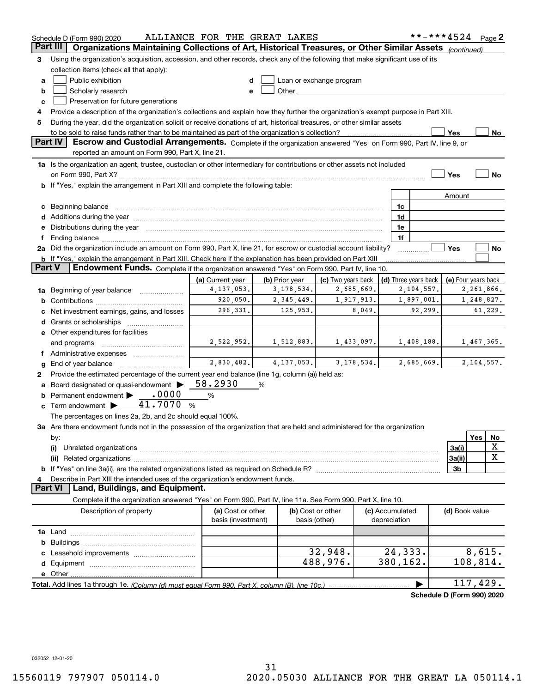|          | Schedule D (Form 990) 2020                                                                                                                                                                                                                                                                                                                           | ALLIANCE FOR THE GREAT LAKES |                |                                                                                                                                                                                                                               |                 | **-***4524 Page 2          |                     |            |    |
|----------|------------------------------------------------------------------------------------------------------------------------------------------------------------------------------------------------------------------------------------------------------------------------------------------------------------------------------------------------------|------------------------------|----------------|-------------------------------------------------------------------------------------------------------------------------------------------------------------------------------------------------------------------------------|-----------------|----------------------------|---------------------|------------|----|
| Part III | Organizations Maintaining Collections of Art, Historical Treasures, or Other Similar Assets (continued)                                                                                                                                                                                                                                              |                              |                |                                                                                                                                                                                                                               |                 |                            |                     |            |    |
| 3        | Using the organization's acquisition, accession, and other records, check any of the following that make significant use of its                                                                                                                                                                                                                      |                              |                |                                                                                                                                                                                                                               |                 |                            |                     |            |    |
|          | collection items (check all that apply):                                                                                                                                                                                                                                                                                                             |                              |                |                                                                                                                                                                                                                               |                 |                            |                     |            |    |
| a        | Public exhibition                                                                                                                                                                                                                                                                                                                                    |                              |                | Loan or exchange program                                                                                                                                                                                                      |                 |                            |                     |            |    |
| b        | Scholarly research                                                                                                                                                                                                                                                                                                                                   | e                            |                | Other and the contract of the contract of the contract of the contract of the contract of the contract of the contract of the contract of the contract of the contract of the contract of the contract of the contract of the |                 |                            |                     |            |    |
| c        | Preservation for future generations                                                                                                                                                                                                                                                                                                                  |                              |                |                                                                                                                                                                                                                               |                 |                            |                     |            |    |
| 4        | Provide a description of the organization's collections and explain how they further the organization's exempt purpose in Part XIII.                                                                                                                                                                                                                 |                              |                |                                                                                                                                                                                                                               |                 |                            |                     |            |    |
| 5        | During the year, did the organization solicit or receive donations of art, historical treasures, or other similar assets                                                                                                                                                                                                                             |                              |                |                                                                                                                                                                                                                               |                 |                            |                     |            |    |
|          | to be sold to raise funds rather than to be maintained as part of the organization's collection?                                                                                                                                                                                                                                                     |                              |                |                                                                                                                                                                                                                               |                 |                            | Yes                 |            | No |
|          | <b>Part IV</b><br>Escrow and Custodial Arrangements. Complete if the organization answered "Yes" on Form 990, Part IV, line 9, or                                                                                                                                                                                                                    |                              |                |                                                                                                                                                                                                                               |                 |                            |                     |            |    |
|          | reported an amount on Form 990, Part X, line 21.                                                                                                                                                                                                                                                                                                     |                              |                |                                                                                                                                                                                                                               |                 |                            |                     |            |    |
|          | 1a Is the organization an agent, trustee, custodian or other intermediary for contributions or other assets not included                                                                                                                                                                                                                             |                              |                |                                                                                                                                                                                                                               |                 |                            |                     |            |    |
|          |                                                                                                                                                                                                                                                                                                                                                      |                              |                |                                                                                                                                                                                                                               |                 |                            | Yes                 |            | No |
|          | <b>b</b> If "Yes," explain the arrangement in Part XIII and complete the following table:                                                                                                                                                                                                                                                            |                              |                |                                                                                                                                                                                                                               |                 |                            |                     |            |    |
|          |                                                                                                                                                                                                                                                                                                                                                      |                              |                |                                                                                                                                                                                                                               |                 |                            | Amount              |            |    |
|          |                                                                                                                                                                                                                                                                                                                                                      |                              |                |                                                                                                                                                                                                                               | 1c              |                            |                     |            |    |
| c        | Beginning balance <b>contract to the contract of the contract of the contract of the contract of the contract of t</b>                                                                                                                                                                                                                               |                              |                |                                                                                                                                                                                                                               | 1d              |                            |                     |            |    |
|          |                                                                                                                                                                                                                                                                                                                                                      |                              |                |                                                                                                                                                                                                                               | 1e              |                            |                     |            |    |
|          | Distributions during the year manufactured and an account of the state of the state of the state of the state of the state of the state of the state of the state of the state of the state of the state of the state of the s                                                                                                                       |                              |                |                                                                                                                                                                                                                               | 1f              |                            |                     |            |    |
|          | Ending balance manufactured and all and all and all and all and all and all and all and all and all and all and and all and all and all and all and all and all and all and all and all and all and all and all and all and al<br>2a Did the organization include an amount on Form 990, Part X, line 21, for escrow or custodial account liability? |                              |                |                                                                                                                                                                                                                               |                 |                            | Yes                 |            | No |
|          | <b>b</b> If "Yes," explain the arrangement in Part XIII. Check here if the explanation has been provided on Part XIII                                                                                                                                                                                                                                |                              |                |                                                                                                                                                                                                                               |                 |                            |                     |            |    |
| Part V   | Endowment Funds. Complete if the organization answered "Yes" on Form 990, Part IV, line 10.                                                                                                                                                                                                                                                          |                              |                |                                                                                                                                                                                                                               |                 |                            |                     |            |    |
|          |                                                                                                                                                                                                                                                                                                                                                      | (a) Current year             | (b) Prior year | (c) Two years back                                                                                                                                                                                                            |                 | (d) Three years back       | (e) Four years back |            |    |
|          | Beginning of year balance                                                                                                                                                                                                                                                                                                                            | 4, 137, 053.                 | 3, 178, 534.   | 2,685,669.                                                                                                                                                                                                                    |                 | 2,104,557.                 |                     | 2,261,866. |    |
| 1a       |                                                                                                                                                                                                                                                                                                                                                      | 920,050.                     | 2,345,449.     | 1,917,913.                                                                                                                                                                                                                    |                 | 1,897,001.                 |                     | 1,248,827. |    |
| b        |                                                                                                                                                                                                                                                                                                                                                      | 296,331.                     | 125,953.       | 8,049.                                                                                                                                                                                                                        |                 | 92,299.                    | 61,229.             |            |    |
|          | Net investment earnings, gains, and losses                                                                                                                                                                                                                                                                                                           |                              |                |                                                                                                                                                                                                                               |                 |                            |                     |            |    |
| d        |                                                                                                                                                                                                                                                                                                                                                      |                              |                |                                                                                                                                                                                                                               |                 |                            |                     |            |    |
|          | e Other expenditures for facilities                                                                                                                                                                                                                                                                                                                  |                              |                |                                                                                                                                                                                                                               |                 |                            |                     |            |    |
|          | and programs                                                                                                                                                                                                                                                                                                                                         | 2,522,952.                   | 1,512,883.     | 1,433,097.                                                                                                                                                                                                                    |                 | 1,408,188.                 |                     | 1,467,365. |    |
|          |                                                                                                                                                                                                                                                                                                                                                      |                              |                |                                                                                                                                                                                                                               |                 |                            |                     |            |    |
| g        | End of year balance                                                                                                                                                                                                                                                                                                                                  | 2,830,482.                   | 4, 137, 053.   | 3, 178, 534.                                                                                                                                                                                                                  |                 | 2,685,669.                 |                     | 2,104,557. |    |
| 2        | Provide the estimated percentage of the current year end balance (line 1g, column (a)) held as:                                                                                                                                                                                                                                                      |                              |                |                                                                                                                                                                                                                               |                 |                            |                     |            |    |
|          | Board designated or quasi-endowment >                                                                                                                                                                                                                                                                                                                | 58.2930                      | %              |                                                                                                                                                                                                                               |                 |                            |                     |            |    |
| b        | .0000<br>Permanent endowment                                                                                                                                                                                                                                                                                                                         | %                            |                |                                                                                                                                                                                                                               |                 |                            |                     |            |    |
| c        | Term endowment $\blacktriangleright$ $\_\_\_$ 41.7070                                                                                                                                                                                                                                                                                                | - %                          |                |                                                                                                                                                                                                                               |                 |                            |                     |            |    |
|          | The percentages on lines 2a, 2b, and 2c should equal 100%.                                                                                                                                                                                                                                                                                           |                              |                |                                                                                                                                                                                                                               |                 |                            |                     |            |    |
|          | 3a Are there endowment funds not in the possession of the organization that are held and administered for the organization                                                                                                                                                                                                                           |                              |                |                                                                                                                                                                                                                               |                 |                            |                     |            |    |
|          | by:                                                                                                                                                                                                                                                                                                                                                  |                              |                |                                                                                                                                                                                                                               |                 |                            |                     | Yes        | No |
|          | (i)                                                                                                                                                                                                                                                                                                                                                  |                              |                |                                                                                                                                                                                                                               |                 |                            | 3a(i)               |            | х  |
|          |                                                                                                                                                                                                                                                                                                                                                      |                              |                |                                                                                                                                                                                                                               |                 |                            | 3a(ii)              |            | X  |
| b        |                                                                                                                                                                                                                                                                                                                                                      |                              |                |                                                                                                                                                                                                                               |                 |                            | 3b                  |            |    |
|          | Describe in Part XIII the intended uses of the organization's endowment funds.                                                                                                                                                                                                                                                                       |                              |                |                                                                                                                                                                                                                               |                 |                            |                     |            |    |
|          | Land, Buildings, and Equipment.<br><b>Part VI</b>                                                                                                                                                                                                                                                                                                    |                              |                |                                                                                                                                                                                                                               |                 |                            |                     |            |    |
|          | Complete if the organization answered "Yes" on Form 990, Part IV, line 11a. See Form 990, Part X, line 10.                                                                                                                                                                                                                                           |                              |                |                                                                                                                                                                                                                               |                 |                            |                     |            |    |
|          | Description of property                                                                                                                                                                                                                                                                                                                              | (a) Cost or other            |                | (b) Cost or other                                                                                                                                                                                                             | (c) Accumulated |                            | (d) Book value      |            |    |
|          |                                                                                                                                                                                                                                                                                                                                                      | basis (investment)           |                | basis (other)                                                                                                                                                                                                                 | depreciation    |                            |                     |            |    |
|          |                                                                                                                                                                                                                                                                                                                                                      |                              |                |                                                                                                                                                                                                                               |                 |                            |                     |            |    |
| b        |                                                                                                                                                                                                                                                                                                                                                      |                              |                |                                                                                                                                                                                                                               |                 |                            |                     |            |    |
|          |                                                                                                                                                                                                                                                                                                                                                      |                              |                | 32,948.                                                                                                                                                                                                                       | 24,333.         |                            |                     | 8,615.     |    |
| d        |                                                                                                                                                                                                                                                                                                                                                      |                              |                | 488,976.                                                                                                                                                                                                                      | 380, 162.       |                            | 108,814.            |            |    |
|          | e Other                                                                                                                                                                                                                                                                                                                                              |                              |                |                                                                                                                                                                                                                               |                 |                            |                     |            |    |
|          | Total. Add lines 1a through 1e. (Column (d) must equal Form 990. Part X, column (B), line 10c.)                                                                                                                                                                                                                                                      |                              |                |                                                                                                                                                                                                                               |                 |                            | 117,429.            |            |    |
|          |                                                                                                                                                                                                                                                                                                                                                      |                              |                |                                                                                                                                                                                                                               |                 | Schedule D (Form 990) 2020 |                     |            |    |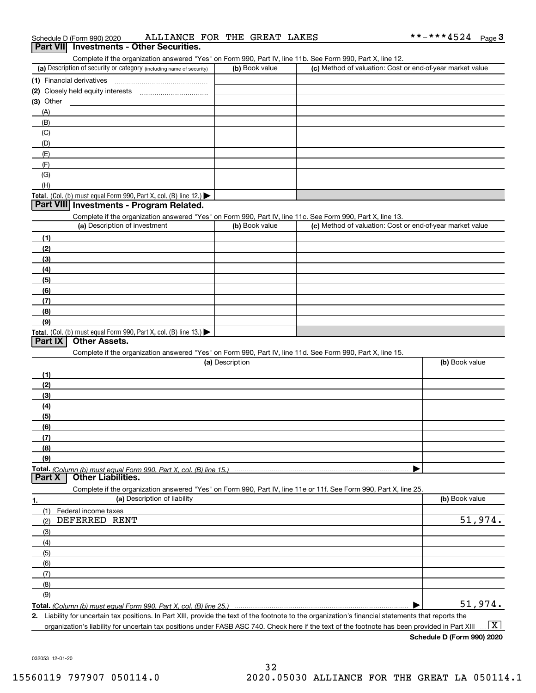| Schedule D (Form 990) 2020 |  | ALLIANCE FOR THE GREAT LAKES |  |  |  |  | **-***4524 | Page |  |
|----------------------------|--|------------------------------|--|--|--|--|------------|------|--|
|----------------------------|--|------------------------------|--|--|--|--|------------|------|--|

#### **Part VII Investments - Other Securities.**

Complete if the organization answered "Yes" on Form 990, Part IV, line 11b. See Form 990, Part X, line 12.

| (a) Description of security or category (including name of security)                          | (b) Book value | (c) Method of valuation: Cost or end-of-year market value |
|-----------------------------------------------------------------------------------------------|----------------|-----------------------------------------------------------|
| (1) Financial derivatives                                                                     |                |                                                           |
| (2) Closely held equity interests                                                             |                |                                                           |
| $(3)$ Other                                                                                   |                |                                                           |
| (A)                                                                                           |                |                                                           |
| (B)                                                                                           |                |                                                           |
| (C)                                                                                           |                |                                                           |
| (D)                                                                                           |                |                                                           |
| (E)                                                                                           |                |                                                           |
| (F)                                                                                           |                |                                                           |
| (G)                                                                                           |                |                                                           |
| (H)                                                                                           |                |                                                           |
| <b>Total.</b> (Col. (b) must equal Form 990, Part X, col. (B) line 12.) $\blacktriangleright$ |                |                                                           |

#### **Part VIII Investments - Program Related.**

Complete if the organization answered "Yes" on Form 990, Part IV, line 11c. See Form 990, Part X, line 13.

| (a) Description of investment                                    | (b) Book value | (c) Method of valuation: Cost or end-of-year market value |
|------------------------------------------------------------------|----------------|-----------------------------------------------------------|
| (1)                                                              |                |                                                           |
| (2)                                                              |                |                                                           |
| (3)                                                              |                |                                                           |
| (4)                                                              |                |                                                           |
| $\left(5\right)$                                                 |                |                                                           |
| (6)                                                              |                |                                                           |
| (7)                                                              |                |                                                           |
| (8)                                                              |                |                                                           |
| (9)                                                              |                |                                                           |
| Total. (Col. (b) must equal Form 990, Part X, col. (B) line 13.) |                |                                                           |

#### **Part IX Other Assets.**

Complete if the organization answered "Yes" on Form 990, Part IV, line 11d. See Form 990, Part X, line 15.

| (a) Description                                                                                                                       | (b) Book value |
|---------------------------------------------------------------------------------------------------------------------------------------|----------------|
| (1)                                                                                                                                   |                |
| (2)                                                                                                                                   |                |
| (3)                                                                                                                                   |                |
| (4)                                                                                                                                   |                |
| (5)                                                                                                                                   |                |
| (6)                                                                                                                                   |                |
|                                                                                                                                       |                |
| (8)                                                                                                                                   |                |
| (9)                                                                                                                                   |                |
|                                                                                                                                       |                |
| Total. (Column (b) must equal Form 990, Part X, col. (B) line 15.) ………………………………………………………………………………………<br>  Part X   Other Liabilities. |                |

**1.(a)** Description of liability **Book value** Book value Book value Book value Book value **Total.**  *(Column (b) must equal Form 990, Part X, col. (B) line 25.)* Complete if the organization answered "Yes" on Form 990, Part IV, line 11e or 11f. See Form 990, Part X, line 25. (1)(2)(3)(4)(5) (6)(7)(8)(9)Federal income taxes  $\blacktriangleright$ DEFERRED RENT 51,974. 51,974.

**2.**Liability for uncertain tax positions. In Part XIII, provide the text of the footnote to the organization's financial statements that reports the organization's liability for uncertain tax positions under FASB ASC 740. Check here if the text of the footnote has been provided in Part XIII  $\boxed{\text{X}}$ 

**Schedule D (Form 990) 2020**

032053 12-01-20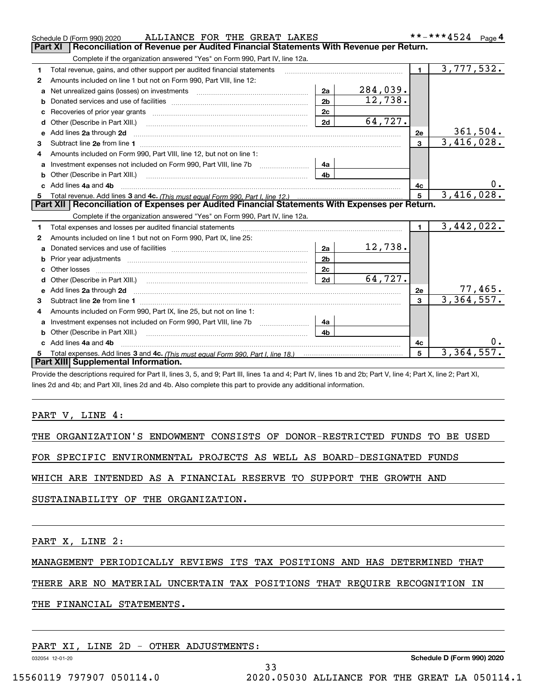|    | ALLIANCE FOR THE GREAT LAKES<br>Schedule D (Form 990) 2020                                                                                                                                                                           |                |            |                | **-***4524<br>Page 4 |
|----|--------------------------------------------------------------------------------------------------------------------------------------------------------------------------------------------------------------------------------------|----------------|------------|----------------|----------------------|
|    | Reconciliation of Revenue per Audited Financial Statements With Revenue per Return.<br>Part XI                                                                                                                                       |                |            |                |                      |
|    | Complete if the organization answered "Yes" on Form 990, Part IV, line 12a.                                                                                                                                                          |                |            |                |                      |
| 1  | Total revenue, gains, and other support per audited financial statements                                                                                                                                                             |                |            | $\blacksquare$ | 3,777,532.           |
| 2  | Amounts included on line 1 but not on Form 990, Part VIII, line 12:                                                                                                                                                                  |                |            |                |                      |
| a  |                                                                                                                                                                                                                                      | 2a             | 284,039.   |                |                      |
| b  |                                                                                                                                                                                                                                      | 2 <sub>b</sub> | 12,738.    |                |                      |
|    |                                                                                                                                                                                                                                      | 2 <sub>c</sub> |            |                |                      |
| d  | Other (Describe in Part XIII.) <b>2006</b> 2007 2010 2010 2010 2010 2011 2012 2013 2014 2015 2016 2017 2018 2019 2016 2016 2017 2018 2019 2016 2017 2018 2019 2016 2017 2018 2019 2018 2019 2016 2017 2018 2019 2018 2019 2018 2019  | 2d             | 64,727.    |                |                      |
| е  | Add lines 2a through 2d                                                                                                                                                                                                              |                |            | 2e             | 361,504.             |
| З  |                                                                                                                                                                                                                                      |                |            | $\mathbf{3}$   | 3,416,028.           |
| 4  | Amounts included on Form 990, Part VIII, line 12, but not on line 1:                                                                                                                                                                 |                |            |                |                      |
| a  | Investment expenses not included on Form 990, Part VIII, line 7b [100] [100] [100] [100] [100] [100] [100] [10                                                                                                                       | 4a             |            |                |                      |
|    |                                                                                                                                                                                                                                      | 4 <sub>b</sub> |            |                |                      |
| c. | Add lines 4a and 4b                                                                                                                                                                                                                  |                |            | 4c             |                      |
|    |                                                                                                                                                                                                                                      | 5              | 3,416,028. |                |                      |
|    |                                                                                                                                                                                                                                      |                |            |                |                      |
|    | Part XII   Reconciliation of Expenses per Audited Financial Statements With Expenses per Return.                                                                                                                                     |                |            |                |                      |
|    | Complete if the organization answered "Yes" on Form 990, Part IV, line 12a.                                                                                                                                                          |                |            |                |                      |
| 1  | Total expenses and losses per audited financial statements                                                                                                                                                                           |                |            | $\blacksquare$ | 3,442,022.           |
| 2  | Amounts included on line 1 but not on Form 990, Part IX, line 25:                                                                                                                                                                    |                |            |                |                      |
| a  |                                                                                                                                                                                                                                      | 2a             | 12,738.    |                |                      |
| b  |                                                                                                                                                                                                                                      | 2 <sub>b</sub> |            |                |                      |
|    | Other losses                                                                                                                                                                                                                         | 2 <sub>c</sub> |            |                |                      |
| d  | Other (Describe in Part XIII.) (1990) (2000) (2000) (2000) (2000) (2000) (2000) (2000) (2000) (2000) (2000) (2000) (2000) (2000) (2000) (2000) (2000) (2000) (2000) (2000) (2000) (2000) (2000) (2000) (2000) (2000) (2000) (2       | 2d             | 64,727.    |                |                      |
| е  | Add lines 2a through 2d <b>continuum contract and all contract and all contract and all contract and all contract and all contract and all contract and all contract and all contract and all contract and all contract and all </b> |                |            | 2e             | 77,465.              |
| 3  |                                                                                                                                                                                                                                      |                |            | 3              | 3,364,557.           |
| 4  | Amounts included on Form 990, Part IX, line 25, but not on line 1:                                                                                                                                                                   |                |            |                |                      |
| a  | Investment expenses not included on Form 990, Part VIII, line 7b [1000000000000000000000000000000000                                                                                                                                 | 4a             |            |                |                      |
| b  | Other (Describe in Part XIII.)                                                                                                                                                                                                       | 4 <sub>b</sub> |            |                |                      |
| c. | Add lines 4a and 4b                                                                                                                                                                                                                  |                |            | 4c             |                      |
|    | Part XIII Supplemental Information.                                                                                                                                                                                                  |                |            | 5              | 3,364,557.           |

ALLIANCE FOR THE GREAT LAKES \*\*-\*\*\*4524

Provide the descriptions required for Part II, lines 3, 5, and 9; Part III, lines 1a and 4; Part IV, lines 1b and 2b; Part V, line 4; Part X, line 2; Part XI, lines 2d and 4b; and Part XII, lines 2d and 4b. Also complete this part to provide any additional information.

PART V, LINE 4:

THE ORGANIZATION'S ENDOWMENT CONSISTS OF DONOR-RESTRICTED FUNDS TO BE USED

FOR SPECIFIC ENVIRONMENTAL PROJECTS AS WELL AS BOARD-DESIGNATED FUNDS

WHICH ARE INTENDED AS A FINANCIAL RESERVE TO SUPPORT THE GROWTH AND

SUSTAINABILITY OF THE ORGANIZATION.

PART X, LINE 2:

MANAGEMENT PERIODICALLY REVIEWS ITS TAX POSITIONS AND HAS DETERMINED THAT

THERE ARE NO MATERIAL UNCERTAIN TAX POSITIONS THAT REQUIRE RECOGNITION IN

33

THE FINANCIAL STATEMENTS.

PART XI, LINE 2D - OTHER ADJUSTMENTS:

032054 12-01-20

**Schedule D (Form 990) 2020**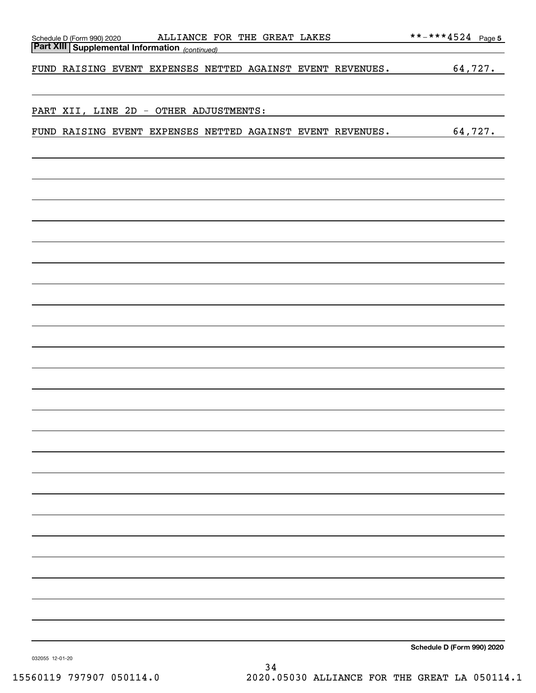| ALLIANCE FOR THE GREAT LAKES                                                            |                            |
|-----------------------------------------------------------------------------------------|----------------------------|
| Schedule D (Form 990) 2020 ALLIANCE F<br>Part XIII Supplemental Information (continued) |                            |
|                                                                                         |                            |
| FUND RAISING EVENT EXPENSES NETTED AGAINST EVENT REVENUES.                              | 64,727.                    |
|                                                                                         |                            |
|                                                                                         |                            |
| PART XII, LINE 2D - OTHER ADJUSTMENTS:                                                  |                            |
|                                                                                         |                            |
| FUND RAISING EVENT EXPENSES NETTED AGAINST EVENT REVENUES.                              | 64,727.                    |
|                                                                                         |                            |
|                                                                                         |                            |
|                                                                                         |                            |
|                                                                                         |                            |
|                                                                                         |                            |
|                                                                                         |                            |
|                                                                                         |                            |
|                                                                                         |                            |
|                                                                                         |                            |
|                                                                                         |                            |
|                                                                                         |                            |
|                                                                                         |                            |
|                                                                                         |                            |
|                                                                                         |                            |
|                                                                                         |                            |
|                                                                                         |                            |
|                                                                                         |                            |
|                                                                                         |                            |
|                                                                                         |                            |
|                                                                                         |                            |
|                                                                                         |                            |
|                                                                                         |                            |
|                                                                                         |                            |
|                                                                                         |                            |
|                                                                                         |                            |
|                                                                                         |                            |
|                                                                                         |                            |
|                                                                                         |                            |
|                                                                                         |                            |
|                                                                                         |                            |
|                                                                                         |                            |
|                                                                                         |                            |
|                                                                                         |                            |
|                                                                                         |                            |
|                                                                                         |                            |
|                                                                                         |                            |
|                                                                                         |                            |
|                                                                                         |                            |
|                                                                                         |                            |
|                                                                                         |                            |
| 0000EE 10.01.00                                                                         | Schedule D (Form 990) 2020 |

032055 12-01-20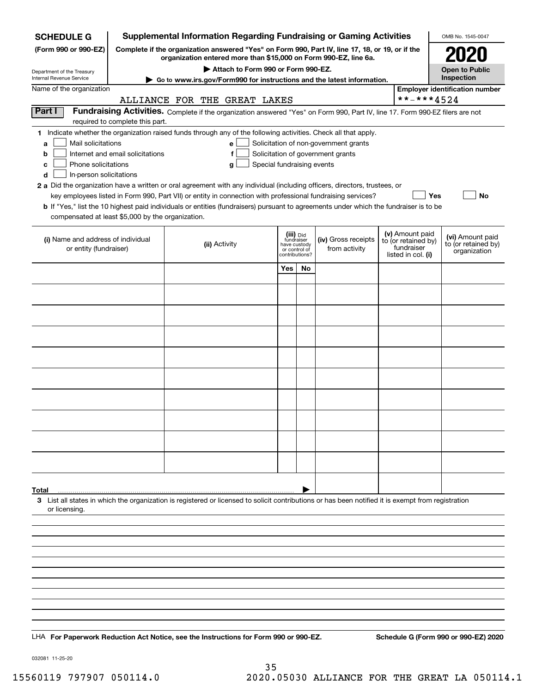| <b>SCHEDULE G</b>                                            |                                                                                                                                                                     | <b>Supplemental Information Regarding Fundraising or Gaming Activities</b>                                                                         |                                 |    |                                       |  |                                   | OMB No. 1545-0047                       |
|--------------------------------------------------------------|---------------------------------------------------------------------------------------------------------------------------------------------------------------------|----------------------------------------------------------------------------------------------------------------------------------------------------|---------------------------------|----|---------------------------------------|--|-----------------------------------|-----------------------------------------|
| (Form 990 or 990-EZ)                                         | Complete if the organization answered "Yes" on Form 990, Part IV, line 17, 18, or 19, or if the<br>organization entered more than \$15,000 on Form 990-EZ, line 6a. |                                                                                                                                                    |                                 |    |                                       |  |                                   | 2021                                    |
| Department of the Treasury                                   | Attach to Form 990 or Form 990-EZ.                                                                                                                                  |                                                                                                                                                    |                                 |    |                                       |  |                                   | <b>Open to Public</b>                   |
| Internal Revenue Service                                     |                                                                                                                                                                     | Go to www.irs.gov/Form990 for instructions and the latest information.                                                                             |                                 |    |                                       |  |                                   | Inspection                              |
| Name of the organization                                     |                                                                                                                                                                     |                                                                                                                                                    |                                 |    |                                       |  |                                   | <b>Employer identification number</b>   |
|                                                              |                                                                                                                                                                     | ALLIANCE FOR THE GREAT LAKES                                                                                                                       |                                 |    |                                       |  | **-***4524                        |                                         |
| Part I                                                       | required to complete this part.                                                                                                                                     | Fundraising Activities. Complete if the organization answered "Yes" on Form 990, Part IV, line 17. Form 990-EZ filers are not                      |                                 |    |                                       |  |                                   |                                         |
|                                                              |                                                                                                                                                                     | 1 Indicate whether the organization raised funds through any of the following activities. Check all that apply.                                    |                                 |    |                                       |  |                                   |                                         |
| Mail solicitations<br>a                                      |                                                                                                                                                                     | e                                                                                                                                                  |                                 |    | Solicitation of non-government grants |  |                                   |                                         |
| b                                                            | Internet and email solicitations                                                                                                                                    | f                                                                                                                                                  |                                 |    | Solicitation of government grants     |  |                                   |                                         |
| Phone solicitations<br>c                                     |                                                                                                                                                                     | Special fundraising events<br>g                                                                                                                    |                                 |    |                                       |  |                                   |                                         |
| In-person solicitations<br>d                                 |                                                                                                                                                                     | 2 a Did the organization have a written or oral agreement with any individual (including officers, directors, trustees, or                         |                                 |    |                                       |  |                                   |                                         |
|                                                              |                                                                                                                                                                     | key employees listed in Form 990, Part VII) or entity in connection with professional fundraising services?                                        |                                 |    |                                       |  | Yes                               | No                                      |
|                                                              |                                                                                                                                                                     | <b>b</b> If "Yes," list the 10 highest paid individuals or entities (fundraisers) pursuant to agreements under which the fundraiser is to be       |                                 |    |                                       |  |                                   |                                         |
| compensated at least \$5,000 by the organization.            |                                                                                                                                                                     |                                                                                                                                                    |                                 |    |                                       |  |                                   |                                         |
|                                                              |                                                                                                                                                                     |                                                                                                                                                    | (iii) Did                       |    |                                       |  | (v) Amount paid                   |                                         |
| (i) Name and address of individual<br>or entity (fundraiser) |                                                                                                                                                                     | (ii) Activity                                                                                                                                      | fundraiser<br>have custody      |    | (iv) Gross receipts<br>from activity  |  | to (or retained by)<br>fundraiser | (vi) Amount paid<br>to (or retained by) |
|                                                              |                                                                                                                                                                     |                                                                                                                                                    | or control of<br>contributions? |    |                                       |  | listed in col. (i)                | organization                            |
|                                                              |                                                                                                                                                                     |                                                                                                                                                    | Yes                             | No |                                       |  |                                   |                                         |
|                                                              |                                                                                                                                                                     |                                                                                                                                                    |                                 |    |                                       |  |                                   |                                         |
|                                                              |                                                                                                                                                                     |                                                                                                                                                    |                                 |    |                                       |  |                                   |                                         |
|                                                              |                                                                                                                                                                     |                                                                                                                                                    |                                 |    |                                       |  |                                   |                                         |
|                                                              |                                                                                                                                                                     |                                                                                                                                                    |                                 |    |                                       |  |                                   |                                         |
|                                                              |                                                                                                                                                                     |                                                                                                                                                    |                                 |    |                                       |  |                                   |                                         |
|                                                              |                                                                                                                                                                     |                                                                                                                                                    |                                 |    |                                       |  |                                   |                                         |
|                                                              |                                                                                                                                                                     |                                                                                                                                                    |                                 |    |                                       |  |                                   |                                         |
|                                                              |                                                                                                                                                                     |                                                                                                                                                    |                                 |    |                                       |  |                                   |                                         |
|                                                              |                                                                                                                                                                     |                                                                                                                                                    |                                 |    |                                       |  |                                   |                                         |
|                                                              |                                                                                                                                                                     |                                                                                                                                                    |                                 |    |                                       |  |                                   |                                         |
|                                                              |                                                                                                                                                                     |                                                                                                                                                    |                                 |    |                                       |  |                                   |                                         |
|                                                              |                                                                                                                                                                     |                                                                                                                                                    |                                 |    |                                       |  |                                   |                                         |
|                                                              |                                                                                                                                                                     |                                                                                                                                                    |                                 |    |                                       |  |                                   |                                         |
|                                                              |                                                                                                                                                                     |                                                                                                                                                    |                                 |    |                                       |  |                                   |                                         |
|                                                              |                                                                                                                                                                     |                                                                                                                                                    |                                 |    |                                       |  |                                   |                                         |
|                                                              |                                                                                                                                                                     |                                                                                                                                                    |                                 |    |                                       |  |                                   |                                         |
|                                                              |                                                                                                                                                                     |                                                                                                                                                    |                                 |    |                                       |  |                                   |                                         |
| Total                                                        |                                                                                                                                                                     | 3 List all states in which the organization is registered or licensed to solicit contributions or has been notified it is exempt from registration |                                 |    |                                       |  |                                   |                                         |
| or licensing.                                                |                                                                                                                                                                     |                                                                                                                                                    |                                 |    |                                       |  |                                   |                                         |
|                                                              |                                                                                                                                                                     |                                                                                                                                                    |                                 |    |                                       |  |                                   |                                         |
|                                                              |                                                                                                                                                                     |                                                                                                                                                    |                                 |    |                                       |  |                                   |                                         |
|                                                              |                                                                                                                                                                     |                                                                                                                                                    |                                 |    |                                       |  |                                   |                                         |
|                                                              |                                                                                                                                                                     |                                                                                                                                                    |                                 |    |                                       |  |                                   |                                         |
|                                                              |                                                                                                                                                                     |                                                                                                                                                    |                                 |    |                                       |  |                                   |                                         |
|                                                              |                                                                                                                                                                     |                                                                                                                                                    |                                 |    |                                       |  |                                   |                                         |
|                                                              |                                                                                                                                                                     |                                                                                                                                                    |                                 |    |                                       |  |                                   |                                         |
|                                                              |                                                                                                                                                                     |                                                                                                                                                    |                                 |    |                                       |  |                                   |                                         |
|                                                              |                                                                                                                                                                     |                                                                                                                                                    |                                 |    |                                       |  |                                   |                                         |
|                                                              |                                                                                                                                                                     | LHA For Paperwork Reduction Act Notice, see the Instructions for Form 990 or 990-EZ.                                                               |                                 |    |                                       |  |                                   | Schedule G (Form 990 or 990-EZ) 2020    |

032081 11-25-20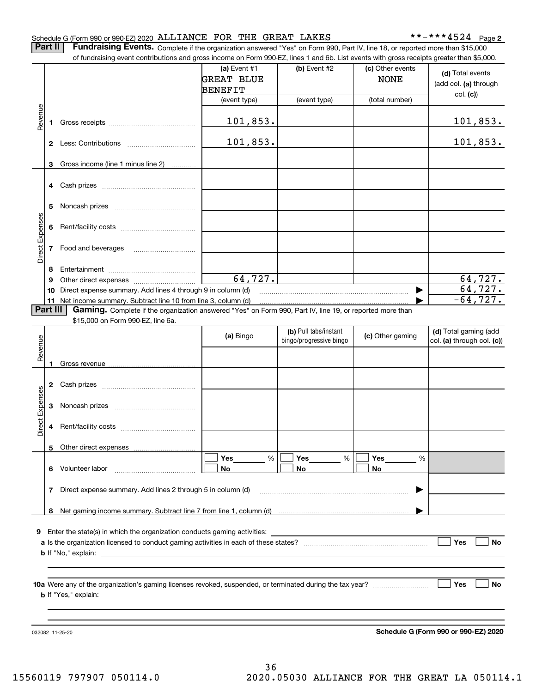#### Schedule G (Form 990 or 990-EZ) 2020 Page ALLIANCE FOR THE GREAT LAKES \*\*-\*\*\*4524

**2**

**Part II** | Fundraising Events. Complete if the organization answered "Yes" on Form 990, Part IV, line 18, or reported more than \$15,000

|                 |          | of fundraising event contributions and gross income on Form 990-EZ, lines 1 and 6b. List events with gross receipts greater than \$5,000. |                   |                         |                  |                            |
|-----------------|----------|-------------------------------------------------------------------------------------------------------------------------------------------|-------------------|-------------------------|------------------|----------------------------|
|                 |          |                                                                                                                                           | (a) Event #1      | (b) Event #2            | (c) Other events | (d) Total events           |
|                 |          |                                                                                                                                           | <b>GREAT BLUE</b> |                         | <b>NONE</b>      | (add col. (a) through      |
|                 |          |                                                                                                                                           | BENEFIT           |                         |                  | col. (c)                   |
|                 |          |                                                                                                                                           | (event type)      | (event type)            | (total number)   |                            |
|                 |          |                                                                                                                                           |                   |                         |                  |                            |
| Revenue         |          |                                                                                                                                           | 101,853.          |                         |                  | <u> 101,853.</u>           |
|                 |          |                                                                                                                                           |                   |                         |                  |                            |
|                 |          |                                                                                                                                           | 101,853.          |                         |                  | 101,853.                   |
|                 |          |                                                                                                                                           |                   |                         |                  |                            |
|                 | 3        | Gross income (line 1 minus line 2)                                                                                                        |                   |                         |                  |                            |
|                 |          |                                                                                                                                           |                   |                         |                  |                            |
|                 |          |                                                                                                                                           |                   |                         |                  |                            |
|                 |          |                                                                                                                                           |                   |                         |                  |                            |
|                 | 5        |                                                                                                                                           |                   |                         |                  |                            |
|                 |          |                                                                                                                                           |                   |                         |                  |                            |
|                 |          |                                                                                                                                           |                   |                         |                  |                            |
|                 |          | 7 Food and beverages                                                                                                                      |                   |                         |                  |                            |
| Direct Expenses |          |                                                                                                                                           |                   |                         |                  |                            |
|                 | 8        |                                                                                                                                           |                   |                         |                  |                            |
|                 | 9        |                                                                                                                                           | 64,727.           |                         |                  | 64,727.                    |
|                 | 10       | Direct expense summary. Add lines 4 through 9 in column (d)                                                                               |                   |                         |                  | 64, 727.                   |
|                 |          | 11 Net income summary. Subtract line 10 from line 3, column (d)                                                                           |                   |                         |                  | $-64, 727.$                |
|                 | Part III | Gaming. Complete if the organization answered "Yes" on Form 990, Part IV, line 19, or reported more than                                  |                   |                         |                  |                            |
|                 |          | \$15,000 on Form 990-EZ, line 6a.                                                                                                         |                   |                         |                  |                            |
|                 |          |                                                                                                                                           | (a) Bingo         | (b) Pull tabs/instant   | (c) Other gaming | (d) Total gaming (add      |
| Revenue         |          |                                                                                                                                           |                   | bingo/progressive bingo |                  | col. (a) through col. (c)) |
|                 |          |                                                                                                                                           |                   |                         |                  |                            |
|                 | 1        |                                                                                                                                           |                   |                         |                  |                            |
|                 |          |                                                                                                                                           |                   |                         |                  |                            |
|                 |          |                                                                                                                                           |                   |                         |                  |                            |
| Expenses        |          |                                                                                                                                           |                   |                         |                  |                            |
|                 |          |                                                                                                                                           |                   |                         |                  |                            |
| Direct          |          |                                                                                                                                           |                   |                         |                  |                            |
|                 |          |                                                                                                                                           |                   |                         |                  |                            |
|                 |          | 5 Other direct expenses                                                                                                                   |                   |                         |                  |                            |
|                 |          |                                                                                                                                           | $\%$<br>Yes       | $\%$<br>Yes             | Yes<br>%         |                            |
|                 |          | 6 Volunteer labor                                                                                                                         | No                | No                      | No               |                            |
|                 |          |                                                                                                                                           |                   |                         |                  |                            |
|                 | 7        | Direct expense summary. Add lines 2 through 5 in column (d)                                                                               |                   |                         |                  |                            |
|                 |          |                                                                                                                                           |                   |                         |                  |                            |
|                 |          |                                                                                                                                           |                   |                         |                  |                            |
|                 |          |                                                                                                                                           |                   |                         |                  |                            |
|                 |          | <b>9</b> Enter the state(s) in which the organization conducts gaming activities:                                                         |                   |                         |                  |                            |
|                 |          |                                                                                                                                           |                   |                         |                  | Yes<br>No                  |
|                 |          |                                                                                                                                           |                   |                         |                  |                            |
|                 |          |                                                                                                                                           |                   |                         |                  |                            |
|                 |          |                                                                                                                                           |                   |                         |                  |                            |
|                 |          |                                                                                                                                           |                   |                         |                  | Yes<br>No                  |
|                 |          |                                                                                                                                           |                   |                         |                  |                            |
|                 |          |                                                                                                                                           |                   |                         |                  |                            |
|                 |          |                                                                                                                                           |                   |                         |                  |                            |

**Schedule G (Form 990 or 990-EZ) 2020**

032082 11-25-20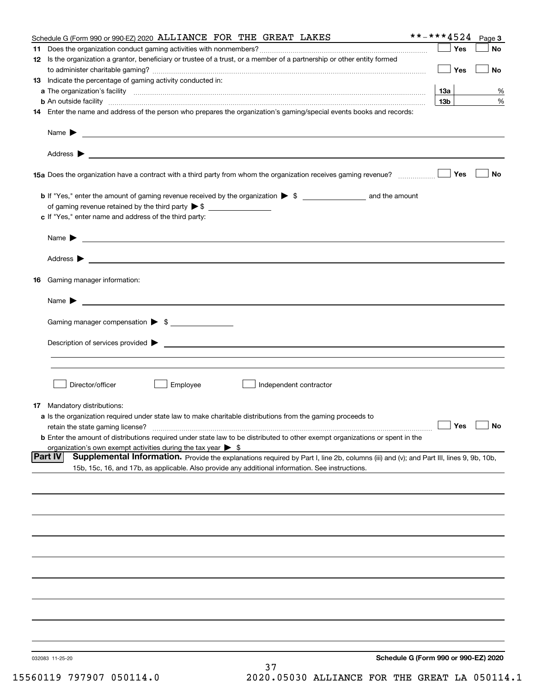|    | Schedule G (Form 990 or 990-EZ) 2020 ALLIANCE FOR THE GREAT LAKES                                                                                                                                                                                 | **-***4524      |            | Page 3 |
|----|---------------------------------------------------------------------------------------------------------------------------------------------------------------------------------------------------------------------------------------------------|-----------------|------------|--------|
| 11 |                                                                                                                                                                                                                                                   |                 | Yes        | No     |
|    | 12 Is the organization a grantor, beneficiary or trustee of a trust, or a member of a partnership or other entity formed                                                                                                                          |                 |            |        |
|    |                                                                                                                                                                                                                                                   |                 | Yes        | No     |
|    | 13 Indicate the percentage of gaming activity conducted in:                                                                                                                                                                                       |                 |            |        |
|    |                                                                                                                                                                                                                                                   | 13а             |            | %      |
|    | <b>b</b> An outside facility <b>contained a contract and a contract of the contract of the contract of the contract of the contract of the contract of the contract of the contract of the contract of the contract of the contract o</b>         | 13 <sub>b</sub> |            | %      |
|    | 14 Enter the name and address of the person who prepares the organization's gaming/special events books and records:                                                                                                                              |                 |            |        |
|    |                                                                                                                                                                                                                                                   |                 |            |        |
|    | Name $\blacktriangleright$                                                                                                                                                                                                                        |                 |            |        |
|    | <u>some started and the started and the started and the started and the started and the started and the started and</u>                                                                                                                           |                 |            |        |
|    |                                                                                                                                                                                                                                                   |                 |            |        |
|    |                                                                                                                                                                                                                                                   |                 |            |        |
|    |                                                                                                                                                                                                                                                   |                 | Yes        | No     |
|    |                                                                                                                                                                                                                                                   |                 |            |        |
|    |                                                                                                                                                                                                                                                   |                 |            |        |
|    |                                                                                                                                                                                                                                                   |                 |            |        |
|    |                                                                                                                                                                                                                                                   |                 |            |        |
|    | c If "Yes," enter name and address of the third party:                                                                                                                                                                                            |                 |            |        |
|    |                                                                                                                                                                                                                                                   |                 |            |        |
|    | Name $\blacktriangleright$<br><u> 1989 - Andrea Stadt Britain, amerikansk politiker (</u>                                                                                                                                                         |                 |            |        |
|    |                                                                                                                                                                                                                                                   |                 |            |        |
|    | Address ><br><u>state and the state of the state of the state of the state of the state of the state of the state of the state of the state of the state of the state of the state of the state of the state of the state of the state of the</u> |                 |            |        |
|    |                                                                                                                                                                                                                                                   |                 |            |        |
|    | <b>16</b> Gaming manager information:                                                                                                                                                                                                             |                 |            |        |
|    |                                                                                                                                                                                                                                                   |                 |            |        |
|    | Name $\blacktriangleright$                                                                                                                                                                                                                        |                 |            |        |
|    |                                                                                                                                                                                                                                                   |                 |            |        |
|    | Gaming manager compensation > \$                                                                                                                                                                                                                  |                 |            |        |
|    |                                                                                                                                                                                                                                                   |                 |            |        |
|    | Description of services provided ><br><u> 1989 - Jan Samuel Barbara, martin da shekara tsara 1989 - Andrea Samuel Barbara, mashrida a shekara tsara 19</u>                                                                                        |                 |            |        |
|    |                                                                                                                                                                                                                                                   |                 |            |        |
|    |                                                                                                                                                                                                                                                   |                 |            |        |
|    |                                                                                                                                                                                                                                                   |                 |            |        |
|    | Director/officer<br>Employee<br>Independent contractor                                                                                                                                                                                            |                 |            |        |
|    |                                                                                                                                                                                                                                                   |                 |            |        |
|    | <b>17</b> Mandatory distributions:                                                                                                                                                                                                                |                 |            |        |
|    | a Is the organization required under state law to make charitable distributions from the gaming proceeds to                                                                                                                                       |                 |            |        |
|    | retain the state gaming license?                                                                                                                                                                                                                  |                 | $\Box$ Yes |        |
|    | <b>b</b> Enter the amount of distributions required under state law to be distributed to other exempt organizations or spent in the                                                                                                               |                 |            |        |
|    | organization's own exempt activities during the tax year $\triangleright$ \$                                                                                                                                                                      |                 |            |        |
|    | <b>Part IV</b><br>Supplemental Information. Provide the explanations required by Part I, line 2b, columns (iii) and (v); and Part III, lines 9, 9b, 10b,                                                                                          |                 |            |        |
|    | 15b, 15c, 16, and 17b, as applicable. Also provide any additional information. See instructions.                                                                                                                                                  |                 |            |        |
|    |                                                                                                                                                                                                                                                   |                 |            |        |
|    |                                                                                                                                                                                                                                                   |                 |            |        |
|    |                                                                                                                                                                                                                                                   |                 |            |        |
|    |                                                                                                                                                                                                                                                   |                 |            |        |
|    |                                                                                                                                                                                                                                                   |                 |            |        |
|    |                                                                                                                                                                                                                                                   |                 |            |        |
|    |                                                                                                                                                                                                                                                   |                 |            |        |
|    |                                                                                                                                                                                                                                                   |                 |            |        |
|    |                                                                                                                                                                                                                                                   |                 |            |        |
|    |                                                                                                                                                                                                                                                   |                 |            |        |
|    |                                                                                                                                                                                                                                                   |                 |            |        |
|    |                                                                                                                                                                                                                                                   |                 |            |        |
|    |                                                                                                                                                                                                                                                   |                 |            |        |
|    |                                                                                                                                                                                                                                                   |                 |            |        |
|    |                                                                                                                                                                                                                                                   |                 |            |        |
|    |                                                                                                                                                                                                                                                   |                 |            |        |
|    |                                                                                                                                                                                                                                                   |                 |            |        |
|    | Schedule G (Form 990 or 990-EZ) 2020<br>032083 11-25-20                                                                                                                                                                                           |                 |            |        |
|    | 37                                                                                                                                                                                                                                                |                 |            |        |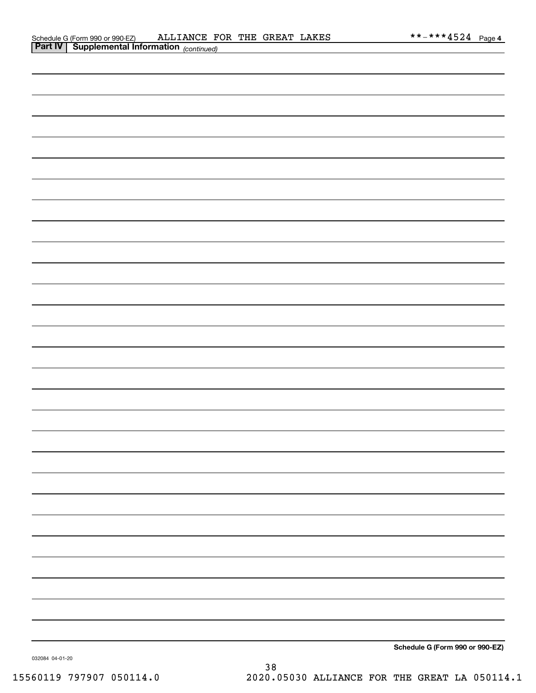|  |  | Schedule G (Form 990 or 990-EZ) |
|--|--|---------------------------------|

032084 04-01-20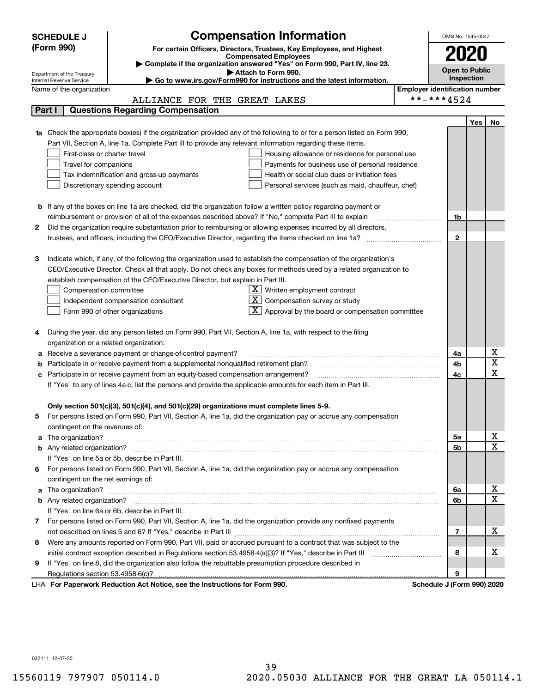|   | <b>SCHEDULE J</b>                                      | <b>Compensation Information</b>                                                                                                  |                                       | OMB No. 1545-0047          |     |                              |
|---|--------------------------------------------------------|----------------------------------------------------------------------------------------------------------------------------------|---------------------------------------|----------------------------|-----|------------------------------|
|   | (Form 990)                                             | For certain Officers, Directors, Trustees, Key Employees, and Highest                                                            |                                       |                            |     |                              |
|   | <b>Compensated Employees</b>                           |                                                                                                                                  |                                       |                            |     |                              |
|   |                                                        | Complete if the organization answered "Yes" on Form 990, Part IV, line 23.                                                       |                                       | <b>Open to Public</b>      |     |                              |
|   | Department of the Treasury<br>Internal Revenue Service | Attach to Form 990.<br>Go to www.irs.gov/Form990 for instructions and the latest information.                                    |                                       | Inspection                 |     |                              |
|   | Name of the organization                               |                                                                                                                                  | <b>Employer identification number</b> |                            |     |                              |
|   |                                                        | ALLIANCE FOR THE GREAT LAKES                                                                                                     |                                       | **-***4524                 |     |                              |
|   | Part I                                                 | <b>Questions Regarding Compensation</b>                                                                                          |                                       |                            |     |                              |
|   |                                                        |                                                                                                                                  |                                       |                            | Yes | No                           |
|   |                                                        | <b>1a</b> Check the appropriate box(es) if the organization provided any of the following to or for a person listed on Form 990, |                                       |                            |     |                              |
|   |                                                        | Part VII, Section A, line 1a. Complete Part III to provide any relevant information regarding these items.                       |                                       |                            |     |                              |
|   | First-class or charter travel                          | Housing allowance or residence for personal use                                                                                  |                                       |                            |     |                              |
|   | Travel for companions                                  | Payments for business use of personal residence                                                                                  |                                       |                            |     |                              |
|   |                                                        | Health or social club dues or initiation fees<br>Tax indemnification and gross-up payments                                       |                                       |                            |     |                              |
|   |                                                        | Discretionary spending account<br>Personal services (such as maid, chauffeur, chef)                                              |                                       |                            |     |                              |
|   |                                                        |                                                                                                                                  |                                       |                            |     |                              |
|   |                                                        | <b>b</b> If any of the boxes on line 1a are checked, did the organization follow a written policy regarding payment or           |                                       |                            |     |                              |
|   |                                                        | reimbursement or provision of all of the expenses described above? If "No," complete Part III to explain                         |                                       | 1b                         |     |                              |
| 2 |                                                        | Did the organization require substantiation prior to reimbursing or allowing expenses incurred by all directors,                 |                                       |                            |     |                              |
|   |                                                        |                                                                                                                                  |                                       | $\mathbf{2}$               |     |                              |
|   |                                                        |                                                                                                                                  |                                       |                            |     |                              |
| З |                                                        | Indicate which, if any, of the following the organization used to establish the compensation of the organization's               |                                       |                            |     |                              |
|   |                                                        | CEO/Executive Director. Check all that apply. Do not check any boxes for methods used by a related organization to               |                                       |                            |     |                              |
|   |                                                        | establish compensation of the CEO/Executive Director, but explain in Part III.                                                   |                                       |                            |     |                              |
|   | Compensation committee                                 | $X$ Written employment contract                                                                                                  |                                       |                            |     |                              |
|   |                                                        | Compensation survey or study<br>Independent compensation consultant                                                              |                                       |                            |     |                              |
|   |                                                        | Approval by the board or compensation committee<br>Form 990 of other organizations                                               |                                       |                            |     |                              |
|   |                                                        |                                                                                                                                  |                                       |                            |     |                              |
| 4 |                                                        | During the year, did any person listed on Form 990, Part VII, Section A, line 1a, with respect to the filing                     |                                       |                            |     |                              |
|   | organization or a related organization:                |                                                                                                                                  |                                       |                            |     |                              |
| а |                                                        | Receive a severance payment or change-of-control payment?                                                                        |                                       | 4a                         |     | x<br>$\overline{\textbf{X}}$ |
|   |                                                        | Participate in or receive payment from a supplemental nonqualified retirement plan?                                              |                                       | 4b                         |     | $\overline{\mathbf{x}}$      |
|   |                                                        | c Participate in or receive payment from an equity-based compensation arrangement?                                               |                                       | 4c                         |     |                              |
|   |                                                        | If "Yes" to any of lines 4a-c, list the persons and provide the applicable amounts for each item in Part III.                    |                                       |                            |     |                              |
|   |                                                        | Only section 501(c)(3), 501(c)(4), and 501(c)(29) organizations must complete lines 5-9.                                         |                                       |                            |     |                              |
| 5 |                                                        | For persons listed on Form 990, Part VII, Section A, line 1a, did the organization pay or accrue any compensation                |                                       |                            |     |                              |
|   | contingent on the revenues of:                         |                                                                                                                                  |                                       |                            |     |                              |
|   |                                                        |                                                                                                                                  |                                       | 5a                         |     | x                            |
|   |                                                        |                                                                                                                                  |                                       | 5b                         |     | $\overline{\mathbf{x}}$      |
|   |                                                        | If "Yes" on line 5a or 5b, describe in Part III.                                                                                 |                                       |                            |     |                              |
|   |                                                        | 6 For persons listed on Form 990, Part VII, Section A, line 1a, did the organization pay or accrue any compensation              |                                       |                            |     |                              |
|   | contingent on the net earnings of:                     |                                                                                                                                  |                                       |                            |     |                              |
|   |                                                        |                                                                                                                                  |                                       | 6a                         |     | x                            |
|   |                                                        |                                                                                                                                  |                                       | 6b                         |     | $\overline{\mathbf{x}}$      |
|   |                                                        | If "Yes" on line 6a or 6b, describe in Part III.                                                                                 |                                       |                            |     |                              |
|   |                                                        | 7 For persons listed on Form 990, Part VII, Section A, line 1a, did the organization provide any nonfixed payments               |                                       |                            |     |                              |
|   |                                                        |                                                                                                                                  |                                       | 7                          |     | х                            |
| 8 |                                                        | Were any amounts reported on Form 990, Part VII, paid or accrued pursuant to a contract that was subject to the                  |                                       |                            |     |                              |
|   |                                                        |                                                                                                                                  |                                       | 8                          |     | х                            |
| 9 |                                                        | If "Yes" on line 8, did the organization also follow the rebuttable presumption procedure described in                           |                                       |                            |     |                              |
|   |                                                        |                                                                                                                                  |                                       | 9                          |     |                              |
|   |                                                        | LHA For Paperwork Reduction Act Notice, see the Instructions for Form 990.                                                       |                                       | Schedule J (Form 990) 2020 |     |                              |

032111 12-07-20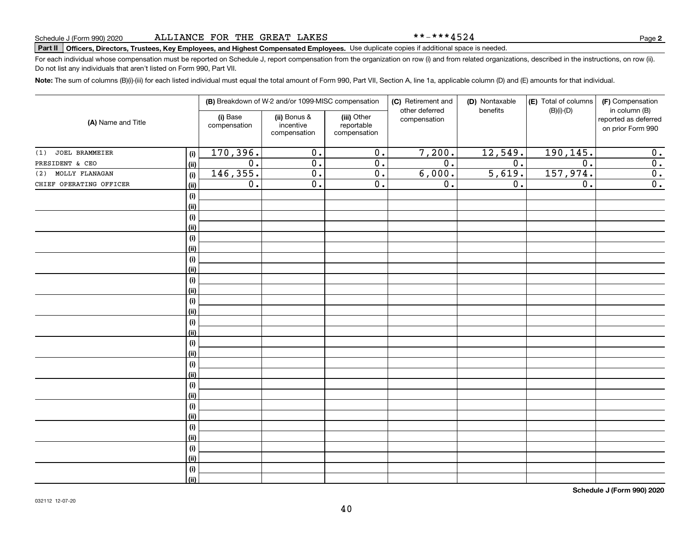\*\*-\*\*\*4524

# **Part II Officers, Directors, Trustees, Key Employees, and Highest Compensated Employees.**  Schedule J (Form 990) 2020 Page Use duplicate copies if additional space is needed.

For each individual whose compensation must be reported on Schedule J, report compensation from the organization on row (i) and from related organizations, described in the instructions, on row (ii). Do not list any individuals that aren't listed on Form 990, Part VII.

**Note:**  The sum of columns (B)(i)-(iii) for each listed individual must equal the total amount of Form 990, Part VII, Section A, line 1a, applicable column (D) and (E) amounts for that individual.

| (A) Name and Title      |      |                          | (B) Breakdown of W-2 and/or 1099-MISC compensation |                                           | (C) Retirement and<br>(D) Nontaxable<br>other deferred<br>benefits | (E) Total of columns<br>$(B)(i)-(D)$ | (F) Compensation<br>in column (B) |                                           |
|-------------------------|------|--------------------------|----------------------------------------------------|-------------------------------------------|--------------------------------------------------------------------|--------------------------------------|-----------------------------------|-------------------------------------------|
|                         |      | (i) Base<br>compensation | (ii) Bonus &<br>incentive<br>compensation          | (iii) Other<br>reportable<br>compensation | compensation                                                       |                                      |                                   | reported as deferred<br>on prior Form 990 |
| JOEL BRAMMEIER<br>(1)   | (i)  | 170,396.                 | $\overline{0}$ .                                   | $\overline{0}$ .                          | 7,200.                                                             | 12,549.                              | 190, 145.                         | 0.                                        |
| PRESIDENT & CEO         | (ii) | $\overline{0}$ .         | $\overline{0}$ .                                   | $\overline{0}$ .                          | $\overline{0}$ .                                                   | $\overline{0}$ .                     | $\overline{0}$ .                  | $\overline{0}$ .                          |
| MOLLY FLANAGAN<br>(2)   | (i)  | 146, 355.                | $\overline{0}$ .                                   | $\overline{0}$ .                          | 6,000.                                                             | 5,619.                               | 157,974.                          | $\overline{0}$ .                          |
| CHIEF OPERATING OFFICER | (ii) | 0.                       | $\overline{0}$ .                                   | $\overline{0}$ .                          | $\overline{0}$ .                                                   | 0.                                   | $\overline{0}$ .                  | $\overline{0}$ .                          |
|                         | (i)  |                          |                                                    |                                           |                                                                    |                                      |                                   |                                           |
|                         | (ii) |                          |                                                    |                                           |                                                                    |                                      |                                   |                                           |
|                         | (i)  |                          |                                                    |                                           |                                                                    |                                      |                                   |                                           |
|                         | (ii) |                          |                                                    |                                           |                                                                    |                                      |                                   |                                           |
|                         | (i)  |                          |                                                    |                                           |                                                                    |                                      |                                   |                                           |
|                         | (ii) |                          |                                                    |                                           |                                                                    |                                      |                                   |                                           |
|                         | (i)  |                          |                                                    |                                           |                                                                    |                                      |                                   |                                           |
|                         | (ii) |                          |                                                    |                                           |                                                                    |                                      |                                   |                                           |
|                         | (i)  |                          |                                                    |                                           |                                                                    |                                      |                                   |                                           |
|                         | (ii) |                          |                                                    |                                           |                                                                    |                                      |                                   |                                           |
|                         | (i)  |                          |                                                    |                                           |                                                                    |                                      |                                   |                                           |
|                         | (ii) |                          |                                                    |                                           |                                                                    |                                      |                                   |                                           |
|                         | (i)  |                          |                                                    |                                           |                                                                    |                                      |                                   |                                           |
|                         | (ii) |                          |                                                    |                                           |                                                                    |                                      |                                   |                                           |
|                         | (i)  |                          |                                                    |                                           |                                                                    |                                      |                                   |                                           |
|                         | (ii) |                          |                                                    |                                           |                                                                    |                                      |                                   |                                           |
|                         | (i)  |                          |                                                    |                                           |                                                                    |                                      |                                   |                                           |
|                         | (ii) |                          |                                                    |                                           |                                                                    |                                      |                                   |                                           |
|                         | (i)  |                          |                                                    |                                           |                                                                    |                                      |                                   |                                           |
|                         | (ii) |                          |                                                    |                                           |                                                                    |                                      |                                   |                                           |
|                         | (i)  |                          |                                                    |                                           |                                                                    |                                      |                                   |                                           |
|                         | (ii) |                          |                                                    |                                           |                                                                    |                                      |                                   |                                           |
|                         | (i)  |                          |                                                    |                                           |                                                                    |                                      |                                   |                                           |
|                         | (ii) |                          |                                                    |                                           |                                                                    |                                      |                                   |                                           |
|                         | (i)  |                          |                                                    |                                           |                                                                    |                                      |                                   |                                           |
|                         | (ii) |                          |                                                    |                                           |                                                                    |                                      |                                   |                                           |
|                         | (i)  |                          |                                                    |                                           |                                                                    |                                      |                                   |                                           |
|                         | (ii) |                          |                                                    |                                           |                                                                    |                                      |                                   |                                           |

**Schedule J (Form 990) 2020**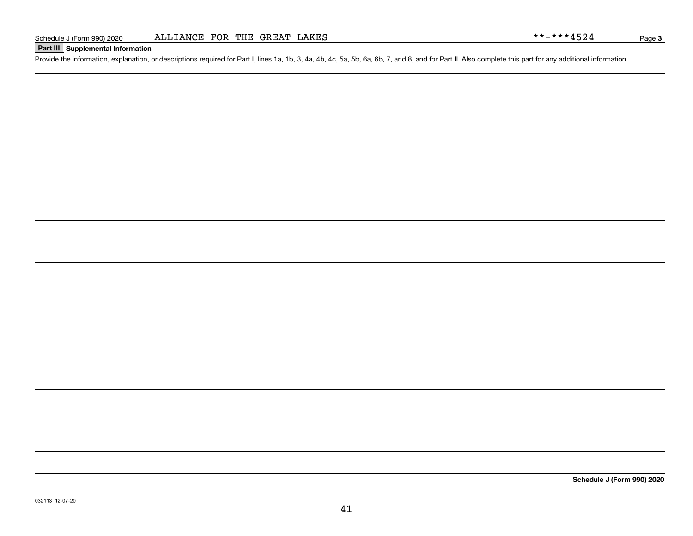#### **Part III Supplemental Information**

Schedule J (Form 990) 2020 ALLIANCE FOR THE GREAT LAKES<br>Part III Supplemental Information<br>Provide the information, explanation, or descriptions required for Part I, lines 1a, 1b, 3, 4a, 4b, 4c, 5a, 5b, 6a, 6b, 7, and 8, a

**Schedule J (Form 990) 2020**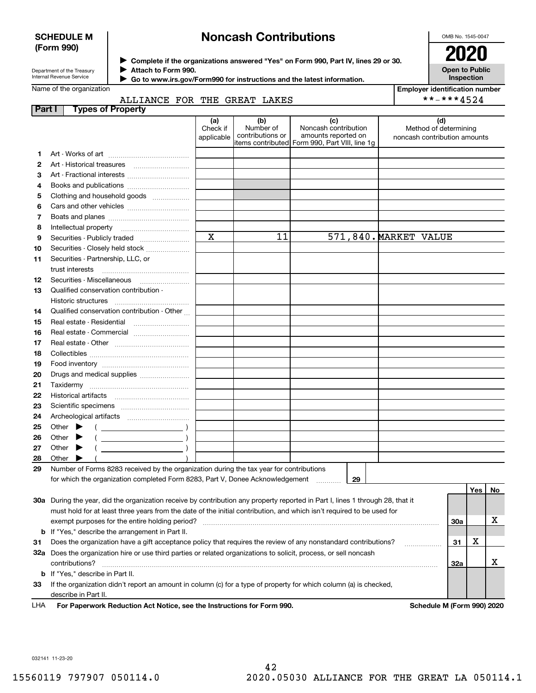#### **SCHEDULE M (Form 990)**

# **Noncash Contributions**

OMB No. 1545-0047

| Department of the Treasury |
|----------------------------|
| Internal Revenue Service   |

**Complete if the organizations answered "Yes" on Form 990, Part IV, lines 29 or 30.** <sup>J</sup>**2020 Attach to Form 990.** J

**Open to Public Inspection**

**Employer identification number**

\*\*-\*\*\*4524

|  | Name of the organization |  |
|--|--------------------------|--|

 $\blacktriangleright$ 

 **Go to www.irs.gov/Form990 for instructions and the latest information.**

### ALLIANCE FOR THE GREAT LAKES

| Part I | <b>Types of Property</b>                                                                                                       |                               |                                      |                                                                                                      |                                                              |            |     |    |
|--------|--------------------------------------------------------------------------------------------------------------------------------|-------------------------------|--------------------------------------|------------------------------------------------------------------------------------------------------|--------------------------------------------------------------|------------|-----|----|
|        |                                                                                                                                | (a)<br>Check if<br>applicable | (b)<br>Number of<br>contributions or | (c)<br>Noncash contribution<br>amounts reported on<br>items contributed Form 990, Part VIII, line 1g | (d)<br>Method of determining<br>noncash contribution amounts |            |     |    |
| 1      |                                                                                                                                |                               |                                      |                                                                                                      |                                                              |            |     |    |
| 2      | Art - Historical treasures                                                                                                     |                               |                                      |                                                                                                      |                                                              |            |     |    |
| з      | Art - Fractional interests                                                                                                     |                               |                                      |                                                                                                      |                                                              |            |     |    |
| 4      | Books and publications                                                                                                         |                               |                                      |                                                                                                      |                                                              |            |     |    |
| 5      | Clothing and household goods                                                                                                   |                               |                                      |                                                                                                      |                                                              |            |     |    |
| 6      |                                                                                                                                |                               |                                      |                                                                                                      |                                                              |            |     |    |
| 7      |                                                                                                                                |                               |                                      |                                                                                                      |                                                              |            |     |    |
| 8      | Intellectual property                                                                                                          |                               |                                      |                                                                                                      |                                                              |            |     |    |
| 9      | Securities - Publicly traded                                                                                                   | $\mathbf x$                   | 11                                   |                                                                                                      | 571,840. MARKET VALUE                                        |            |     |    |
| 10     | Securities - Closely held stock                                                                                                |                               |                                      |                                                                                                      |                                                              |            |     |    |
| 11     | Securities - Partnership, LLC, or                                                                                              |                               |                                      |                                                                                                      |                                                              |            |     |    |
|        | trust interests                                                                                                                |                               |                                      |                                                                                                      |                                                              |            |     |    |
| 12     | Securities - Miscellaneous                                                                                                     |                               |                                      |                                                                                                      |                                                              |            |     |    |
| 13     | Qualified conservation contribution -                                                                                          |                               |                                      |                                                                                                      |                                                              |            |     |    |
|        |                                                                                                                                |                               |                                      |                                                                                                      |                                                              |            |     |    |
| 14     | Qualified conservation contribution - Other                                                                                    |                               |                                      |                                                                                                      |                                                              |            |     |    |
| 15     | Real estate - Residential                                                                                                      |                               |                                      |                                                                                                      |                                                              |            |     |    |
| 16     | Real estate - Commercial                                                                                                       |                               |                                      |                                                                                                      |                                                              |            |     |    |
| 17     |                                                                                                                                |                               |                                      |                                                                                                      |                                                              |            |     |    |
| 18     |                                                                                                                                |                               |                                      |                                                                                                      |                                                              |            |     |    |
| 19     |                                                                                                                                |                               |                                      |                                                                                                      |                                                              |            |     |    |
| 20     | Drugs and medical supplies                                                                                                     |                               |                                      |                                                                                                      |                                                              |            |     |    |
| 21     |                                                                                                                                |                               |                                      |                                                                                                      |                                                              |            |     |    |
| 22     |                                                                                                                                |                               |                                      |                                                                                                      |                                                              |            |     |    |
| 23     |                                                                                                                                |                               |                                      |                                                                                                      |                                                              |            |     |    |
| 24     |                                                                                                                                |                               |                                      |                                                                                                      |                                                              |            |     |    |
| 25     | Other $\blacktriangleright$<br>$\overline{\phantom{a}}$                                                                        |                               |                                      |                                                                                                      |                                                              |            |     |    |
| 26     | Other                                                                                                                          |                               |                                      |                                                                                                      |                                                              |            |     |    |
| 27     | Other                                                                                                                          |                               |                                      |                                                                                                      |                                                              |            |     |    |
| 28     | Other                                                                                                                          |                               |                                      |                                                                                                      |                                                              |            |     |    |
| 29     | Number of Forms 8283 received by the organization during the tax year for contributions                                        |                               |                                      |                                                                                                      |                                                              |            |     |    |
|        | for which the organization completed Form 8283, Part V, Donee Acknowledgement                                                  |                               |                                      | 29                                                                                                   |                                                              |            |     |    |
|        |                                                                                                                                |                               |                                      |                                                                                                      |                                                              |            | Yes | No |
|        | 30a During the year, did the organization receive by contribution any property reported in Part I, lines 1 through 28, that it |                               |                                      |                                                                                                      |                                                              |            |     |    |
|        | must hold for at least three years from the date of the initial contribution, and which isn't required to be used for          |                               |                                      |                                                                                                      |                                                              |            |     |    |
|        | exempt purposes for the entire holding period?                                                                                 |                               |                                      |                                                                                                      |                                                              | <b>30a</b> |     | х  |
|        | <b>b</b> If "Yes," describe the arrangement in Part II.                                                                        |                               |                                      |                                                                                                      |                                                              |            |     |    |
| 31     | Does the organization have a gift acceptance policy that requires the review of any nonstandard contributions?                 |                               |                                      |                                                                                                      |                                                              | 31         | х   |    |
|        | 32a Does the organization hire or use third parties or related organizations to solicit, process, or sell noncash              |                               |                                      |                                                                                                      |                                                              |            |     |    |
|        | contributions?                                                                                                                 |                               |                                      |                                                                                                      |                                                              | 32a        |     | х  |
|        | <b>b</b> If "Yes," describe in Part II.                                                                                        |                               |                                      |                                                                                                      |                                                              |            |     |    |
| 33     | If the organization didn't report an amount in column (c) for a type of property for which column (a) is checked,              |                               |                                      |                                                                                                      |                                                              |            |     |    |
|        | describe in Part II.                                                                                                           |                               |                                      |                                                                                                      |                                                              |            |     |    |

For Paperwork Reduction Act Notice, see the Instructions for Form 990. **Schedule M** (Form 990) 2020 LHA

032141 11-23-20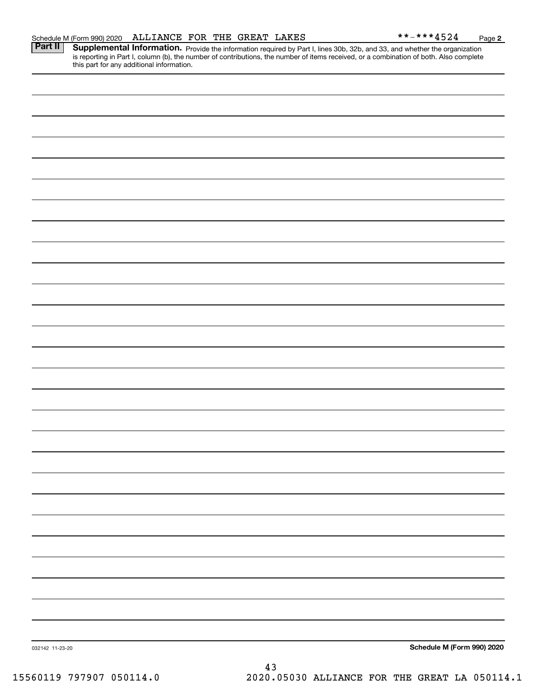| this part for any additional information. |                            |
|-------------------------------------------|----------------------------|
|                                           |                            |
|                                           |                            |
|                                           |                            |
|                                           |                            |
|                                           |                            |
|                                           |                            |
|                                           |                            |
|                                           |                            |
|                                           |                            |
|                                           |                            |
|                                           |                            |
|                                           |                            |
|                                           |                            |
|                                           |                            |
|                                           |                            |
|                                           |                            |
|                                           |                            |
|                                           |                            |
|                                           |                            |
|                                           |                            |
|                                           |                            |
|                                           |                            |
|                                           |                            |
|                                           |                            |
|                                           |                            |
|                                           |                            |
|                                           |                            |
|                                           |                            |
|                                           |                            |
| 032142 11-23-20                           | Schedule M (Form 990) 2020 |

Part II | Supplemental Information. Provide the information required by Part I, lines 30b, 32b, and 33, and whether the organization is reporting in Part I, column (b), the number of contributions, the number of items received, or a combination of both. Also complete this part for any additional information.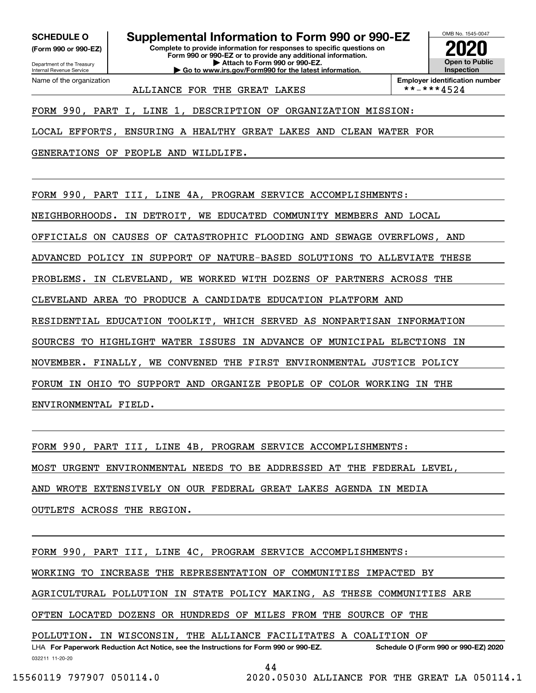Department of the Treasury **(Form 990 or 990-EZ)**

Name of the organization

Internal Revenue Service

**SCHEDULE O Supplemental Information to Form 990 or 990-EZ**

**Complete to provide information for responses to specific questions on Form 990 or 990-EZ or to provide any additional information. | Attach to Form 990 or 990-EZ. | Go to www.irs.gov/Form990 for the latest information.**



ALLIANCE FOR THE GREAT LAKES

**Employer identification number**<br>\*\*-\*\*\*4524

FORM 990, PART I, LINE 1, DESCRIPTION OF ORGANIZATION MISSION:

LOCAL EFFORTS, ENSURING A HEALTHY GREAT LAKES AND CLEAN WATER FOR

GENERATIONS OF PEOPLE AND WILDLIFE.

FORM 990, PART III, LINE 4A, PROGRAM SERVICE ACCOMPLISHMENTS:

NEIGHBORHOODS. IN DETROIT, WE EDUCATED COMMUNITY MEMBERS AND LOCAL

OFFICIALS ON CAUSES OF CATASTROPHIC FLOODING AND SEWAGE OVERFLOWS, AND

ADVANCED POLICY IN SUPPORT OF NATURE-BASED SOLUTIONS TO ALLEVIATE THESE

PROBLEMS. IN CLEVELAND, WE WORKED WITH DOZENS OF PARTNERS ACROSS THE

CLEVELAND AREA TO PRODUCE A CANDIDATE EDUCATION PLATFORM AND

RESIDENTIAL EDUCATION TOOLKIT, WHICH SERVED AS NONPARTISAN INFORMATION

SOURCES TO HIGHLIGHT WATER ISSUES IN ADVANCE OF MUNICIPAL ELECTIONS IN

NOVEMBER. FINALLY, WE CONVENED THE FIRST ENVIRONMENTAL JUSTICE POLICY

FORUM IN OHIO TO SUPPORT AND ORGANIZE PEOPLE OF COLOR WORKING IN THE

ENVIRONMENTAL FIELD.

FORM 990, PART III, LINE 4B, PROGRAM SERVICE ACCOMPLISHMENTS:

MOST URGENT ENVIRONMENTAL NEEDS TO BE ADDRESSED AT THE FEDERAL LEVEL,

AND WROTE EXTENSIVELY ON OUR FEDERAL GREAT LAKES AGENDA IN MEDIA

OUTLETS ACROSS THE REGION.

032211 11-20-20 LHA For Paperwork Reduction Act Notice, see the Instructions for Form 990 or 990-EZ. Schedule O (Form 990 or 990-EZ) 2020 FORM 990, PART III, LINE 4C, PROGRAM SERVICE ACCOMPLISHMENTS: WORKING TO INCREASE THE REPRESENTATION OF COMMUNITIES IMPACTED BY AGRICULTURAL POLLUTION IN STATE POLICY MAKING, AS THESE COMMUNITIES ARE OFTEN LOCATED DOZENS OR HUNDREDS OF MILES FROM THE SOURCE OF THE POLLUTION. IN WISCONSIN, THE ALLIANCE FACILITATES A COALITION OF

44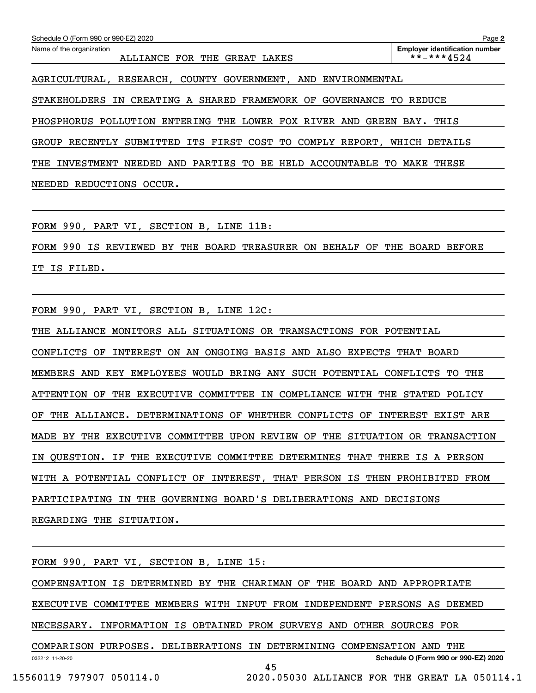| Schedule O (Form 990 or 990-EZ) 2020                                   | Page 2                                              |
|------------------------------------------------------------------------|-----------------------------------------------------|
| Name of the organization<br>ALLIANCE FOR THE GREAT LAKES               | <b>Employer identification number</b><br>**-***4524 |
| AGRICULTURAL, RESEARCH, COUNTY GOVERNMENT, AND<br>ENVIRONMENTAL        |                                                     |
| STAKEHOLDERS IN CREATING A SHARED FRAMEWORK OF<br>GOVERNANCE TO        | REDUCE                                              |
| PHOSPHORUS POLLUTION ENTERING THE LOWER FOX RIVER AND                  | GREEN BAY.<br>THIS                                  |
| SUBMITTED ITS FIRST COST TO COMPLY REPORT,<br><b>GROUP</b><br>RECENTLY | WHICH DETAILS                                       |
| NEEDED AND PARTIES TO BE HELD ACCOUNTABLE TO<br>THE<br>INVESTMENT      | MAKE<br>THESE                                       |
| NEEDED<br>REDUCTIONS<br>OCCUR.                                         |                                                     |

FORM 990, PART VI, SECTION B, LINE 11B:

FORM 990 IS REVIEWED BY THE BOARD TREASURER ON BEHALF OF THE BOARD BEFORE IT IS FILED.

FORM 990, PART VI, SECTION B, LINE 12C:

THE ALLIANCE MONITORS ALL SITUATIONS OR TRANSACTIONS FOR POTENTIAL CONFLICTS OF INTEREST ON AN ONGOING BASIS AND ALSO EXPECTS THAT BOARD MEMBERS AND KEY EMPLOYEES WOULD BRING ANY SUCH POTENTIAL CONFLICTS TO THE ATTENTION OF THE EXECUTIVE COMMITTEE IN COMPLIANCE WITH THE STATED POLICY OF THE ALLIANCE. DETERMINATIONS OF WHETHER CONFLICTS OF INTEREST EXIST ARE MADE BY THE EXECUTIVE COMMITTEE UPON REVIEW OF THE SITUATION OR TRANSACTION IN QUESTION. IF THE EXECUTIVE COMMITTEE DETERMINES THAT THERE IS A PERSON WITH A POTENTIAL CONFLICT OF INTEREST, THAT PERSON IS THEN PROHIBITED FROM PARTICIPATING IN THE GOVERNING BOARD'S DELIBERATIONS AND DECISIONS REGARDING THE SITUATION.

032212 11-20-20 **Schedule O (Form 990 or 990-EZ) 2020** FORM 990, PART VI, SECTION B, LINE 15: COMPENSATION IS DETERMINED BY THE CHARIMAN OF THE BOARD AND APPROPRIATE EXECUTIVE COMMITTEE MEMBERS WITH INPUT FROM INDEPENDENT PERSONS AS DEEMED NECESSARY. INFORMATION IS OBTAINED FROM SURVEYS AND OTHER SOURCES FOR COMPARISON PURPOSES. DELIBERATIONS IN DETERMINING COMPENSATION AND THE 45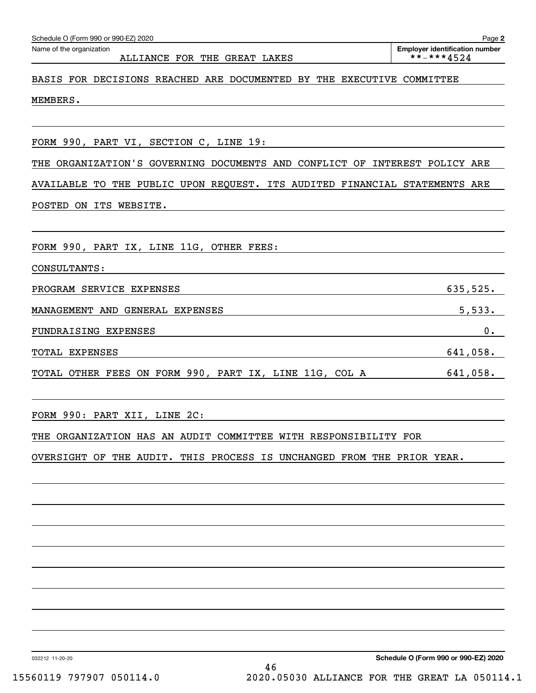| THE ORGANIZATION'S GOVERNING DOCUMENTS AND CONFLICT OF INTEREST POLICY ARE                                                                                                                                                                   |          |
|----------------------------------------------------------------------------------------------------------------------------------------------------------------------------------------------------------------------------------------------|----------|
| AVAILABLE TO THE PUBLIC UPON REQUEST. ITS AUDITED FINANCIAL STATEMENTS ARE                                                                                                                                                                   |          |
| POSTED ON ITS WEBSITE. The contract of the contract of the contract of the contract of the contract of the contract of the contract of the contract of the contract of the contract of the contract of the contract of the con               |          |
|                                                                                                                                                                                                                                              |          |
| FORM 990, PART IX, LINE 11G, OTHER FEES:                                                                                                                                                                                                     |          |
| CONSULTANTS: The CONSULTANTS CONSULTANTS And the CONSULTANTS of the CONSULTANTS of the CONSULTANTS of the CONSULTANT $\sim$                                                                                                                  |          |
| PROGRAM SERVICE EXPENSES PROGRAM SERVICE EXPENSES                                                                                                                                                                                            | 635,525. |
| MANAGEMENT AND GENERAL EXPENSES <b>Extending the Second Contract of Second Contract Contract Contract Contract Contract Contract Contract Contract Contract Contract Contract Contract Contract Contract Contract Contract Contr</b>         | 5,533.   |
| FUNDRAISING EXPENSES 0.                                                                                                                                                                                                                      |          |
| TOTAL EXPENSES                                                                                                                                                                                                                               |          |
|                                                                                                                                                                                                                                              |          |
|                                                                                                                                                                                                                                              |          |
|                                                                                                                                                                                                                                              |          |
|                                                                                                                                                                                                                                              |          |
|                                                                                                                                                                                                                                              |          |
|                                                                                                                                                                                                                                              |          |
| TOTAL OTHER FEES ON FORM 990, PART IX, LINE 11G, COL A 641,058.<br>FORM 990: PART XII, LINE 2C:<br>THE ORGANIZATION HAS AN AUDIT COMMITTEE WITH RESPONSIBILITY FOR<br>OVERSIGHT OF THE AUDIT. THIS PROCESS IS UNCHANGED FROM THE PRIOR YEAR. |          |

MEMBERS.

### ALLIANCE FOR THE GREAT LAKES  $\vert$  \*\*-\*\*\*4524

BASIS FOR DECISIONS REACHED ARE DOCUMENTED BY THE EXECUTIVE COMMITTEE